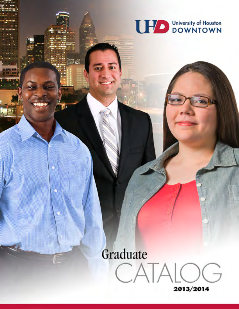

16

# Graduate CATALO

V.

2013/2014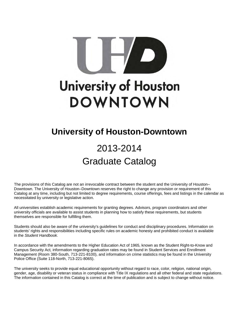

## **University of Houston-Downtown**

# 2013-2014 Graduate Catalog

The provisions of this Catalog are not an irrevocable contract between the student and the University of Houston– Downtown. The University of Houston–Downtown reserves the right to change any provision or requirement of this Catalog at any time, including but not limited to degree requirements, course offerings, fees and listings in the calendar as necessitated by university or legislative action.

All universities establish academic requirements for granting degrees. Advisors, program coordinators and other university officials are available to assist students in planning how to satisfy these requirements, but students themselves are responsible for fulfilling them.

Students should also be aware of the university's guidelines for conduct and disciplinary procedures. Information on students' rights and responsibilities including specific rules on academic honesty and prohibited conduct is available in the *Student Handbook*.

In accordance with the amendments to the Higher Education Act of 1965, known as the Student Right-to-Know and Campus Security Act, information regarding graduation rates may be found in Student Services and Enrollment Management (Room 380-South, 713-221-8100), and information on crime statistics may be found in the University Police Office (Suite 118-North, 713-221-8065).

The university seeks to provide equal educational opportunity without regard to race, color, religion, national origin, gender, age, disability or veteran status in compliance with Title IX regulations and all other federal and state regulations. The information contained in this Catalog is correct at the time of publication and is subject to change without notice.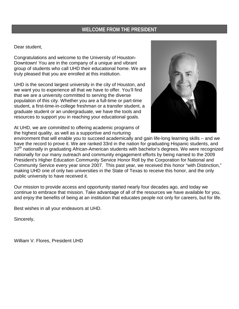### **WELCOME FROM THE PRESIDENT**

Dear student,

Congratulations and welcome to the University of Houston-Downtown! You are in the company of a unique and vibrant group of students who call UHD their educational home. We are truly pleased that you are enrolled at this institution.

UHD is the second largest university in the city of Houston, and we want you to experience all that we have to offer. You'll find that we are a university committed to serving the diverse population of this city. Whether you are a full-time or part-time student, a first-time-in-college freshman or a transfer student, a graduate student or an undergraduate, we have the tools and resources to support you in reaching your educational goals.

At UHD, we are committed to offering academic programs of the highest quality, as well as a supportive and nurturing



environment that will enable you to succeed academically and gain life-long learning skills – and we have the record to prove it. We are ranked 33rd in the nation for graduating Hispanic students, and 37th nationally in graduating African-American students with bachelor's degrees*.* We were recognized nationally for our many outreach and community engagement efforts by being named to the 2009 President's Higher Education Community Service Honor Roll by the Corporation for National and Community Service every year since 2007. This past year, we received this honor "with Distinction," making UHD one of only two universities in the State of Texas to receive this honor, and the only public university to have received it.

Our mission to provide access and opportunity started nearly four decades ago, and today we continue to embrace that mission. Take advantage of all of the resources we have available for you, and enjoy the benefits of being at an institution that educates people not only for careers, but for life.

Best wishes in all your endeavors at UHD.

Sincerely,

William V. Flores, President UHD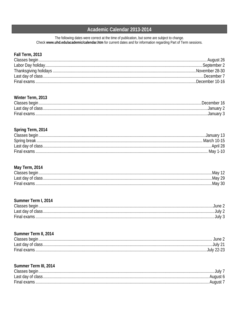### Academic Calendar 2013-2014

The following dates were correct at the time of publication, but some are subject to change. Check www.uhd.edu/academic/calendar.htm for current dates and for information regarding Part of Term sessions.

### Fall Term, 2013

### Winter Term, 2013

| Classes begin     | December |
|-------------------|----------|
| Last day of class | .Januarv |
| Final exams       |          |

### Spring Term, 2014

| Classes begin.     |               |
|--------------------|---------------|
| Spring break.      | . March 10-15 |
| Last day of class. |               |
| <b>Final exams</b> | May 1-10      |

### May Term, 2014

| Classes begin     | …Mav ⊺  |
|-------------------|---------|
| Last day of class | Mav 29  |
| Final exams       | .Mav 30 |

### Summer Term I, 2014

| Classes begin     | lune.  |
|-------------------|--------|
| Last day of class | JUIV   |
| Final exams       | JUIV 3 |

### Summer Term II, 2014

| Classes begin.    |          |
|-------------------|----------|
| Last day of class | . AND 1  |
| Final exams       | .July 21 |

### Summer Term III, 2014

| Classes begin      |  |
|--------------------|--|
| Last day of class. |  |
| Final exams        |  |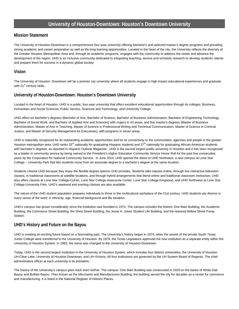### **University of Houston-Downtown: Houston's Downtown University**

### **Mission Statement**

The University of Houston-Downtown is a comprehensive four-year university offering bachelor's and selected master's degree programs and providing strong academic and career preparation as well as life-long learning opportunities. Located in the heart of the city, the University reflects the diversity of the Greater Houston Metropolitan Area and, through its academic programs, engages with the community to address the needs and advance the development of the region. UHD is an inclusive community dedicated to integrating teaching, service and scholarly research to develop students' talents and prepare them for success in a dynamic global society.

### **Vision**

The University of Houston -Downtown will be a premier city university where all students engage in high-impact educational experiences and graduate with  $21<sup>st</sup>$  century skills.

### **University of Houston-Downtown: Houston's Downtown University**

Located in the heart of Houston, UHD is a public, four-year university that offers excellent educational opportunities through its colleges: Business, Humanities and Social Sciences, Public Service, Sciences and Technology, and University College.

UHD offers six bachelor's degrees (Bachelor of Arts, Bachelor of Science, Bachelor of Business Administration, Bachelor of Engineering Technology, Bachelor of Social Work, and Bachelor of Applied Arts and Sciences) with majors in 43 areas, and five master's degrees (Master of Business Administration, Master of Arts in Teaching, Master of Science in Professional Writing and Technical Communication, Master of Science in Criminal Justice, and Master of Security Management for Executives), with programs in seven areas.

UHD is nationally recognized for its outstanding academic opportunities and for its connectivity to the communities, agencies and people in the greater Houston metropolitan area. UHD ranks 33<sup>rd</sup> nationally for graduating Hispanic students and  $37<sup>th</sup>$  nationally for graduating African-American students with bachelor's degrees, as reported in Hispanic Outlook Magazine. UHD is the second largest public university in Houston and it has been recognized as a leader in community service by being named to the President's Higher Education Community Service Honor Roll for the past five consecutive years by the Corporation for National Community Service. In June 2010, UHD opened the doors to UHD Northwest, a new campus at Lone Star College – University Park that lets students move from an associate degree to a bachelor's degree at the same location.

Students choose UHD because they enjoy the flexible degree options UHD provides. Students take classes online, through live interactive television classes, in traditional classrooms at satellite locations, and through hybrid arrangements that blend online and traditional classroom instruction. UHD also offers classes at Lone Star College-CyFair, Lone Star College-Atascocita Center, Lone Star College-Kingwood, and UHD Northwest at Lone Star College-University Park. UHD's weekend and evening classes are also available.

The nature of the UHD student population prepares individuals to thrive in the multicultural workplace of the 21st century. UHD students are diverse in every sense of the word: in ethnicity, age, financial background and life situation.

UHD's campus has grown considerably since the institution was founded in 1974. The campus includes the historic One Main Building, the Academic Building, the Commerce Street Building, the Shea Street Building, the Jesse H. Jones Student Life Building, and the restored Willow Street Pump Station.

### **UHD's History and Future on the Bayou**

UHD is creating an exciting future based on a fascinating past. The University's history began in 1974, when the assets of the private South Texas Junior College were transferred to the University of Houston. By 1979, the Texas Legislature approved the new institution as a separate entity within the University of Houston System. In 1983, the name was changed to the University of Houston-Downtown.

Today, UHD is the second largest institution in the University of Houston System, which includes four distinct universities: the University of Houston, UH-Clear Lake, University of Houston-Downtown, and UH-Victoria. All four institutions are governed by the UH System Board of Regents. The chief administrative officer at each university is its president.

The history of the University's campus goes back even farther. The campus' One Main Building was constructed in 1929 on the banks of White Oak Bayou and Buffalo Bayou. Then known as the Merchants and Manufacturers Building, the building served the city for decades as a center for commerce and manufacturing. It is listed in the National Register of Historic Places.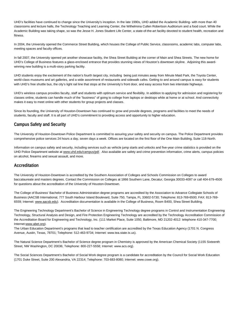UHD's facilities have continued to change since the University's inception. In the late 1990s, UHD added the Academic Building- with more than 40 classrooms and lecture halls, the Technology Teaching and Learning Center, the Wilhelmina Cullen Robertson Auditorium and a food court. While the Academic Building was taking shape, so was the Jesse H. Jones Student Life Center, a state-of-the-art facility devoted to student health, recreation and fitness.

In 2004, the University opened the Commerce Street Building, which houses the College of Public Service, classrooms, academic labs, computer labs, meeting spaces and faculty offices.

In fall 2007, the University opened yet another showcase facility, the Shea Street Building at the corner of Main and Shea Streets. The new home for UHD's College of Business features a glass-enclosed entrance that provides stunning views of Houston's downtown skyline. Adjoining this awardwinning new building is a multi-story parking facility.

UHD students enjoy the excitement of the nation's fourth largest city, including being just minutes away from Minute Maid Park, the Toyota Center, world-class museums and art galleries, and a wide assortment of restaurants and sidewalk cafes. Getting to and around campus is easy for students with UHD's free shuttle bus, the city's light rail line that stops at the University's front door, and easy access from two interstate highways.

UHD's wireless campus provides faculty, staff and students with optimum service and flexibility. In addition to applying for admission and registering for classes online, students can handle much of the "business" of going to college from laptops or desktops while at home or at school. And connectivity makes it easy to meet online with other students for group projects and classes.

Since its founding, the University of Houston-Downtown has continued to grow and provide degrees, programs and facilities to meet the needs of students, faculty and staff. It is all part of UHD's commitment to providing access and opportunity to higher education.

### **Campus Safety and Security**

The University of Houston-Downtown Police Department is committed to assuring your safety and security on campus. The Police Department provides comprehensive police services 24 hours a day, seven days a week. Offices are located on the first floor of the One Main Building, Suite 118-North.

Information on campus safety and security, including services such as vehicle jump starts and unlocks and five-year crime statistics is provided on the UHD Police Department website at [www.uhd.edu/campus/pd/.](http://www.uhd.edu/campus/pd/) Also available are safety and crime prevention information, crime alerts, campus policies on alcohol, firearms and sexual assault, and more.

### **Accreditation**

The University of Houston-Downtown is accredited by the Southern Association of Colleges and Schools Commission on Colleges to award baccalaureate and masters degrees. Contact the Commission on Colleges at 1866 Southern Lane, Decatur, Georgia 30033-4097 or call 404-679-4500 for questions about the accreditation of the University of Houston-Downtown.

The College of Business' Bachelor of Business Administration degree programs are accredited by the Association to Advance Collegiate Schools of Business (AACSB International, 777 South Harbour Island Boulevard, Suite 750, Tampa, FL 33602-5730; Telephone: 813-769-6500; FAX: 813-769 6559; Internet: [www.aacsb.edu\)](http://www.aacsb.edu/). Accreditation documentation is available in the College of Business, Room B400, Shea Street Building.

The Engineering Technology Department's Bachelor of Science in Engineering Technology degree programs in Control and Instrumentation Engineering Technology, Structural Analysis and Design, and Fire Protection Engineering Technology are accredited by the Technology Accreditation Commission of the Accreditation Board for Engineering and Technology, Inc. (111 Market Place, Suite 1050, Baltimore, MD 21202-4012: telephone 410-347-7700; Interne[t:www.abet.org\).](http://www.abet.org/)

The Urban Education Department's programs that lead to teacher certification are accredited by the Texas Education Agency (1701 N. Congress Avenue, Austin, Texas, 78701; Telephone: 512-463-9734; Internet[: www.tea.state.tx.us\)](http://www.tea.state.tx.us/).

The Natural Science Department's Bachelor of Science degree program in Chemistry is approved by the American Chemical Society (1155 Sixteenth Street, NW Washington, DC 20036; Telephone: 800-227-5558; Internet[: www.acs.org\)](http://www.acs.org/).

The Social Sciences Department's Bachelor of Social Work degree program is a candidate for accreditation by the Council for Social Work Education (1701 Duke Street, Suite 200 Alexandria, VA 22314; Telephone: 703-683-8080; Internet[: www.cswe.org\)](http://www.cswe.org/).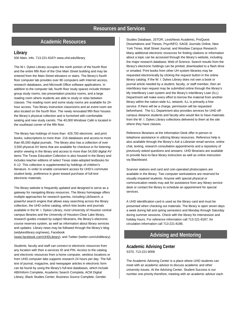### **Academic Resources**

### **Library**

500 Main, Info. 713-221-8187• www.uhd.edu/library

The W.I. Dykes Library occupies the north portion of the fourth floor and the entire fifth floor of the One Main Street building and may be entered from the Main Street elevators or stairs. The library's fourth floor computer lab provides over 80 computers with Internet access, research databases, and Microsoft Office software applications. In addition to the computer lab, fourth floor study spaces include thirteen group study rooms, two presentation practice rooms, and a large reading room where students are able to study or relax between classes. The reading room and some study rooms are available for 24 hour access. Two library instruction classrooms and an event room are also located on the fourth floor. The newly renovated fifth floor houses the library's physical collection and is furnished with comfortable seating and new study carrels. The 40,000 Windows Café is located in the southeast corner of the fifth floor.

The library has holdings of more than 429,700 electronic and print books, subscriptions to more than 216 databases and access to more than 85,000 digital journals. The library also has a collection of over 3,500 physical AV items that are available for checkout or for listening and/or viewing in the library and access to more than 54,000 digital AV items The Texas Education Collection is also housed in the library and includes teacher editions of select Texas state-adopted textbooks for K-12. This collection is supplemented by holdings of children's literature. In order to enable convenient access for UHD's commuter student body, preference is given toward purchase of full-text electronic materials.

The library website is frequently updated and designed to serve as a gateway for navigating library resources. The library homepage offers multiple approaches for research queries, including LibSearch, a powerful search engine that allows easy searching across the library collection, the UHD online catalog, which lists books and journals available in the W. I. Dykes Library, most University of Houston central campus libraries and the University of Houston-Clear Lake library, research guides created by subject librarians, the library's electronic course reserves system, as well as information about library services and updates. Library news may be followed through the library's blog (widykeslibrary.org/news), Facebook

[\(www.facebook.com/UHDLibrary\)](http://www.facebook.com/UHDLibrary), and Twitter (twitter.com/uhdlibrary).

Students, faculty and staff can connect to electronic resources from any location with their e-services ID and PIN. Access to the catalog and electronic resources from a home computer, wireless locations or from UHD computer labs supports research 24 hours per day. The fulltext of journal, magazine, and newspaper articles in electronic form can be found by using the library's full-text databases, which include ABI/Inform Complete, Academic Search Complete, ACM Digital Library, Black Studies Center, Business Source Complete, Gender

Studies Database, JSTOR, LexisNexis Academic, ProQuest Dissertations and Theses, PsycINFO, SAGE Journals Online, New York Times, Wall Street Journal, and Westlaw Campus Research. Many additional electronic resources for finding citations or information about a topic can be accessed through the library's website, including the major research database, Web of Science. Search results from the library's electronic holdings can be printed, downloaded to a flash drive or emailed. Print books from other UH system libraries may be requested electronically by clicking the *request* button in the online library catalog. If the W. I. Dykes Library does not own a book or journal article needed by a student, faculty, or staff member, then an interlibrary loan request may be submitted online through the library's My Interlibrary Loan system and the library's Interlibrary Loan (ILL) Department will make every effort to borrow the material from another library within the nation-wide ILL network. ILL is primarily a free service. If there will be a charge, permission will be requested beforehand. The ILL Department also provides services for UHD offcampus distance students and faculty who would like to have materials from the W. I. Dykes Library collections delivered to them at the site where they have classes.

Reference librarians at the Information Desk offer in-person or telephone assistance in utilizing library resources. Reference help is also available through the library's *Ask a Librarian* email service, online chat, texting, research consultation appointments and a repository of previously asked questions and answers. UHD librarians are available to provide face-to-face library instruction as well as online instruction via Blackboard.

Scanner stations and card and coin-operated photocopiers are available in the library. Two computer workstations are reserved for visually impaired students. Anyone with special physical or communication needs may ask for assistance from any library service desk or contact the library to schedule an appointment for special services.

A UHD identification card is used as the library card and must be presented when checking out materials. The library is open seven days a week during fall and spring semesters and Monday through Saturday during summer sessions. Check with the library for intersession and holiday hours. For reference information call 713-221-8187; for circulation information call 713-221-8186.

### **Advising and Mentoring**

### **Academic Advising Center**

S370, 713-221-8006

The Academic Advising Center is a place where UHD students can meet with an academic advisor to discuss academic and other university issues. At the Advising Center, Student Success is our number one priority therefore, meeting with an academic advisor each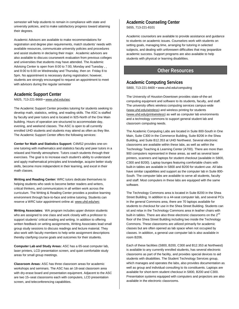semester will help students to remain in compliance with state and university policies, and to make satisfactory progress toward attaining their degrees.

Academic Advisors are available to make recommendations for registration and degree plan requirements, match students' needs with available resources, communicate university policies and procedures and assist students in declaring their major. Academic advisors are also available to discuss coursework evaluation from previous colleges and universities that students may have attended. The Academic Advising Center is open from 8:00 to 7:00, Monday and Tuesday , , and 8:00 to 6:00 on Wednesday and Thursday, then on Friday 8 to 5pm. No appointment is necessary during registration; however, students are strongly encouraged to request an appointment to meet with advisors during the regular semester

### **Academic Support Center**

N925, 713-221-8669 [• www.uhd.edu/asc](http://www.uhd.edu/asc)

The Academic Support Center provides tutoring for students seeking to develop math, statistics, writing, and reading skills. The ASC is staffed by faculty and peer tutors and is located in 925-North of the One Main building. Hours of operation are structured to accommodate day, evening, and weekend classes. The ASC is open to all currently enrolled UHD students and students may attend as often as they like. The Academic Support Center offers the following services:

**Center for Math and Statistics Support:** C4MS2 provides one-onone tutoring with mathematics and statistics faculty and peer tutors in a relaxed and friendly atmosphere. Tutors coach students through their exercises. The goal is to increase each student's ability to understand and apply mathematical principles and knowledge, acquire better study skills, become more independent in their learning, and excel in their math classes.

**Writing and Reading Center:** WRC tutors dedicate themselves to helping students who seek to become better readers and writers, critical thinkers, and communicators in all written work across the curriculum. The Writing & Reading Center provides a positive learning environment through face-to-face and online tutoring. Students can reserve a WRC tutor appointment online at[: www.uhd.edu/wrc](http://www.uhd.edu/wrc)

**Writing Associates:** WA program includes upper division students who are assigned to one class and work closely with a professor to support students' critical reading and writing. In addition to offering written feedback on writing assignments, Writing Associates lead small group study sessions to discuss readings and lecture material. They also work with faculty members to help write assignment descriptions thereby clarifying course goals and outcomes for their students.

**Computer Lab and Study Areas:** ASC has a 65-seat computer lab, laser printers, LCD presentation screen, and quiet comfortable study areas for small group meetings.

**Classroom Areas:** ASC has three classroom areas for academic workshops and seminars. The ASC has an 18-seat classroom area with dry-erase board and presentation equipment. Adjacent to the ASC are two 15–seat classrooms each with computers, LCD presentation screen, and teleconferencing capabilities.

### **Academic Counseling Center**  S655, 713-221-8101

Academic counselors are available to provide assistance and guidance to students on academic issues. Counselors work with students on setting goals, managing time, arranging for tutoring in selected subjects, and dealing with unforeseen difficulties that may jeopardize academic success. Support programs are also available to help students with physical or learning disabilities.

### **Other Resources**

### **Academic Computing Services**

S800, 713-221-8400 • www.uhd.edu/computing

The University of Houston-Downtown provides state-of-the-art computing equipment and software to its students, faculty, and staff. The university offers wireless computing services campus-wide (www.uhd.edu/wireless) and wireless printing for students [\(www.uhd.edu/printwireless\)](http://www.uhd.edu/printwireless) as well as computer lab environments and a technology commons to support general student lab and classroom computing needs.

The Academic Computing Labs are located in Suite 800-South in One Main, Suite C300 in the Commerce Building, Suite B206 in the Shea Building, and Suite B12.353 at UHD Northwest. Several electronic classrooms are available within these labs, as well as within the Technology Teaching & Learning Center (A700). There are more than 900 computers represented in these areas, as well as several laser printers, scanners and laptops for student checkout (available in S800, C300 and B200). Laptop lounges featuring comfortable chairs with built-in tables are available in S800 and B200 for student use. All labs have similar capabilities and support as the computer lab in Suite 800- South. The computer labs are available to serve all students, faculty and staff. Most computers in these labs are equipped with the same software.

The Technology Commons area is located in Suite B200 in the Shea Street Building. In addition to a 44-seat computer lab, and several PCs in the general Commons area, there are 70 laptops available for students to checkout for use in the Shea Street Building. Students can sit and relax in the Technology Commons area in leather chairs with built-in tables. There are also three electronic classrooms on the 2<sup>nd</sup> floor of the Shea Street Building including two inside the Technology Commons. These classrooms are utilized primarily for academic classes but are often opened as lab space when not occupied by classes. In addition, a general use computer lab is also available in room B206.

Each of these facilities (S800, B200, C300 and B12.353 at Northwest) is available to any currently enrolled students, has several electronic classrooms as part of the facility, and provides special devices to aid students with disabilities. The Student Technology Services group, which manages and operates the labs, also provides documentation as well as group and individual consulting to its constituents. Laptops are available for short-term student checkout in S800, B200 and C300. Presentation systems equipped with computers and projectors are also available in the electronic classrooms.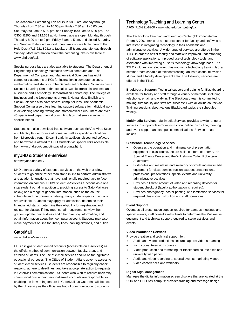The Academic Computing Lab hours in S800 are Monday through Thursday from 7:30 am to 10:00 pm, Friday 7:30 am to 5:00 pm, Saturday 8:00 am to 5:00 pm, and Sunday 10:00 am to 5:00 pm. The C300, B200 and B12.353 at Northwest labs are open Monday through Thursday 8:00 am to 9 pm, Friday 8 am to 5 pm, and closed Saturday and Sunday. Extended support hours are also available through the Help Desk (713-221-8031) to faculty, staff & students Monday through Sunday. More information about the computing labs is available at www.uhd.edu/acl.

Special purpose labs are also available to students. The Department of Engineering Technology maintains several computer labs. The Department of Computer and Mathematical Sciences has eight computer classrooms of PCs for instruction in computer science, mathematics, and statistics. The Department of Natural Sciences has a Science Learning Center that contains two electronic classrooms, and a Science and Technology Demonstration Laboratory. The College of Business and the Departments of Arts & Humanities, English and Social Sciences also have several computer labs. The Academic Support Center also offers learning support software for individual work in developing reading, writing and mathematical skills. There are over 45 specialized departmental computing labs that service subjectspecific needs.

Students can also download free software such as McAfee Virus Scan and Identity Finder for use at home, as well as specific applications from Microsoft through DreamSpark. In addition, discounted software and hardware is offered to UHD students via special links accessible from www.uhd.edu/computing/acl/discounts.html.

### **myUHD & Student e-Services**

http://myuhd.uhd.edu/

UHD offers a variety of student e-services on the web that allow students to go online rather than stand in line to perform administrative and academic functions that have traditionally required face to face interaction on campus. UHD's student e-Services functions as a one stop student portal. In addition to providing access to GatorMail (see below) and a range of general information, such as the course schedule and the university catalog, many student-specific functions are available. Students may apply for admission, determine their financial aid status, determine their eligibility for registration, and register for classes if they meet certain requirements, view their grades, update their address and other directory information, and obtain information about their computer account. Students may also make payments on-line for library fines, parking citations, and tuition.

### **GatorMail**

#### www.uhd.edu/eservices

UHD assigns student e-mail accounts (accessible on e-services) as the official method of communication between faculty, staff, and enrolled students. The use of e-mail services should be for legitimate educational purposes. The Office of Student Affairs governs access to student e-mail services. Students are responsible to regularly check, respond, adhere to deadlines, and take appropriate action to requests in GatorMail communications. Students who wish to receive university communications in their personal email accounts are responsible for enabling the forwarding feature in GatorMail, as GatorMail will be used by the University as the official method of communication to students.

### **Technology Teaching and Learning Center**

A700, 713-221-8200 [• www.uhd.edu/computing/ttlc](http://www.uhd.edu/computing/ttlc)

The Technology Teaching and Learning Center (TTLC) located in Room A-700, serves as a resource center for faculty and staff who are interested in integrating technology in their academic and administrative activities. A wide range of services are offered in the TTLC in order to assist faculty and staff with improved understanding of software applications, improved use of technology tools, and assistance with improving a user's technology knowledge base. The TTLC includes four electronic classrooms, a technology training lab, a seminar room capable of teleconferencing, an instructional television studio, and a faculty development area. The following services are offered in the TTLC.

**Blackboard Support:** Technical support and training for Blackboard is available for faculty and staff through a variety of methods, including telephone, email, and walk-in. The Blackboard team is committed to making sure faculty and staff are successful with all online coursework. Training sessions about various Blackboard topics are scheduled weekly.

**Multimedia Services:** Multimedia Services provides a wide range of services to support classroom instruction, online instruction, meeting and event support and campus communications. Service areas include:

#### **Classroom Technology Services**

- Oversees the operation and maintenance of presentation equipment in classrooms, lecture halls, conference rooms, the Special Events Center and the Wilhelmina Cullen Robertson Auditorium;
- Distributes and maintains and inventory of circulating multimedia equipment for classroom instruction, student presentations, professional presentations, special events and university administrative activities
- Provides a limited amount of video and recording devices for student checkout (faculty authorization is required).
- Provides photography, poster printing, and lamination services for required classroom instruction and staff operations.

#### **Event Support**

Oversees all presentation support required for campus meetings and special events; staff consults with clients to determine the Multimedia equipment and technical support required to stage activities and events.

#### **Video Production Services**

Provide creative and technical support for:

- Audio and video productions; lecture capture; video streaming
- Instructional television courses
- Video production and formatting for Blackboard course sites and university web pages
- Audio and video recording of special events; marketing videos
- Video conferences and webinars

#### **Digital Sign Management**

Manages the digital information screen displays that are located at the UHD and UHD-NW campus; provides training and message design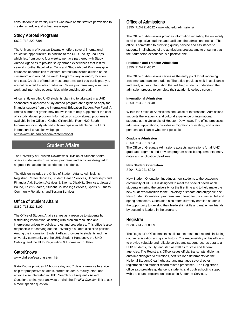consultation to university clients who have administrative permission to create, schedule and upload messages.

### **Study Abroad Programs**

S629, 713-222-5391

The University of Houston-Downtown offers several international education opportunities. In addition to the UHD Faculty-Led Trips which last from two to four weeks, we have partnered with Study Abroad Agencies to provide study abroad experiences that last for several months. Faculty-Led Trips and Study Abroad Programs give countless opportunities to explore intercultural issues outside of the classroom and around the world. Programs vary in length, location, and cost. Credit is offered on most programs, so if you participate you are not required to delay graduation. Some programs may also have work and internship opportunities while studying abroad.

All currently enrolled UHD students planning to take part in a UHD sponsored or approved study abroad program are eligible to apply for financial support from the International Education Student Fee Fund. A limited number of grants may be available to help supplement the cost of a study abroad program. Information on study abroad programs is available in the Office of Global Citizenship, Room 629-South. Information for study abroad scholarships is available on the UHD international education webpage

<http://www.uhd.edu/academic/international>

### **Student Affairs**

The University of Houston-Downtown's Division of Student Affairs offers a wide variety of services, programs and activities designed to augment the academic experience of students.

The division includes the Office of Student Affairs, Admissions, Registrar, Career Services, Student Health Services, Scholarships and Financial Aid, Student Activities & Events, Disability Services, Upward Bound, Talent Search, Student Counseling Services, Sports & Fitness, Community Relations, and Testing Services.

### **Office of Student Affairs**

S380, 713-221-8100

The Office of Student Affairs serves as a resource to students by distributing information, assisting with problem resolution and interpreting university policies, rules and procedures. This office is also responsible for carrying out the university's student discipline policies. Among the information Student Affairs provides to students and the university community are the UHD Student Handbook, the UHD Catalog, and the UHD Registration & Information Bulletin.

### **GatorKnows**

www.uhd.edu/search/search.html

GatorKnows provides 24 hours a day and 7 days a week self-service help for prospective students, current students, faculty, staff, and anyone else interested in UHD. Search our Frequently Asked Questions to find your answers or click the *Email a Question* link to ask a more specific question.

### **Office of Admissions**

S350, 713-221-8522 • www.uhd.edu/admissions/

The Office of Admissions provides information regarding the university to all prospective students and facilitates the admission process. The office is committed to providing quality service and assistance to students in all phases of the admissions process and to ensuring that their admission experience is a positive one.

#### **Freshman and Transfer Admission**

S350, 713-221-8522

The Office of Admissions serves as the entry point for all incoming freshman and transfer students. The office provides walk-in assistance and ready access information that will help students understand the admission process to complete their academic college career.

#### **International Admission** S350, 713-221-8048

Within the Office of Admissions, the Office of International Admissions supports the academic and cultural experience of international students at the University of Houston-Downtown. The office processes admission applications, provides immigration counseling, and offers personal assistance whenever possible.

#### **Graduate Admission**

S350, 713-221-8093

The Office of Graduate Admissions accepts applications for all UHD graduate programs and provides program-specific requirements, entry dates and application deadlines.

#### **New Student Orientation**

S204, 713-221-8022

New Student Orientation introduces new students to the academic community at UHD. It is designed to meet the special needs of all students entering the university for the first time and to help make the new student's transition to the university a smooth and enjoyable one. New Student Orientation programs are offered for the summer, fall and spring semesters. Orientation also offers currently enrolled students the opportunity to develop their leadership skills and make new friends by becoming leaders in the program.

**Registrar** N330, 713-221-8999

The Registrar's Office maintains all student academic records including course registration and grade history. The responsibility of this office is to provide valuable and reliable service and student records data to all UHD students, faculty, and staff as well as to state and federal agencies. The Registrar's Office issues official transcripts, diplomas, enrollment/degree verifications, certifies loan deferments via the National Student Clearinghouse, and manages several other registration and student record related processes. The Registrar's office also provides guidance to students and troubleshooting support with the course registration process in Student e-Services.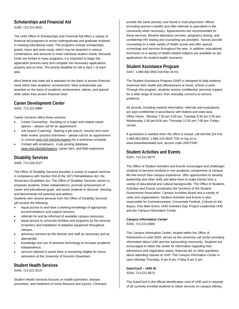### **Scholarships and Financial Aid**

S330, 713-221-8041

The UHD Office of Scholarships and Financial Aid offers a variety of financial aid programs to assist undergraduate and graduate students in meeting educational costs. The programs include scholarships, grants, loans and work-study, which may be awarded in various combinations and amounts to meet individual student needs. Because funds are limited in many programs, it is important to begin the application process early and complete the necessary applications properly and on time. The priority deadline for fall is April 1 of each year.

Most federal and state aid is awarded on the basis of proven financial need rather than academic achievement. Most scholarships are awarded on the basis of academic achievement, talents, and special skills rather than proven financial need.

### **Career Development Center**

S402, 713-221-8980

Career Services offers three services:

- Career Counseling: Deciding on a major and related career options – please call for an appointment
- Job Search Coaching: Starting a job search, resume and cover letter review, practice interviews – please call for an appointment or consult [www.uhd.edu/jobs4gators](http://www.uhd.edu/jobs4gators) for a workshop schedule.
- Contact with employers: A job posting database [www.uhd.edu/jobs4gators,](http://www.uhd.edu/jobs4gators) career fairs, and field experience.

### **Disability Services**

S409, 713-226-5227

The Office of Disability Services provides a variety of support services in compliance with Section 504 of the 1973 Rehabilitation Act, the Americans Disabilities Act. The Office of Disability Services' strives to empower students, foster independence, promote achievement of career and educational goals, and assist students to discover, develop, and demonstrate full potential and abilities.

Students who receive services from the Office of Disability Services will receive the following:

- equal access to and have a working knowledge of appropriate accommodations and support services,
- referrals for and be informed of available campus resources,
- equal access to university facilities and programs by the removal of barriers and installation of adaptive equipment throughout campus,
- advocacy services by the director and staff as necessary and as appropriate,
- knowledge and use of assistive technology to increase academic independence,
- services tailored to assist them in remaining eligible for future semesters at the University of Houston Downtown.

### **Student Health Services**

S445, 713-221-8137

Student Health Services focuses on health promotion, disease prevention, and treatment of minor illnesses and injuries. Clinicians provide the same primary care found in most physicians' offices (including women's health) and offer referrals to specialists in the community when necessary. Appointments are recommended for these services. Routine laboratory services, pregnancy testing, and confidential HIV testing and counseling are provided. Nurses provide counseling on a wide variety of health issues and offer special screenings and services throughout the year. In addition, educational brochures on a variety of health-related subjects are available as are applications for student health insurance.

### **Student Assistance Program**

S447, 1-866-802-8553 toll-free 24 hrs

The Student Assistance Program (SAP) is designed to help students maximize their health and effectiveness at home, school or work. Through this program, students receive confidential, personal support for a wide range of issues, from everyday concerns to serious problems.

All records, including medical information, referrals and evaluations, are kept confidential in accordance with federal and state laws. Office Hours: Monday 7:30 am-2:00 pm; Tuesday 8:30 am-3:30 pm; Wednesday 1:00 pm-8:00 pm; Thursday 12:30 pm-7:00 pm; Fridayclosed.

If assistance is needed when the office is closed, call toll-free (24 hrs) 1-866-802-8553; 1-866-216-9926 TDD or log on to www.liveandworkwell.com, access code UHDTSAP.

### **Student Activities and Events**

S204, 713-221-8573

The Office of Student Activities and Events encourages and challenges students to become involved in non-academic components of campus life that enrich their campus experience, offer opportunities to develop leadership and other skills and allow them to make friends from a variety of educational and cultural backgrounds. The Office of Students Activities and Events coordinates the functions of the Student Government Association, Campus Activities Board and a variety of clubs and organizations. Student Activities and Events is also responsible for Commencement, Crossroads Festival, Cultural on the Bayou, One Main Event, UHD Activities Day, Project Leadership UHD and the Campus Information Center.

### **Campus Information Center**

S350, 713-221-8000

The Campus Information Center, located within the Office of Admissions in suite 350S, serves as the university call center providing information about UHD and the surrounding community. Students are encouraged to utilize the center for information regarding their admissions and registration status, financial aid, or other questions about attending classes at UHD. The Campus Information Center is open Monday-Thursday, 8 am-6 pm, Friday 8 am-5 pm.

### **GatorCard – UHD ID**

S204, 713-221-8573

The GatorCard is the official identification card of UHD and is required of all currently enrolled students to utilize services on campus (library,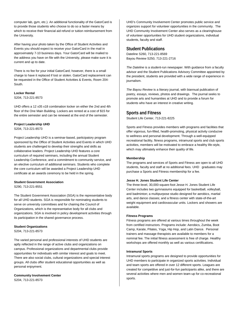computer lab, gym, etc.). An additional functionality of the GatorCard is to provide those students who choose to do so a faster means by which to receive their financial aid refund or tuition reimbursement from the University.

After having your photo taken by the Office of Student Activities and Events you should expect to receive your GatorCard in the mail in approximately 7-10 business days. Your GatorCard will be mailed to the address you have on file with the University, please make sure it is current and up to date.

There is no fee for your initial GatorCard; however, there is a small charge to have it replaced if lost or stolen. GatorCard replacement can be requested in the Office of Student Activities & Events, Room 204- South.

#### **Locker Rental**

S204, 713-221-8573

UHD offers a 12 x35 x18 combination locker on either the 2nd and 4th floor of the One Main Building. Lockers are rented at a cost of \$15 for the entire semester and can be renewed at the end of the semester.

#### **Project Leadership UHD**

S204, 713-221-8573

Project Leadership UHD is a seminar-based, participatory program sponsored by the Office of Student Activities and Events in which UHD students are challenged to develop their strengths and skills as collaborative leaders. Project Leadership UHD features a core curriculum of required seminars, including the annual Student Leadership Conference, and a commitment to community service, and an elective curriculum of additional seminars. Students who complete the core curriculum will be awarded a Project Leadership UHD certificate at an awards ceremony to be held in the spring.

#### **Student Government Association**

S290, 713-221-8551

The Student Government Association (SGA) is the representative body for all UHD students. SGA is responsible for nominating students to serve on university committees and for chairing the Council of Organizations, which is the representative body for all clubs and organizations. SGA is involved in policy development activities through its participation in the shared governance process.

### **Student Organizations**

S204, 713-221-8573

The varied personal and professional interests of UHD students are aptly reflected in the range of active clubs and organizations on campus. Professional organizations and departmental clubs provide opportunities for individuals with similar interest and goals to meet. There are also social clubs, cultural organizations and special interest groups. All clubs offer student educational opportunities as well as personal enjoyment.

#### **Community Involvement Center**

S204, 713-221-8573

UHD's Community Involvement Center promotes public service and organizes support for volunteer opportunities in the community. The UHD Community Involvement Center also serves as a clearinghouse of volunteer opportunities for UHD student organizations, individual students, faculty and staff.

### **Student Publications**

Dateline S260, 713-221-8569 Bayou Review S250, 713-221-2716

*The Dateline* is a student-run newspaper. With guidance from a faculty advisor and the Student Publications Advisory Committee appointed by the president, students are provided with a wide range of experience in journalism.

*The Bayou Review* is a literary journal, with biannual publication of poetry, essays, reviews, photos and drawings. The journal seeks to promote arts and humanities at UHD and to provide a forum for students who have an interest in creative writing.

### **Sports and Fitness**

Student Life Center, 713-221-8225

Sports and Fitness provides members with programs and facilities that offer vigorous, fun-filled, health-promoting, physical activity conducive to wellness and personal development. Through a well-equipped recreational facility, fitness programs, intramural sports and club sports activities, members will be motivated to embrace a healthy life-style, which may ultimately enhance their quality of life.

#### **Membership**

The programs and services of Sports and Fitness are open to all UHD students, faculty and staff at no additional fees. UHD graduates may purchase a Sports and Fitness membership for a fee.

#### **Jesse H. Jones Student Life Center**

The three-level, 30,000-square-foot Jesse H. Jones Student Life Center includes two gymnasiums equipped for basketball, volleyball, and badminton; a multipurpose studio designed for aerobics, martial arts, and dance classes; and a fitness center with state-of-the-art weight equipment and cardiovascular units. Lockers and showers are available.

#### **Fitness Programs**

Fitness programs are offered at various times throughout the week from certified instructors. Programs include: Aerobics, Zumba, Boot Camp, Karate, Pilates, Yoga, Hip Hop, and Latin Dance. Personal trainers and massage therapists are available to members for a nominal fee. The initial fitness assessment is free of charge. Healthy workshops are offered monthly as well as various certifications.

#### **Intramural Sports**

Intramural sports programs are designed to provide opportunities for UHD members to participate in organized sports activities. Individual and team sports are offered in over 12 different sports. Leagues are created for competitive and just-for-fun participants alike, and there are several activities where men and women team-up for co-recreational sports.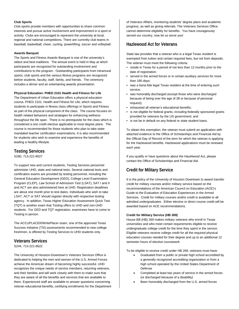#### **Club Sports**

Club sports provide members with opportunities to share common interests and pursue active involvement and improvement in a sport or activity. Clubs are encouraged to represent the university at local, regional and national competitions. There are currently club teams in baseball, basketball, cheer, cycling, powerlifting, soccer and volleyball.

#### **Awards Banquet**

The Sports and Fitness Awards Banquet is one of the university's oldest and best traditions. The annual event is held in May at which participants are recognized for outstanding involvement and contributions to the program. Outstanding participants from intramural sports, club sports and the various fitness programs are recognized before students, faculty, staff, family, and friends. The ceremony includes a dinner and an entertaining awards presentation.

#### **Physical Education: PHED 2101 Health and Fitness for Life**

The Department of Urban Education offers a physical education course, PHED 2101: Health and Fitness for Life, which requires students to participate in fitness class offerings in Sports and Fitness as part of the physical component of the class. The course focuses on health related behaviors and strategies for enhancing wellness throughout the life span. There is no prerequisite for the class which is considered a one credit elective applicable to most degree plans. The course is recommended for those students who plan to take statemandated teacher certification examinations. It is also recommended for students who wish to examine and experience the benefits of leading a healthy lifestyle.

### **Testing Services**

S280, 713-221-8027

To support new and current students, Testing Services personnel administer UHD, state and national tests. Several national tests and certification exams are provided by testing personnel, including the General Education Development (GED), College Level Examination Program (CLEP), Law School of Admission Test (LSAT), SAT I and II and ACT are also administered here at UHD. Registration deadlines are about one month prior to test dates. Individuals who wish to take LSAT, ACT or SAT should register directly with respective testing agency. In addition, Texas Higher Education Assessment Quick Test (TQT) is another exam that Testing offers to UHD and non-UHD students. For GED and TQT registration, examinees have to come to Testing in person.

The ACCUPLACER/WritePlacer exam, one of the approved Texas Success Initiative (TSI) assessments recommended to new college freshmen, is offered by Testing Services to UHD students only.

### **Veterans Services**

#### S244, 713-221-8622

The University of Houston-Downtown's Veterans Services Office is dedicated to helping the men and women of the U.S. Armed Forces achieve the American dream of becoming highly successful. UHD recognizes the unique needs of service members, returning veterans, and their families and will work closely with them to make sure that they are aware of all the benefits and services that are available to them. Experienced staff are available to answer questions concerning veteran educational benefits, certifying enrollments for the Department of Veterans Affairs, monitoring students' degree plans and academic progress, as well as giving referrals. The Veterans Services Office cannot determine eligibility for benefits. You have courageously served our country, now let us serve you!

### **Hazlewood Act for Veterans**

State law provides that a veteran who is a legal Texas resident is exempted from tuition and certain required fees, but not from deposits. The veteran must meet the following criteria:

- reside in Texas for a period of not less than 12 months prior to the date of registration;
- served in the armed forces or in certain auxiliary services for more than 180 days;
- was a bona fide legal Texas resident at the time of entering such service;
- was honorably discharged (except those who were discharged because of being over the age of 38 or because of personal request);
- exhausted all veteran's educational benefits;
- is not eligible for federal grants, including federally sponsored grants provided for veterans by the US government; and
- is not be in default on any federal or state student loans.

To obtain this exemption, the veteran must submit an application with attached evidence to the Office of Scholarships and Financial Aid by the Official Day of Record of the term for which the veteran is applying for the Hazlewood benefits. Hazlewood applications must be renewed each year.

If you qualify or have questions about the Hazelwood Act, please contact the Office of Scholarships and Financial Aid.

### **Credit for Military Service**

It is the policy of the University of Houston Downtown to award transfer credit for military courses and/or military service based on the recommendations of the American Council on Education (ACE)'s Guide to the Evaluation of Education Experiences in the Armed Services. Credit for military courses and/or credit is available to all admitted undergraduates. Either elective or direct course credit will be awarded based on ACE recommendations.

#### **Credit for Military Service (HB 269)**

House Bill (HB) 269 makes military veterans who enroll in Texas universities and who meet certain requirements eligible to receive undergraduate college credit for the time they spent in the service. Eligible veterans receive college credit for all the required physical education courses needed for their degree and up to an additional 12 semester hours of elective coursework.

To be eligible to receive credit under HB 269, veterans must have:

- Graduated from a public or private high school accredited by a generally recognized accrediting organization or from a high school operated by the United States Department of Defense
- Completed at least two years of service in the armed forces (or discharged because of a disability)
- Been honorably discharged from the U.S. armed forces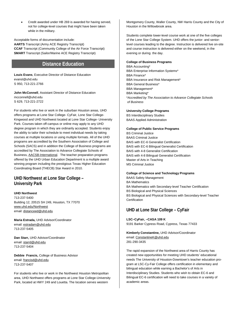• Credit awarded under HB 269 is awarded for having served, not for college-level courses that might have been taken while in the military.

Acceptable forms of documentation include: **AARTS** Transcript (Army ACE Registry Transcript) **CCAF** Transcript (Community College of the Air Force Transcript) **SMART** Transcript (Sailor/Marine ACE Registry Transcript)

### **Distance Education**

**Louis Evans**, Executive Director of Distance Education evansl@uhd.edu S 950, 713-221-2766

**John McConnell**, Assistant Director of Distance Education mcconnell@uhd.edu S 629, 713-221-2722

For students who live or work in the suburban Houston areas, UHD offers programs at Lone Star College- CyFair, Lone Star College-Kingwood and UHD Northwest located at Lone Star College- University Park. Courses taken off-campus or online may apply to any UHD degree program in which they are ordinarily accepted. Students enjoy the ability to tailor their schedule to meet individual needs by taking courses at multiple locations or using multiple formats. All of the UHD programs are accredited by the Southern Association of College and Schools (SACS) and in addition the College of Business programs are accredited by The Association to Advance Collegiate Schools of Business, [AACSB-International.](http://www.aacsb.edu/) The teacher preparation programs offered by the UHD Urban Education Department is a multiple award winning program including the prestigious Texas Higher Education Coordinating Board (THECB) Star Award in 2010.

### **UHD Northwest at Lone Star College – University Park**

#### **UHD Northwest**

713-237-5400 Building 12, 20515 SH 249, Houston, TX 77070 [www.uhd.edu/Northwest](http://www.uhd.edu/Northwest) email[: distanceed@uhd.edu](mailto:distanceed@uhd.edu)

**Maria Estrada,** UHD Advisor/Coordinator email[: estradam@uhd.edu](mailto:estradam@uhd.edu) 713-237-5405

**Dan Starr,** UHD Advisor/Coordinator email[: starrd@uhd.edu](mailto:starrd@uhd.edu) 713-237-5404

**Debbie Francis,** College of Business Advisor email[: francisd@uhd.edu](mailto:rebhunh@uhd.edu) 713-237-5407

For students who live or work in the Northwest Houston Metropolitan area, UHD Northwest offers programs at Lone Star College-University Park, located at HWY 249 and Louetta. The location serves western

Montgomery County, Waller County, NW Harris County and the City of Houston in the Willowbrook area.

Students complete lower-level course work at one of the five colleges of the Lone Star College System. UHD offers the junior- and seniorlevel courses leading to the degree. Instruction is delivered live on-site and course instruction is delivered either on the weekend, in the evening or during the day.

#### **College of Business Programs**

BBA Accounting\* BBA Enterprise Information Systems\* BBA Finance\* BBA Insurance and Risk Management\* BBA General Business\* BBA Management\* BBA Marketing\* \**Accredited by The Association to Advance Collegiate Schools of Business*

#### **University College Programs**

BS Interdisciplinary Studies BAAS Applied Administration

#### **College of Public Service Programs**

BS Criminal Justice BAAS Criminal Justice BAIS with EC-6 Generalist Certification BAIS with EC-6 Bilingual Generalist Certification BAIS with 4-8 Generalist Certification BAIS with 4-8 Bilingual Generalist Certification Master of Arts in Teaching MS Criminal Justice

#### **College of Science and Technology Programs**

BAAS Safety Management BA Mathematics BA Mathematics with Secondary-level Teacher Certification BS Biological and Physical Sciences BS Biological and Physical Sciences with Secondary-level Teacher **Certification** 

### **UHD at Lone Star College – CyFair**

**LSC–CyFair, –CASA 109 K** 9191 Barker Cypress Road, Cypress, Texas 77433

**Kimberly Constantine,** UHD Advisor/Coordinator email[: ConstantineK@uhd.edu](mailto:ConstantineK@uhd.edu) 281-290-3435

The rapid expansion of the Northwest area of Harris County has created new opportunities for meeting UHD students' educational needs The University of Houston-Downtown's teacher education program at LSC-Cy-Fair College offers certification in elementary and bilingual education while earning a Bachelor's of Arts in Interdisciplinary Studies. Students who wish to obtain EC-6 and Bilingual EC-6 certification will need to take courses in a variety of academic areas.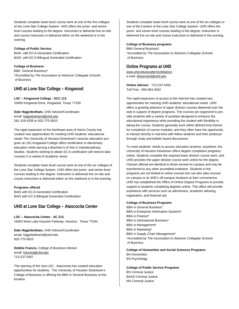Students complete lower-level course work at one of the five colleges of the Lone Star College System. UHD offers the junior- and seniorlevel courses leading to the degree. Instruction is delivered live on-site and course instruction is delivered either on the weekend or in the evening.

#### **College of Public Service**

BAIS with EC-6 Generalist Certification BAIS with EC-6 Bilingual Generalist Certification

#### **College of Business**

BBA General Business\* \**Accredited by The Association to Advance Collegiate Schools of Business*

### **UHD at Lone Star College – Kingwood**

**LSC – Kingwood College - SCC 113** 20000 Kingwood Drive, Kingwood, Texas 77339

**Dale Higginbotham,** UHD Advisor/Coordinator email[: higginbothamd@uhd.edu](mailto:estradam@uhd.edu) 281-318-4339 or 832-775-0810

The rapid expansion of the Northeast area of Harris County has created new opportunities for meeting UHD students' educational needs The University of Houston-Downtown's teacher education program at LSC-Kingwood College offers certification in elementary education while earning a Bachelor's of Arts in Interdisciplinary Studies. Students wishing to obtain EC-6 certification will need to take courses in a variety of academic areas.

Students complete lower-level course work at one of the six colleges of the Lone Star College System. UHD offers the junior- and senior-level courses leading to the degree. Instruction is delivered live on-site and course instruction is delivered either on the weekend or in the evening.

#### **Programs offered**

BAIS with EC-6 Generalist Certification BAIS with EC-6 Bilingual Generalist Certification

### **UHD at Lone Star College – Atascocita Center**

**LSC – Atascocita Center - AC 213** 15903 West Lake Houston Parkway, Houston, Texas 77044

**Dale Higginbotham,** UHD Advisor/Coordinator email: higginbothamd@uhd.edu 832-775-0810

**Debbie Francis,** College of Business Advisor email[: francisd@uhd.edu](mailto:rebhunh@uhd.edu) 713-237-5407

The opening of the new LSC - Atascocita has created education opportunities for students. The University of Houston Downtown's College of Business is offering the BBA in General Business at this location.

Students complete lower-level course work at one of the six colleges or one of the Centers of the Lone Star College System. UHD offers the junior- and senior-level courses leading to the degree. Instruction is delivered live on-site and course instruction is delivered in the evening.

#### **College of Business programs**

BBA General Business\* \**Accredited by The Association to Advance Collegiate Schools of Business*

### **Online Programs at UHD**

www.uhd.edu/academic/distance e-mail[: distanceed@uhd.edu](mailto:distanceed@uhd.edu)

**Online Advisor** - 713-237-5454 Toll Free - 855-864-3932

The rapid expansion of access to the Internet has created new opportunities for meeting UHD students' educational needs. UHD offers a growing selection of upper division courses delivered over the web in support of degree programs. The courses are organized to provide students with a variety of activities designed to enhance the educational experience while providing the student with flexibility in taking the course. Students generally work within defined time frames for completion of course modules, and they often have the opportunity to interact directly in real-time with fellow students and their professor through chats and bulletin board discussions.

To meet students' needs to access education anytime, anywhere, the University of Houston Downtown offers degree completion programs online. Students complete the required lower division course work, and UHD provides the upper division course work online for the degree. Classes offered are identical to those earned on campus and may be transferred to any other accredited institution. Students in the programs are not limited to online courses but can also take courses on campus or at UHD's off-campus locations at their convenience. UHD has established the Office of Online Degree Programs to provide support to students completing degrees online. This office will provide assistance with services such as admissions, academic advising, registration, and financial aid.

#### **College of Business Programs**

BBA in General Business\* BBA in Enterprise Information Systems\* BBA in Finance\* BBA in International Business\* BBA in Management\* BBA in Marketing\* BBA in Supply Chain Management\* \**Accredited by The Association to Advance Collegiate Schools of Business*

**College of Humanities and Social Sciences Programs**  BA Humanities BS Psychology

**College of Public Service Programs** BS Criminal Justice BAAS Criminal Justice MS Criminal Justice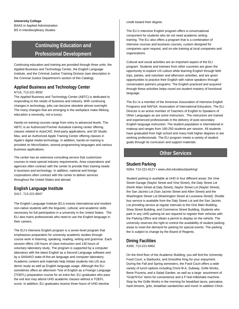#### **University College** BAAS in Applied Administration BS in Interdisciplinary Studies

### **Continuing Education and Professional Development**

Continuing education and training are provided through three units: the Applied Business and Technology Center, the English Language Institute, and the Criminal Justice Training Division (see description in the Criminal Justice Department's section of this Catalog).

### **Applied Business and Technology Center**

#### N716, 713-221-8032

The Applied Business and Technology Center (ABTC) is dedicated to responding to the needs of business and industry. With continuing changes in technology, jobs can become obsolete almost overnight. The many changes that are emerging in the workplace make lifelong education a necessity, not a luxury.

Hands-on training courses range from entry to advanced levels. The ABTC is an Authorized Premier Autodesk training center offering classes related to AutoCAD, third-party applications, and 3D Studio Max, and an Authorized Apple Training Center offering classes in Apple's digital media technology. In addition, hands-on training is provided on MicroStation, several programming languages and various business applications.

The center has an extensive consulting service that customizes courses to meet special industry requirements. Area corporations and agencies often contract with the center to provide their training needs in business and technology. In addition, national and foreign corporations often contract with the center to deliver services throughout the United States and abroad.

### **English Language Institute**

S417, 713-221-8047

The English Language Institute (ELI) invests international and resident non-native students with the linguistic, cultural, and academic skills necessary for full participation in a university in the United States. The ELI also trains professionals who need to use the English language in their careers.

The ELI's Intensive English program is a seven-level program that emphasizes preparation for university academic studies through course work in listening, speaking, reading, writing and grammar. Each session offers 130 hours of class instruction and 130 hours of voluntary laboratory study. The program is supported by a computer laboratory with the latest English as a Second Language software and by a SANAKO state-of-the-art language and computer laboratory. Academic content and materials help initiate students into US academic study as well as English language usage. Although the ELI sometimes offers an afternoon Test of English as a Foreign Language (TOEFL) preparation course for an extra fee, ELI graduates who pass the exit test may attend UHD academic classes without a TOEFL score. In addition, ELI graduates receive three hours of UHD elective

credit toward their degree.

The ELI's Intensive English program offers a conversational component for students who do not need academic writing training. The ELI also offers a program that is a combination of intensive courses and business courses, custom designed for companies upon request, and on-site training at local companies and organizations.

Cultural and social activities are an important aspect of the ELI program. Students and trainees from other countries are given the opportunity to explore US culture while learning English through field trips, parties, and volunteer and afternoon activities, and are given opportunities to practice their English with native speakers through conversation partners programs. The English practiced and acquired through these activities helps round out student mastery of functional language.

The ELI is a member of the American Association of Intensive English Programs and NAFSA: Association of International Educators. The ELI Director is an active member of Teachers of English to Speakers of Other Languages as are some instructors. The instructors are trained and experienced professionals in the delivery of post-secondary English language instruction. The student population is international in makeup and ranges from 190-250 students per session. All students have graduated from high school and many hold higher degrees or are working professionals. The ELI program meets a variety of student goals through its curriculum and support materials.

### **Other Services**

### **Student Parking**

N354, 713-221-8127 • www.uhd.edu/about/parking/

Student parking is available at UHD in four different areas: the Vine Street Garage (Naylor Street and Vine Street), the Daly Street Lot (North Main Street at Daly Street), Naylor Street Lot (Naylor Street), the San Jacinto Lot (San Jacinto Street and Allen Street) and the Washington Street Lot (Washington Street at Louisiana Street). Shuttle bus service is available from the Daly Street Lot and the San Jacinto Lot providing service at regular intervals to the One Main Building, Shea Street Building, and Commerce Street Building. Students who park in any UHD parking lot are required to register their vehicles with the Parking Office and obtain a permit to display on the vehicle. The university reserves the right to control the availability of student parking areas to meet the demand for parking for special events. The parking fee is subject to change by the Board of Regents.

### **Dining Facilities**

A300, 713-221-8462

On the third floor of the Academic Building, you will find the University Food Court, a Starbucks, and Smoothie King for your enjoyment. During the Fall and Spring semesters, the Food Court offers a wide variety of lunch options including Chick-fil-A, Subway, Grille Works, Bene Pizzeria, and a Salad Garden, as well as a large assortment of "Grab'N'Go" items for convenience and a F'real milkshake machine . Stop by the Grille Works in the morning for breakfast tacos, pancakes, hash-browns, grits, breakfast sandwiches and more! In addition Chick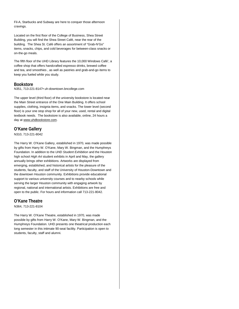Fil-A, Starbucks and Subway are here to conquer those afternoon cravings.

Located on the first floor of the College of Business, Shea Street Building, you will find the Shea Street Café, near the rear of the building. The Shea St. Café offers an assortment of "Grab-N'Go" items, snacks, chips, and cold beverages for between-class snacks or on-the-go meals.

The fifth floor of the UHD Library features the 10,000 Windows Café', a coffee shop that offers handcrafted espresso drinks, brewed coffee and tea, and smoothies , as well as pastries and grab-and-go items to keep you fueled while you study.

#### **Bookstore**

N351, 713-221-8147• uh-downtown.bncollege.com

The upper level (third floor) of the university bookstore is located near the Main Street entrance of the One Main Building. It offers school supplies, clothing, insignia items, and snacks. The lower level (second floor) is your one stop shop for all of your new, used, rental and digital textbook needs. The bookstore is also available, online, 24 hours a day at www.uhdbookstore.com.

### **O'Kane Gallery**

N310, 713-221-8042

The Harry W. O'Kane Gallery, established in 1970, was made possible by gifts from Harry W. O'Kane, Mary W. Bingman, and the Humphreys Foundation. In addition to the *UHD Student Exhibition* and the Houston high school *High Art* student exhibits in April and May, the gallery annually brings other exhibitions. Artworks are displayed from emerging, established, and historical artists for the pleasure of the students, faculty, and staff of the University of Houston-Downtown and the downtown Houston community. Exhibitions provide educational support to various university courses and to nearby schools while serving the larger Houston community with engaging artwork by regional, national and international artists. Exhibitions are free and open to the public. For hours and information call 713-221-8042.

### **O'Kane Theatre**

N364, 713-221-8104

The Harry W. O'Kane Theatre, established in 1970, was made possible by gifts from Harry W. O'Kane, Mary W. Bingman, and the Humphreys Foundation. UHD presents one theatrical production each long semester in this intimate 90-seat facility. Participation is open to students, faculty, staff and alumni.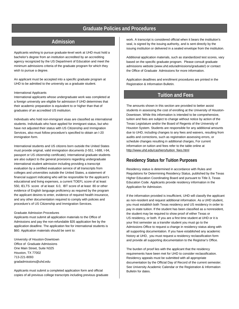### **Graduate Policies and Procedures**

### **Admission**

Applicants wishing to pursue graduate-level work at UHD must hold a bachelor's degree from an institution accredited by an accrediting agency recognized by the US Department of Education and meet the minimum admissions criteria of the graduate program for which they wish to pursue a degree.

An applicant must be accepted into a specific graduate program at UHD to be admitted to the university as a graduate student.

#### International Applicants

International applicants whose undergraduate work was completed at a foreign university are eligible for admission if UHD determines that their academic preparation is equivalent to or higher than that of graduates of an accredited US institution.

Individuals who hold non-immigrant visas are classified as international students. Individuals who have applied for immigrant status, but who have not adjusted their status with US Citizenship and Immigration Services, also must follow procedure's specified to obtain an I-20 immigration form.

International students and US citizens born outside the United States must provide original, valid immigration documents (I-551, I-688, I-94, passport or US citizenship certificate). International graduate students are also subject to the general provisions regarding undergraduate international student admission including providing a transcript evaluation by a certified evaluation service of all transcripts from colleges and universities outside the United States, a statement of financial support indicating who will be responsible for the applicant's educational and living expenses, a current TOEFL score of at least 550, IELTS score of at least 6.0, IBT score of at least 80 or other evidence of English language proficiency as required by the program the applicant desires to enter, evidence of required health insurance, and any other documentation required to comply with policies and procedure's of US Citizenship and Immigration Services.

#### Graduate Admission Procedures

Applicants must submit all application materials to the Office of Admissions and pay the non-refundable \$35 application fee by the application deadline. The application fee for international students is \$60. Application materials should be sent to:

University of Houston-Downtown Office of Graduate Admissions One Main Street, Suite N325 Houston, TX 77002 713-221-8093 gradadmissions@uhd.edu

Applicants must submit a completed application form and official copies of all previous college transcripts including previous graduate

work. A transcript is considered official when it bears the institution's seal, is signed by the issuing authority, and is sent directly by the issuing institution or delivered in a sealed envelope from the institution.

Additional application materials, such as standardized test scores, vary based on the specific graduate program. Please consult graduate admissions website (www.uhd.edu/admissions/graduate/) or contact the Office of Graduate Admissions for more information.

Application deadlines and enrollment procedures are printed in the Registration & Information Bulletin.

### **Tuition and Fees**

The amounts shown in this section are provided to better assist students in assessing the cost of enrolling at the University of Houston-Downtown. While this information is intended to be comprehensive, tuition and fees are subject to change without notice by action of the Texas Legislature and/or the Board of Regents of the University of Houston System. Students are responsible for any additional amounts due to UHD, including changes to any fees and waivers, resulting from audits and corrections, such as registration assessing errors, or schedule changes resulting in additional charges, For current information on tuition and fees refer to the table online at [http://www.uhd.edu/cashiers/tuition\\_fees.html](http://www.uhd.edu/cashiers/tuition_fees.html)

### **Residency Status for Tuition Purposes**

Residency status is determined in accordance with Rules and Regulations for Determining Residency Status, published by the Texas Higher Education Coordinating Board and pursuant to Title 3, Texas Education Code. Applicants provide residency information in the Application for Admission.

If the information provided is insufficient, UHD will classify the applicant as non-resident and request additional information. As a UHD student, you must establish both Texas residency and US residency in order to pay in-state tuition. If the student has been classified as a nonresident, the student may be required to show proof of either Texas or US residency, or both. If you are a first time student at UHD or it is your first semester as a transfer student you must go to the Admissions Office to request a change in residency status along with all supporting documentation. If you have established any academic history at UHD, you must request a residency reclassification form and provide all supporting documentation to the Registrar's Office.

The burden of proof lies with the applicant that the residency requirements have been met for UHD to consider reclassification. Residency appeals must be submitted with all appropriate documentation by the Official Day of Record of the current semester. See University Academic Calendar or the Registration & Information Bulletin for dates.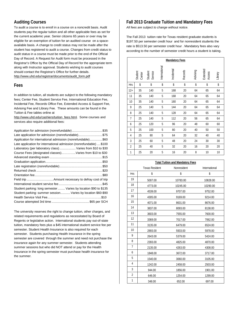### **Auditing Courses**

To audit a course is to enroll in a course on a noncredit basis. Audit students pay the regular tuition and all other applicable fees as set for the current academic year. Senior citizens 65 years or over may be eligible for an exemption of tuition for an audited course on a spaceavailable basis. A change to credit status may not be made after the student has registered to audit a course. Changes from credit status to audit status in a course must be made prior to the end of the Official Day of Record. A Request for Audit form must be processed in the Registrar's Office by the Official Day of Record for the appropriate term along with Instructor approval. Students wishing to audit courses should contact the Registrar's Office for further details. [http://www.uhd.edu/registrar/documents/audit\\_form.pdf](http://www.uhd.edu/registrar/documents/audit_form.pdf)

#### **Fees**

In addition to tuition, all students are subject to the following mandatory fees; Center Fee, Student Service Fee, International Education Fee, Incidental Fee, Records Office Fee, Extended Access & Support Fee, Advising Fee and Library Fee. These amounts can be found in the Tuition & Fee tables online at

[http://www.uhd.edu/cashiers/tuition\\_fees.html.](http://www.uhd.edu/cashiers/tuition_fees.html) Some courses and services also require additional fees:

| Application for admission (nonrefundable)\$35                       |
|---------------------------------------------------------------------|
| Late application for admission (nonrefundable)\$75                  |
| Application for international admission (nonrefundable)\$60         |
| Late application for international admission (nonrefundable)  \$100 |
| Laboratory (per laboratory class) Varies from \$10 to \$30          |
| Course Fees (designated classes)Varies from \$10 to \$30            |
|                                                                     |
|                                                                     |
|                                                                     |
|                                                                     |
|                                                                     |
|                                                                     |
|                                                                     |
| Student parking: long semester  Varies by location \$90 to \$135    |
| Student parking: summer session Varies by location \$60-\$90        |
|                                                                     |
|                                                                     |

The university reserves the right to change tuition, other charges, and related requirements and regulations as necessitated by Board of Regents or legislative action. International students pay out-of-state tuition, mandatory fees plus a \$45 international student service fee per semester. Student Health Insurance is also required for each semester. Students purchasing Health Insurance in the spring semester are covered through the summer and need not purchase the insurance again for any summer semester. Students attending summer sessions but who did NOT attend or pay for the Health Insurance in the spring semester must purchase health insurance for the summer.

### **Fall 2013 Graduate Tuition and Mandatory Fees**

*All fees are subject to change without notice.*

The Fall 2013 tuition rate for Texas resident graduate students is \$197.50 per semester credit hour and for nonresident students the rate is \$513.50 per semester credit hour . Mandatory fees also vary according to the number of semester credit hours a student is taking.

|                | <b>Mandatory Fees</b> |                    |               |            |         |          |                    |         |
|----------------|-----------------------|--------------------|---------------|------------|---------|----------|--------------------|---------|
|                | Student<br>Center     | Student<br>Service | International | Incidental | Records | Advising | Extended<br>Access | Library |
| <b>Hrs</b>     | \$                    | \$                 | \$            | \$         | \$      | \$       | \$                 | \$      |
| $12+$          | 35                    | 140                | 5             | 168        | 20      | 64       | 65                 | 64      |
| 11             | 35                    | 140                | 5             | 168        | 20      | 64       | 65                 | 64      |
| 10             | 35                    | 140                | 5             | 160        | 20      | 64       | 65                 | 64      |
| 9              | 25                    | 140                | 5             | 144        | 20      | 64       | 65                 | 64      |
| 8              | 25                    | 140                | 5             | 128        | 20      | 64       | 65                 | 64      |
| 7              | 25                    | 140                | 5             | 112        | 20      | 56       | 65                 | 64      |
| 6              | 25                    | 120                | 5             | 96         | 20      | 48       | 60                 | 60      |
| 5              | 25                    | 100                | 5             | 80         | 20      | 40       | 50                 | 50      |
| $\overline{4}$ | 25                    | 80                 | 5             | 64         | 20      | 32       | 40                 | 40      |
| 3              | 25                    | 60                 | 5             | 48         | 20      | 24       | 30                 | 30      |
| $\overline{2}$ | 25                    | 40                 | 5             | 32         | 20      | 16       | 20                 | 20      |
| $\mathbf{1}$   | 25                    | 20                 | 5             | 16         | 20      | 8        | 10                 | 10      |

#### **Total Tuition and Mandatory Fees**

|                | <b>Texas Resident</b> | Nonresident | International |
|----------------|-----------------------|-------------|---------------|
| <b>Hrs</b>     | \$                    | \$          | \$            |
| 19             | 5007.00               | 10783.00    | 10828.00      |
| 18             | 4773.00               | 10245.00    | 10290.00      |
| 17             | 4539.00               | 9707.00     | 9752.00       |
| 16             | 4305.00               | 9169.00     | 9214.00       |
| 15             | 4071.00               | 8631.00     | 8676.00       |
| 14             | 3837.00               | 8093.00     | 8138.00       |
| 13             | 3603.00               | 7555.00     | 7600.00       |
| 12             | 3369.00               | 7017.00     | 7062.00       |
| 11             | 3135.00               | 6479.00     | 6524.00       |
| 10             | 2893.00               | 5933.00     | 5978.00       |
| 9              | 2643.00               | 5379.00     | 5424.00       |
| 8              | 2393.00               | 4825.00     | 4870.00       |
| $\overline{7}$ | 2135.00               | 4263.00     | 4308.00       |
| 6              | 1848.00               | 3672.00     | 3717.00       |
| 5              | 1540.00               | 3060.00     | 3105.00       |
| $\overline{4}$ | 1242.00               | 2458.00     | 2503.00       |
| 3              | 944.00                | 1856.00     | 1901.00       |
| $\overline{2}$ | 646.00                | 1254.00     | 1299.00       |
| 1              | 348.00                | 652.00      | 697.00        |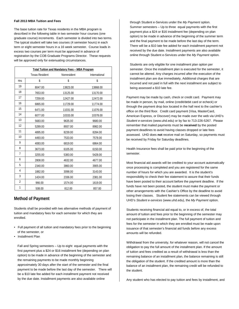#### **Fall 2013 MBA Tuition and Fees**

The base tuition rate for Texas residents in the MBA program is described in the following table in two semester hour courses (one graduate course) increments. Each semester is divided into two terms. The typical student will take two courses (4 semester hours) in each term or eight semester hours in a 16 week semester. Course loads in excess two courses per term must be approved in advance of registration by the COB Graduate Programs Director. These requests will be approved only for extenuating circumstances.

| Total Tuition and Mandatory Fees - MBA Program |                       |             |               |  |
|------------------------------------------------|-----------------------|-------------|---------------|--|
|                                                | <b>Texas Resident</b> | Nonresident | International |  |
| <b>Hrs</b>                                     | \$                    | \$          | \$            |  |
| 19                                             | 8047.00               | 13823.00    | 13868.00      |  |
| 18                                             | 7653.00               | 13125.00    | 13170.00      |  |
| 17                                             | 7259.00               | 12427.00    | 12472.00      |  |
| 16                                             | 6865.00               | 11729.00    | 11774.00      |  |
| 15                                             | 6471.00               | 11031.00    | 11076.00      |  |
| 14                                             | 6077.00               | 10333.00    | 10378.00      |  |
| 13                                             | 5683.00               | 9635.00     | 9680.00       |  |
| 12                                             | 5289.00               | 8937.00     | 8982.00       |  |
| 11                                             | 4895.00               | 8239.00     | 8284.00       |  |
| 10                                             | 4493.00               | 7533.00     | 7578.00       |  |
| 9                                              | 4083.00               | 6819.00     | 6864.00       |  |
| 8                                              | 3673.00               | 6105.00     | 6150.00       |  |
| 7                                              | 3255.00               | 5383.00     | 5428.00       |  |
| 6                                              | 2808.00               | 4632.00     | 4677.00       |  |
| 5                                              | 2340.00               | 3860.00     | 3905.00       |  |
| 4                                              | 1882.00               | 3098.00     | 3143.00       |  |
| 3                                              | 1424.00               | 2336.00     | 2381.00       |  |
| $\overline{2}$                                 | 966.00                | 1574.00     | 1619.00       |  |
| 1                                              | 508.00                | 812.00      | 857.00        |  |

### **Method of Payment**

Students shall be provided with two alternative methods of payment of tuition and mandatory fees for each semester for which they are enrolled.

- Full payment of all tuition and mandatory fees prior to the beginning of the semester, or
- Installment Plan

Fall and Spring semesters – Up to eight equal payments with the first payment plus a \$24 or \$16 installment fee (depending on plan option) to be made in advance of the beginning of the semester and the remaining payments to be made monthly beginning approximately 30 days after the start of the semester and the final payment to be made before the last day of the semester. There will be a \$10 late fee added for each installment payment not received by the due date. Installment payments are also available online

through Student e-Services under the *My Payment* option. Summer semesters – Up to three equal payments with the first payment plus a \$24 or \$16 installment fee (depending on plan option) to be made in advance of the beginning of the summer term and the final payment to be made before the last day of the term. There will be a \$10 late fee added for each installment payment not received by the due date. Installment payments are also available online through Student e-Services under the *My Payment* option.

Students are only eligible for one installment plan option per semester. Once the installment plan is executed for the semester, it cannot be altered. Any charges incurred after the execution of the installment plan are due immediately, Additional charges that are incurred and not paid in full with the next installment are subject to being assessed a \$10 late fee.

Payment may be made by cash, check or credit card. Payment may be made in person, by mail, online (credit/debit card or echeck) or through the payment drop box located in the hall next to the cashier's office on the third floor. Credit card payment (Visa, MasterCard, American Express, or Discover) may be made over the web via UHD's *Student e-services* (www.uhd.edu) or by fax to 713-226-5267. Please remember that mailed payments must be **received** by the posted payment deadlines to avoid having classes dropped or late fees assessed. UHD does **not** receive mail on Saturday, so payments must be received by Friday for Saturday deadlines.

Health Insurance fees shall be paid prior to the beginning of the semester.

Most financial aid awards will be credited to your account automatically once processing is completed and you are registered for the same number of hours for which you are awarded. It is the student's responsibility to check their fee statement to assure that their funds have been posted to their account before the payment deadline. If the funds have not been posted, the student must make the payment or other arrangements with the Cashier's Office by the deadline to avoid losing their classes. Student fee statements can be viewed through UHD's *Student e-services* (www.uhd.edu), the *My Payment* option.

Students receiving financial aid equal to, or in excess of, the total amount of tuition and fees prior to the beginning of the semester may not participate in the installment plan. The full payment of tuition and fees for the semester in which they are enrolled must be made upon issuance of that semester's financial aid funds before any excess amounts will be refunded.

Withdrawal from the university, for whatever reason, will not cancel the obligation to pay the full amount of the installment plan. If the amount of tuition and fees credited as a result of withdrawal is less than the remaining balance of an installment plan, the balance remaining is still the obligation of the student. If the credited amount is more than the balance of an installment plan, the remaining credit will be refunded to the student.

Any student who has elected to pay tuition and fees by installment, and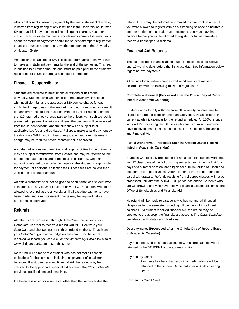who is delinquent in making payment by the final installment due date, is barred from registering at any institution in the University of Houston System until full payment, including delinquent charges, has been made. Each university maintains records and informs other institutions about the status of payments should the student attempt to register for courses or pursue a degree at any other component of the University of Houston System.

An additional default fee of \$50 is collected from any student who fails to make all installment payments by the end of the semester. This fee, in addition to all other amounts due, must be paid prior to the student's registering for courses during a subsequent semester.

### **Financial Responsibility**

Students are required to meet financial responsibilities to the university. Students who write checks to the university on accounts with insufficient funds are assessed a \$20 service charge for each such check, regardless of the amount. If a check is returned as a result of bank error, the student must deal with the bank for reimbursement of the \$20 returned check charge paid to the university. If such a check is presented in payment of tuition and fees, the payment will be reversed from the student account and the student will be subject to all applicable late fee and drop dates. Failure to make a valid payment by the drop date WILL result in loss of registration and a reinstatement charge may be required before reenrollment is approved.

A student who does not meet financial responsibilities to the university may be subject to withdrawal from classes and may be referred to law enforcement authorities and/or the local credit bureau. Once an account is referred to our collection agency, the student is responsible for payment of additional collection fees. These fees are no less than 23% of the delinquent amount.

An official transcript shall not be given to or on behalf of a student who is in default on any payment due the university. The student will not be allowed to re-enroll at the university until all past due payments have been made, and a reinstatement charge may be required before enrollment is approved.

### **Refunds**

All refunds are processed through HigherOne, the issuer of your GatorCard. In order to receive a refund you MUST activate your GatorCard and choose one of the three refund methods. To activate your GatorCard, go to www.uhdgatorcard.com. If you have not received your card, you can click on the *Where's My Card?* link also at www.uhdgatorcard.com to see the status.

No refund will be made to a student who has not met all financial obligations for the semester, including full payment of installment balances. If a student received financial aid, the refund may be credited to the appropriate financial aid account. The *Class Schedule*  provides specific dates and deadlines.

If a balance is owed for a semester other than the semester due the

refund, funds may be automatically moved to cover that balance. If you were allowed to register with an outstanding balance or incurred a debt for a prior semester after you registered, you must pay that balance before you will be allowed to register for future semesters, receive a transcript or a diploma.

### **Financial Aid Refunds**

The first posting of financial aid to student's accounts is not allowed until 10 working days before the first class day. See information below regarding overpayments

All refunds for schedule changes and withdrawals are made in accordance with the following rules and regulations:

#### **Complete Withdrawal (Processed after the Official Day of Record listed in Academic Calendar)**

Students who officially withdraw from all university courses may be eligible for a refund of tuition and mandatory fees. Please refer to the current academic calendar for the refund schedule. All 100% refunds incur a \$15 processing fee. Students who are withdrawing and who have received financial aid should consult the Office of Scholarships and Financial Aid.

#### **Partial Withdrawal (Processed after the Official Day of Record listed in Academic Calendar)**

Students who officially drop some but not all of their courses within the first 12 class days of the fall or spring semester, or within the first four days of a summer session, are eligible for a 100% refund of tuition and fees for the dropped classes. After this period there is no refund for partial withdrawals. Refunds resulting from dropped classes will not be processed until after the ADD/DROP period has ended. Students who are withdrawing and who have received financial aid should consult the Office of Scholarships and Financial Aid.

No refund will be made to a student who has not met all financial obligations for the semester, including full payment of installment balances. If a student received financial aid, the refund may be credited to the appropriate financial aid account. The *Class Schedule*  provides specific dates and deadlines.

### **Overpayments (Processed after the Official Day of Record listed in Academic Calendar)**

Payments received on student accounts with a zero balance will be returned to the STUDENT at the address on file.

Payment by Check

Payments by check that result in a credit balance will be refunded to the student GatorCard after a 30 day clearing period.

Payment by Credit Card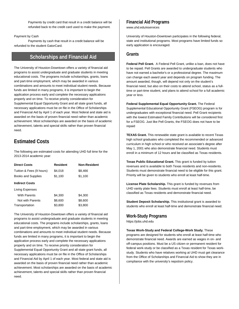Payments by credit card that result in a credit balance will be refunded back to the credit card used to make the payment.

#### Payment by Cash

Payments by cash that result in a credit balance will be refunded to the student GatorCard.

### **Scholarships and Financial Aid**

The University of Houston-Downtown offers a variety of financial aid programs to assist undergraduate and graduate students in meeting educational costs. The programs include scholarships, grants, loans and part-time employment, which may be awarded in various combinations and amounts to meet individual student needs. Because funds are limited in many programs, it is important to begin the application process early and complete the necessary applications properly and on time. To receive priority consideration for Supplemental Equal Opportunity Grant and all state grant funds, all necessary applications must be on file in the Office of Scholarships and Financial Aid by April 1 of each year. Most federal and state aid is awarded on the basis of proven financial need rather than academic achievement. Most scholarships are awarded on the basis of academic achievement, talents and special skills rather than proven financial need.

### **Estimated Costs**

The following are estimated costs for attending UHD full time for the 2013-2014 academic year:

| <b>Direct Costs</b>      | Resident | <b>Non-Resident</b> |
|--------------------------|----------|---------------------|
| Tuition & Fees (9 hours) | \$4,018  | \$8,466             |
| Books and Supplies       | \$1,100  | \$1,100             |
| <b>Indirect Costs</b>    |          |                     |
| Living Expenses          |          |                     |
| <b>With Parents</b>      | \$4,300  | \$4,300             |
| Not with Parents         | \$8,600  | \$8,600             |
| Transportation           | \$3,800  | \$3,800             |
|                          |          |                     |

The University of Houston-Downtown offers a variety of financial aid programs to assist undergraduate and graduate students in meeting educational costs. The programs include scholarships, grants, loans and part-time employment, which may be awarded in various combinations and amounts to meet individual student needs. Because funds are limited in many programs, it is important to begin the application process early and complete the necessary applications properly and on time. To receive priority consideration for Supplemental Equal Opportunity Grant and all state grant funds, all necessary applications must be on file in the Office of Scholarships and Financial Aid by April 1 of each year. Most federal and state aid is awarded on the basis of proven financial need rather than academic achievement. Most scholarships are awarded on the basis of academic achievement, talents and special skills rather than proven financial need.

### **Financial Aid Programs**

[www.uhd.edu/eservices](http://www.uhd.edu/eservices)

University of Houston-Downtown participates in the following federal, state and institutional programs. Most programs have limited funds so early application is encouraged.

### **Grants**

**Federal Pell Grant.** A Federal Pell Grant, unlike a loan, does not have to be repaid. Pell Grants are awarded to undergraduate students who have not earned a bachelor's or a professional degree. The maximum can change each award year and depends on program funding. The amount awarded, though, will depend not only on the student's financial need, but also on their costs to attend school, status as a fulltime or part-time student, and plans to attend school for a full academic year or less.

**Federal Supplemental Equal Opportunity Grant.** The Federal Supplemental Educational Opportunity Grant (FSEOG) program is for undergraduates with exceptional financial need. Pell Grant recipients with the lowest Estimated Family Contributions will be considered first for a FSEOG. Just like Pell Grants, the FSEOG does not have to be repaid

**TEXAS Grant.** This renewable state grant is available to recent Texas high school graduates who completed the recommended or advanced curriculum in high school or who received an associate's degree after May 1, 2001 who also demonstrate financial need. Students must enroll in a minimum of 12 hours and be classified as Texas residents.

**Texas Public Educational Grant.** This grant is funded by tuition revenues and is available to both Texas residents and non-residents. Students must demonstrate financial need to be eligible for this grant. Priority will be given to students who enroll at least half-time.

**License Plate Scholarship.** This grant is funded by revenues from UHD vanity plate fees. Students must enroll at least half-time, be classified as Texas residents and demonstrate financial need.

**Student Deposit Scholarship.** This institutional grant is awarded to students who enroll at least half-time and demonstrate financial need.

### **Work-Study Programs**

https://jobs.uhd.edu

**Texas Work-Study and Federal College-Work Study.** These programs are designed for students who enroll at least half-time who demonstrate financial need. Awards are earned as wages in on- and off-campus positions. Must be a US citizen or permanent resident for federal work-study or be classified as a Texas resident for Texas workstudy. Students who have relatives working at UHD must get clearance from the Office of Scholarships and Financial Aid to show they are in compliance with the university's nepotism policy.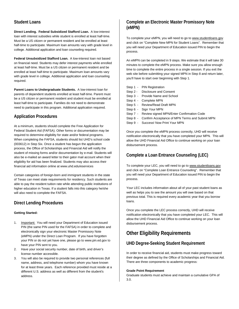### **Student Loans**

**Direct Lending. Federal Subsidized Stafford Loan.** A low-interest loan with interest subsidies while student is enrolled at least half-time. Must be a US citizen or permanent resident and be enrolled at least half-time to participate. Maximum loan amounts vary with grade level in college. Additional application and loan counseling required.

**Federal Unsubsidized Stafford Loan.** A low-interest loan not based on financial need. Students may defer interest payments while enrolled at least half-time. Must be a US citizen or permanent resident and be enrolled at least half-time to participate. Maximum loan amounts vary with grade level in college. Additional application and loan counseling required.

**Parent Loans to Undergraduate Students.** A low-interest loan for parents of dependent students enrolled at least half-time. Parent must be a US citizen or permanent resident and student must be enrolled at least half-time to participate. Families do not need to demonstrate need to participate in this program. Additional application required.

### **Application Procedures**

At a minimum, students should complete the Free Application for Federal Student Aid (FAFSA). Other forms or documentation may be required to determine eligibility for state and/or federal programs. When completing the FAFSA, students should list UHD's school code (003612) in Step Six. Once a student has begun the application process, the Office of Scholarships and Financial Aid will notify the student of missing forms and/or documentation by e-mail. Students will also be e-mailed an award letter to their gator mail account when their eligibility for aid has been finalized. Students may also access their financial aid information online a[t www.uhd.edu/eservices](http://www.uhd.edu/eservices) 

Certain categories of foreign-born and immigrant students in the state of Texas can meet state requirements for residency. Such students are able to pay the resident tuition rate while attending public institutions of higher education in Texas. If a student falls into this category he/she will also need to complete the FAFSA.

### **Direct Lending Procedures**

### **Getting Started:**

- 1. Important: You will need your Department of Education issued PIN (the same PIN used for the FAFSA) in order to complete and electronically sign your electronic Master Promissory Note (eMPN) under the Direct Loan Program. If you have forgotten your PIN or do not yet have one, please go t[o www.pin.ed.gov](http://www.pin.ed.gov/) to have your PIN sent to you.
- 2. Have your social security number, date of birth, and driver's license number accessible.
- 3. You will also be required to provide two personal references (full name, address, and telephone number) whom you have known for at least three years. Each reference provided must reside at a different U.S. address as well as different from the student's address.

### **Complete an Electronic Master Promissory Note (eMPN)**

To complete your eMPN, you will need to go to [www.studentloans.gov](http://www.studentloans.gov/) and click on "Complete New MPN for Student Loans". Remember that you will need your Department of Education issued PIN to begin the process.

An eMPN can be completed in 9 steps. We estimate that it will take 30 minutes to complete the eMPN process. Make sure you allow enough time to complete the entire process in a single session. If you exit the web site before submitting your signed MPN in Step 8 and return later, you'll have to start over beginning with Step 1.

- Step 1 PIN Registration Step 2 - Disclosure and Consent Step 3 - Provide Name and School Step 4 - Complete MPN Step 5 - Review/Read Draft MPN Step 6 - Sign Your MPN Step 7 - Review signed MPN/Enter Confirmation Code Step 8 - Confirm Acceptance of MPN Terms and Submit MPN
- Step 9 Success! Now Print Your MPN

Once you complete the eMPN process correctly, UHD will receive notification electronically that you have completed your MPN. This will allow the UHD Financial Aid Office to continue working on your loan disbursement process.

### **Complete a Loan Entrance Counseling (LEC)**

To complete your LEC, you will need to go t[o www.studentloans.gov](http://www.studentloans.gov/) and click on "Complete Loan Entrance Counseling". Remember that you will need your Department of Education issued PIN to begin the process.

Your LEC includes information about all of your past student loans as well as helps you to see the amount you will owe based on that previous total. This is required every academic year that you borrow loans.

Once you complete the LEC process correctly, UHD will receive notification electronically that you have completed your LEC. This will allow the UHD Financial Aid Office to continue working on your loan disbursement process.

### **Other Eligibility Requirements**

### **UHD Degree-Seeking Student Requirement**

In order to receive financial aid, students must make progress toward their degree as defined by the Office of Scholarships and Financial Aid. There are three components to academic progress:

#### **Grade Point Requirement**

Graduate students must achieve and maintain a cumulative GPA of 3.0.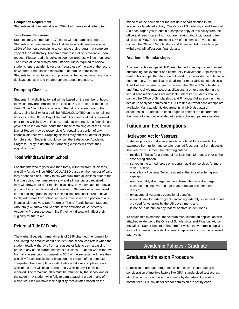#### **Completion Requirement**

Students must complete at least 73% of all course work attempted.

#### **Time Frame Requirement**

Students may attempt up to 170 hours without earning a degree. Students who have earned their first bachelor's degree are allowed 150% of the hours remaining to complete their program. A complete copy of the Satisfactory Academic Progress Policy is available upon request. Please read this policy to see how progress will be monitored. The Office of Scholarships and Financial Aid is required to review students' entire academic records (regardless of the age of the record or whether or not aid was received) to determine compliance. Students found not to be in compliance will be notified in writing of any denial/suspension and the appropriate appeal procedure.

### **Dropping Classes**

Students' final eligibility for aid will be based on the number of hours for which they are enrolled on the Official Day of Record listed in the *Class Schedule*. If they register and then drop classes prior to that date, their eligibility for aid will be RECALCULATED on the remaining hours as of the Official Day of Record. Since financial aid is released prior to the Official Day of Record, students who receive a financial aid payment based on more hours than those remaining as of the Official Day of Record may be responsible for repaying a portion of any financial aid received. Dropping classes may affect students' eligibility for future aid. Students should consult the Satisfactory Academic Progress Policy to determine if dropping classes will affect their eligibility for aid.

### **Total Withdrawal from School**

For students who register and then totally withdraw from all classes, eligibility for aid will be RECALCULATED based on the number of days they attended class. If they totally withdraw from all classes prior to the first class day, they must repay any and all financial aid received. If they withdraw on or after the first class day, they may have to repay a portion of any cash financial aid received. Students who have failed to earn a passing grade in any of their classes are considered to have totally withdrawn from school and may have to repay a portion of any financial aid received. See Return of Title IV Funds below. Students who totally withdraw should consult the definition of Satisfactory Academic Progress to determine if their withdrawal will affect their eligibility for future aid.

### **Return of Title IV Funds**

The Higher Education Amendments of 1998 changed the formula for calculating the amount of aid a student and school can retain when the student totally withdraws from all classes or fails to earn a passing grade in any of the current semester's classes. Students who withdraw from all classes prior to completing 60% of the semester will have their eligibility for aid recalculated based on the percent of the semester completed. For example, a student who withdraws completing only 30% of the term will have "earned" only 30% of any Title IV aid received. The remaining 70% must be returned by the school and/or the student. A student who fails to earn a passing grade in any of his/her courses will have their eligibility recalculated based on the

midpoint of the semester or the last date of participation in an academically related activity. The Office of Scholarships and Financial Aid encourages you to obtain a complete copy of this policy from the office and read it carefully. If you are thinking about withdrawing from all classes PRIOR to completing 60% of the semester, you should contact the Office of Scholarships and Financial Aid to see how your withdrawal will affect your financial aid.

### **Academic Scholarships**

Academic scholarships at UHD are intended to recognize and reward outstanding achievement and community involvement. Applicants for most scholarships, therefore, do not need to show evidence of financial need to apply. The application deadline for most UHD scholarships is April 1 of each academic year. However, the Office of Scholarships and Financial Aid may accept applications at other times during the year if scholarship funds are available. Interested students should contact the Office of Scholarships and Financial Aid as soon as they decide to apply for admission at UHD to find out what scholarships are available. Many academic departments at UHD also award scholarships. Students are encouraged to contact the department of their major to find out what departmental scholarships are available.

### **Tuition and Fee Exemptions**

### **Hazlewood Act for Veterans**

State law provides that a veteran who is a legal Texas resident is exempted from tuition and certain required fees, but not from deposits. The veteran must meet the following criteria:

- resides in Texas for a period of not less than 12 months prior to the date of registration;
- served in the armed forces or in certain auxiliary services for more than 180 days;
- was a bona fide legal Texas resident at the time of entering such service;
- was honorably discharged (except those who were discharged because of being over the age of 38 or because of personal request);
- exhausted all veteran's educational benefits;
- is not eligible for federal grants, including federally sponsored grants provided for veterans by the US government; and
- is not be in default on any federal or state student loans.

To obtain this exemption, the veteran must submit an application with attached evidence to the Office of Scholarships and Financial Aid by the Official Day of Record of the term for which the veteran is applying for the Hazlewood benefits. Hazlewood applications must be renewed each year.

### **Academic Policies - Graduate**

### **Graduate Admission Procedure**

Admission to graduate programs is competitive, incorporating a consideration of multiple factors like GPA, standardized test scores, etc. Decisions for admission are made by department graduate committees. Usually deadlines for admission are set by each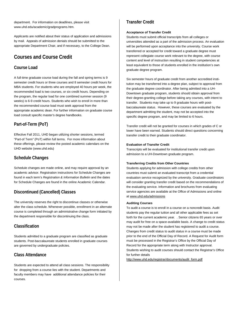department. For information on deadlines, please visit www.uhd.edu/academic/gradprograms.htm.

Applicants are notified about their status of application and admissions by mail. Appeals of admission denials should be submitted to the appropriate Department Chair, and if necessary, to the College Dean.

### **Courses and Course Credit**

### **Course Load**

A full-time graduate course load during the fall and spring terms is 9 semester credit hours or three courses and 8 semester credit hours for MBA students. For students who are employed 40 hours per week, the recommended load is two courses, or six credit hours. Depending on the program, the regular load for one combined summer session (9 weeks) is 6-9 credit hours. Students who wish to enroll in more than the recommended course load must seek approval from the appropriate academic dean. For further information on graduate course load consult specific master's degree handbooks.

### **Part-of-Term (PoT)**

Effective Fall 2011, UHD began utilizing shorter sessions, termed "Part-of Term" (PoT) within full terms. For more information about these offerings, please review the posted academic calendars on the UHD website (www.uhd.edu)

### **Schedule Changes**

Schedule changes are made online, and may require approval by an academic advisor. Registration instructions for Schedule Changes are found in each term's *Registration & Information Bulletin* and the dates for Schedule Changes are found in the online Academic Calendar.

### **Discontinued (Cancelled) Classes**

The university reserves the right to discontinue classes or otherwise alter the class schedule. Whenever possible, enrollment in an alternate course is completed through an administrative change form initiated by the department responsible for discontinuing the class.

### **Classification**

Students admitted to a graduate program are classified as graduate students. Post-baccalaureate students enrolled in graduate courses are governed by undergraduate policies.

### **Class Attendance**

Students are expected to attend all class sessions. The responsibility for dropping from a course lies with the student. Departments and faculty members may have additional attendance policies for their courses.

### **Transfer Credit**

#### **Acceptance of Transfer Credit**

Students must submit official transcripts from all colleges or universities attended as a part of the admission process. An evaluation will be performed upon acceptance into the university. Course work transferred or accepted for credit toward a graduate degree must represent collegiate course work relevant to the degree, with course content and level of instruction resulting in student competencies at least equivalent to those of students enrolled in the institution's own graduate degree program.

Six semester hours of graduate credit from another accredited institution may be transferred into a degree plan, subject to approval from the graduate degree coordinator. After being admitted into a UH-Downtown graduate program, students should obtain approval from their degree-granting college before taking any courses, with intent to transfer. Students may take up to 9 graduate hours with postbaccalaureate status. However, these courses are evaluated by the department admitting the student, may not be accepted into the specific degree program, and may be limited to 6 hours.

Transfer credit will not be granted for courses in which grades of C or lower have been earned. Students should direct questions concerning transfer credit to their graduate coordinator.

#### **Evaluation of Transfer Credit**

Transcripts will be evaluated for institutional transfer credit upon admission to a UH-Downtown graduate program.

#### **Transferring Credits from Other Countries**

Students applying for admission with college credits from other countries must submit an evaluated transcript from a credential evaluation service recognized by the university. Graduate coordinators will consider granting transfer credit based on the recommendations of the evaluating service. Information and brochures from evaluating service agencies are available at the Office of Admissions and online at [www.uhd.edu/admissions](http://www.uhd.edu/admissions)

#### **Auditing Courses**

To audit a course is to enroll in a course on a noncredit basis. Audit students pay the regular tuition and all other applicable fees as set forth for the current academic year. . Senior citizens 65 years or over may audit for free on a space-available basis. A change to credit status may not be made after the student has registered to audit a course. Changes from credit status to audit status in a course must be made prior to the end of the Official Day of Record. A Request for Audit form must be processed in the Registrar's Office by the Official Day of Record for the appropriate term along with Instructor approval. Students wishing to audit courses should contact the Registrar's Office for further details

[http://www.uhd.edu/registrar/documents/audit\\_form.pdf](http://www.uhd.edu/registrar/documents/audit_form.pdf)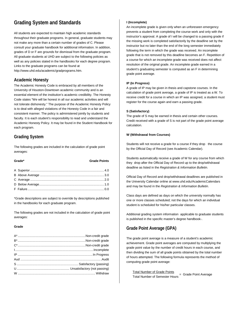### **Grading System and Standards**

All students are expected to maintain high academic standards throughout their graduate programs. In general, graduate students may not make any more than a certain number of grades of C. Please consult your graduate handbook for additional information. In addition, grades of D or F are grounds for dismissal from the graduate program. All graduate students at UHD are subject to the following policies as well as any policies stated in the handbooks for each degree program. Links to the graduate programs can be found at http://www.uhd.edu/academic/gradprograms.htm.

### **Academic Honesty**

The Academic Honesty Code is embraced by all members of the University of Houston-Downtown academic community and is an essential element of the institution's academic credibility. The Honesty Code states "We will be honest in all our academic activities and will not tolerate dishonesty." The purpose of the Academic Honesty Policy is to deal with alleged violations of the Honesty Code in a fair and consistent manner. The policy is administered jointly by students and faculty. It is each student's responsibility to read and understand the Academic Honesty Policy. It may be found in the Student Handbook for each program.

### **Grading System**

The following grades are included in the calculation of grade point averages:

#### **Grade\* Grade Points**

\*Grade descriptions are subject to override by descriptions published in the handbooks for each graduate program.

The following grades are not included in the calculation of grade point averages:

#### **Grade**

#### **I (Incomplete)**

An incomplete grade is given only when an unforeseen emergency prevents a student from completing the course work and only with the instructor's approval. A grade of I will be changed to a passing grade if the missing work is completed satisfactorily by the deadline set by the instructor but no later than the end of the long semester immediately following the term in which the grade was received. An incomplete grade that is not removed by this deadline becomes an F. Repetition of a course for which an incomplete grade was received does not affect resolution of the original grade. An incomplete grade earned in a student's graduating semester is computed as an F in determining grade point average.

#### **IP (In Progress)**

A grade of IP may be given in thesis and capstone courses. In the calculation of grade point average, a grade of IP is treated as a W. To receive credit for a course in which an IP was assigned, a student must register for the course again and earn a passing grade.

#### **S (Satisfactory)**

The grade of S may be earned in thesis and certain other courses. Credit received with a grade of S is not part of the grade point average calculation.

#### **W (Withdrawal from Courses)**

Students will not receive a grade for a course if they drop the course by the Official Day of Record (see Academic Calendar).

Students automatically receive a grade of W for any course from which they drop after the Official Day of Record up to the drop/withdrawal deadline as listed in the *Registration & Information Bulletin*.

Official Day of Record and drop/withdrawal deadlines are published in the University Calendar online at www.uhd.edu/AcademicCalendars and may be found in the *Registration & Information Bulletin*.

Class days are defined as days on which the university normally has one or more classes scheduled; not the days for which an individual student is scheduled for his/her particular classes.

Additional grading system information applicable to graduate students is published in the specific master's degree handbook-.

### **Grade Point Average (GPA)**

The grade point average is a measure of a student's academic achievement. Grade point averages are computed by multiplying the grade point value by the number of credit hours in each course, and then dividing the sum of all grade points obtained by the total number of hours attempted. The following formula represents the method of computing grade point average:

Total Number of Grade Points **Total Number of Semester Hours** = Grade Point Average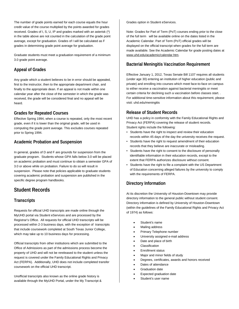The number of grade points earned for each course equals the hour credit value of the course multiplied by the points awarded for grades received. Grades of I, S, U, IP and grades marked with an asterisk (\*) in the table above are not counted in the calculation of the grade point average, except for graduation. Grades of I will be calculated as F grades in determining grade point average for graduation.

Graduate students must meet a graduation requirement of a minimum 3.0 grade point average.

### **Appeal of Grades**

Any grade which a student believes to be in error should be appealed, first to the instructor, then to the appropriate department chair, and finally to the appropriate dean. If an appeal is not made within one calendar year after the close of the semester in which the grade was received, the grade will be considered final and no appeal will be heard.

### **Grades for Repeated Courses**

Effective Spring 1994, when a course is repeated, only the most recent grade, even if it is lower than the original grade, will be used in computing the grade point average. This excludes courses repeated prior to Spring 1994.

### **Academic Probation and Suspension**

In general, grades of D and F are grounds for suspension from the graduate program. Students whose GPA falls below 3.0 will be placed on academic probation and must continue to obtain a semester GPA of 3.0 or above while on probation. Failure to do so will result in suspension. Please note that policies applicable to graduate students covering academic probation and suspension are published in the specific degree program handbooks.

### **Student Records**

### **Transcripts**

Requests for official UHD transcripts are made online through the MyUHD portal via Student eServices and are processed by the Registrar's Office. All requests for official UHD transcripts will be processed within 2-3 business days, with the exception of transcripts that include coursework completed at South Texas Junior College, which may take up to 10 business days for processing.

Official transcripts from other institutions which are submitted to the Office of Admissions as part of the admissions process become the property of UHD and will not be rereleased to the student unless the request is covered under the Family Educational Rights and Privacy Act (FERPA). Additionally, UHD does not include completed transfer coursework on the official UHD transcript.

Unofficial transcripts also known as the online grade history is available through the MyUHD Portal, under the My Transcript & Grades option in Student eServices.

Note: Grades for Part of Term (PoT) courses ending prior to the close of the full term will be available online on the dates listed in the Academic Calendar. Part of Term (PoT) official grades will be displayed on the official transcript when grades for the full term are made available. See the Academic Calendar for grade posting dates at [www.uhd.edu/academic/calendar.htm.](http://www.uhd.edu/academic/calendar.htm) 

### **Bacterial Meningitis Vaccination Requirement**

Effective January 1, 2012, Texas Senate Bill 1107 requires all students (under age 30) entering an institution of higher education (public and private) and enrolling into courses which meet face-to-face on campus to either receive a vaccination against bacterial meningitis or meet certain criteria for declining such a vaccination before classes start. . For additional time-sensitive information about this requirement, please visit: uhd.edu/meningitis

### **Release of Student Records**

UHD has a policy in conformity with the Family Educational Rights and Privacy Act (FERPA) covering the release of student records. Student rights include the following:

- Students have the right to inspect and review their education records within 45 days of the day the university receives the request.
- Students have the right to request amendment of their education records that they believe are inaccurate or misleading.
- Students have the right to consent to the disclosure of personally identifiable information in their education records, except to the extent that FERPA authorizes disclosure without consent.
- Students have the right to file a complaint with the US Department of Education concerning alleged failures by the university to comply with the requirements of FERPA.

### **Directory Information**

At its discretion the University of Houston-Downtown may provide directory information to the general public without student consent. Directory information is defined by University of Houston-Downtown (within the guidelines of the Family Educational Rights and Privacy Act of 1974) as follows:

- Student's name
- Mailing address
- Primary Telephone number
- University assigned e-mail address
- Date and place of birth
- **Classification**
- Enrollment status
- Major and minor fields of study
- Degrees, certificates, awards and honors received
- Dates of attendance
- Graduation date
- Expected graduation date
- Student's user name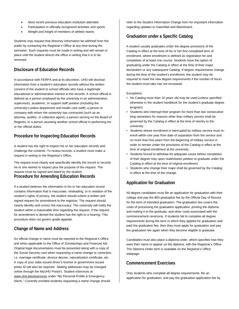- Most recent previous education institution attended
- Participation in officially recognized activities and sports
- Weight and height of members of athletic teams

Students may request that directory information be withheld from the public by contacting the Registrar's Office at any time during the semester. Such requests must be made in writing and will remain in place until the student directs the office in writing that it is to be removed.

### **Disclosure of Education Records**

In accordance with FERPA and at its discretion, UHD will disclose information from a student's education records without the written consent of the student to school officials who have a legitimate educational or administrative interest in the records. A school official is defined as a person employed by the university in an administrative, supervisory, academic, or support staff position (including the university's police department and health care staff); a person or company with whom the university has contracted (such as an attorney, auditor, or collection agent); a person serving on the Board of Regents; or a person assisting another school official in performing his or her official duties.

### **Procedure for Inspecting Education Records**

A student has the right to inspect his or her education records and challenge the contents. To review records, a student must make a request in writing to the Registrar's Office.

The request must clearly and specifically identify the record or records he or she wishes to inspect plus the purpose of the request. The request must be signed and dated by the student. **Procedure for Amending Education Records** 

If a student believes the information in his or her education record contains information that is inaccurate, misleading, or in violation of the student's rights of privacy, the student should submit a written and signed request for amendment to the registrar. The request should clearly identify and correct the inaccuracy. The university will notify the student within a reasonable time regarding the request. If the request for amendment is denied the student has the right to a hearing. This procedure does not govern grade appeals.

### **Change of Name and Address**

An official change in name must be reported to the Registrar's Office and when applicable to the Office of Scholarships and Financial Aid . Original legal documentation must be presented along with a copy of the Social Security card when requesting a name change or correction, i.e. marriage certificate, divorce decree, naturalization certificate, etc. A copy of your state issued driver's license or government issued photo ID will also be required. Mailing addresses may be changed online through the MyUHD Portal's Student eServices at [www.uhd.edu/eservices](http://www.uhd.edu/eservices) under "My Personal Profile & Emergency Alerts." Currently enrolled students requesting a name change should

refer to the Student Information Change form for important information regarding updates to GatorMail and Blackboard.

### **Graduation under a Specific Catalog**

A student usually graduates under the degree provisions of the Catalog in effect at the time of his or her first completed term of enrollment, where enrollment is defined as registration for and completion of at least one course. Students have the option of graduating under the Catalog in effect at the time of their major declaration or any subsequent Catalog. If degree requirements change during the time of the student's enrollment, the student may be required to meet the new degree requirements if the number of hours the student must take has not increased.

#### Exceptions:

- No Catalog more than 10 years old may be used (unless specified otherwise in the student handbook for the student's graduate degree program).
- Students who interrupt their program for more than two consecutive long semesters for reasons other than military service shall be governed by the Catalog in effect at the time of reentry to the university.
- Students whose enrollment is interrupted by military service must reenroll within one year from date of separation from the service and no more than five years from the beginning of military service in order to remain under the provisions of the Catalog in effect at the time of original enrollment at the university.
- Students forced to withdraw for adequate cause before completion of their degree may upon readmission petition to graduate under the Catalog in effect at the time of original enrollment.
- Students who change their major shall be governed by the Catalog in effect at the time of the change.

### **Application for Graduation**

All degree candidates must file an application for graduation with their college and pay the \$50 graduation fee by the Official Day of Record for the term of intended graduation. The graduation fee covers the costs of processing the graduation application, printing the diploma and mailing it to the graduate, and other costs associated with the commencement ceremony. If students fail to complete all degree requirements during the term in which they applied for graduation and paid the graduation fee, then they must apply for graduation and pay the graduation fee again when they become eligible to graduate.

Candidates must also place a diploma order, which specifies how they want their name to appear on the diploma, with the Registrar's Office. The Diploma Order form is available on the Registrar's Office webpage.

### **Commencement Exercises**

Only students who complete all degree requirements, file an application for graduation, and pay the graduation application fee by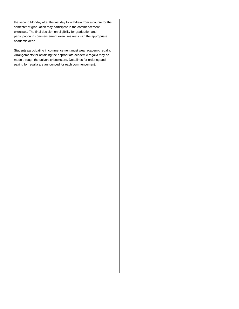the second Monday after the last day to withdraw from a course for the semester of graduation may participate in the commencement exercises. The final decision on eligibility for graduation and participation in commencement exercises rests with the appropriate academic dean.

Students participating in commencement must wear academic regalia. Arrangements for obtaining the appropriate academic regalia may be made through the university bookstore. Deadlines for ordering and paying for regalia are announced for each commencement.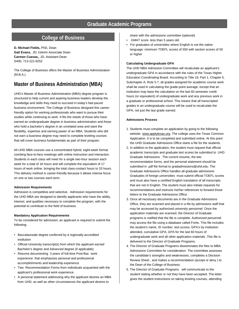### **College of Business**

**D. Michael Fields,** PhD, Dean **Gail Evans,** JD, Interim Associate Dean **Carmen Cuevas,**, JD, Assistant Dean S400, 713-221-8252

The College of Business offers the Master of Business Administration (M.B.A.).

### **Master of Business Administration (MBA)**

UHD's Master of Business Administration (MBA) degree program is structured to help current and aspiring business leaders develop the knowledge and skills they need to succeed in today's fast-paced business environment. The College of Business designed this careerfriendly option for working professionals who want to pursue their studies while continuing to work. It fits the needs of those who have earned an undergraduate degree in business administration and those who hold a bachelor's degree in an unrelated area and want the flexibility, expertise and earning power of an MBA. Students who did not earn a business degree may need to complete leveling courses that will cover business fundamentals as part of their program.

All UHD MBA courses use a concentrated hybrid, eight-week format combing face-to-face meetings with online instruction and interaction. Students in each class will meet for a single two-hour session each week for a total of 16 hours and will complete the equivalent of 17 hours of work online, bringing the total class-contact hours to 33 hours. This delivery method is career-friendly because it allows intense focus on one or two courses each term.

#### **Admission Requirements**

Admission is competitive and selective. Admission requirements for the UHD MBA are designed to identify applicants who have the ability, interest, and qualities necessary to complete the program, with the potential to contribute to the field of business.

#### **Mandatory Application Requirements**

To be considered for admission, an applicant is required to submit the following:

- Baccalaureate degree conferred by a regionally-accredited institution
- Official University transcript(s) from which the applicant earned Bachelor's degree and Advanced degree (if applicable).
- Resume documenting 3 years of full-time Post-Bac work experience that emphasizes personal and professional accomplishments and leadership experience
- Two Recommendation Forms from individuals acquainted with the applicant's professional work experience
- A personal statement addressing why the applicant desires an MBA from UHD, as well as other circumstances the applicant desires to

share with the admissions committee (optional)

- GMAT score less than 5 years old.
- For graduates of universities where English is not the native language: minimum TOEFL scores of 550 with section scores of 50 or higher

#### **Calculating Undergraduate GPA**

The UHD MBA Admission Committee will recalculate an applicant's undergraduate GPA in accordance with the rules of the Texas Higher Education Coordinating Board. According to Title 19, Part 1, Chapter 5, Subchapter A, Rule 5.7, all grades assigned for academic course work shall be used in calculating the grade-point average, except that an institution may base the calculation on the last 60 semester credit hours (or equivalent) of undergraduate work and any previous work in a graduate or professional school. This means that all transcripted grades in an undergraduate course will be used to recalculate the GPA, not just the last grade earned.

#### **Admissions Process**

- 1. Students must complete an application by going to the following website [www.applytexas.org.](http://www.applytexas.org/) The college uses the Texas Common Application. It is to be completed and submitted online. At this point the UHD Graduate Admissions Office starts a file for the students.
- 2. In addition to the application, the student must request that official academic transcripts and graduate test scores be submitted to UHD Graduate Admissions . The current resume, the two recommendation forms, and the personal statement should be submitted in .pdf file format to gradadmissions@uhd.edu. The Graduate Admissions Office handles all graduate admissions Graduates of foreign universities must submit official TOEFL scores and must also have a certified English translation of all transcripts that are not in English. The student must also initiate requests for recommendations and instructs his/her references to forward those letters to the Graduate Admissions Office.
- 3. Once all necessary documents are in the Graduate Admissions Office, they are scanned and placed in a file by admissions staff that may be accessed by authorized university personnel. Once the application materials are scanned, the Director of Graduate programs is notified that the file is complete. Authorized personnel may access the file using a database called Fortis. This file includes the student's name, ID number, test scores, GPA's by institution attended, cumulative GPA, GPA for the last 60 hours of undergraduate work and all other application materials .This file is delivered to the Director of Graduate Programs.
- 4. The Director of Graduate Programs disseminates the files to MBA Admissions Committee for consideration. The committee assesses the candidate's strengths and weaknesses, completes a Decision Review Sheet , and makes a recommendation (accept or deny ) to the Dean of the College of Business.
- 5. The Director of Graduate Programs will communicate to the student stating whether or not they have been accepted. The letter gives the student instructions on taking leveling courses, attending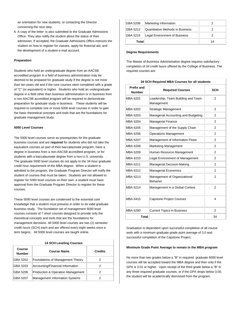an orientation for new students, or contacting the Director concerning the next step.

6. A copy of the letter is also submitted to the Graduate Admissions Office. They also notify the student about the status of their admission. If accepted, the Graduate Admissions Office instructs the student on how to register for classes, apply for financial aid, and the development of a student e-mail account.

#### **Preparation**

Students who hold an undergraduate degree from an AACSB accredited program in a field of business administration may be deemed to be prepared for graduate study if the degree is not more than ten years old and if the core courses were completed with a grade of "C" (or equivalent) or higher. Students who hold an undergraduate degree in a field other than business administration or in business from a non-AACSB accredited program will be required to demonstrate preparation for graduate study in business. These students will be required to complete one or more 5000 level courses in order to gain the basic theoretical concepts and tools that are the foundations for graduate management study.

#### **5000 Level Courses**

The 5000 level courses serve as prerequisites for the graduate business courses and are **required** for students who did not take the equivalent courses as part of their baccalaureate program, have a degree in business from a non-AACSB accredited program, or for students with a baccalaureate degree from a non-U.S. university. . The graduate 5000 level courses do not apply to the 34-hour graduate credit hour requirement of the MBA degree. When a student is admitted to the program, the Graduate Program Director will notify the student of courses that must be taken. Students are not allowed to register for 5000 level courses on their own; a student must have approval from the Graduate Program Director to register for these courses.

These 5000 level courses are condensed to the essential core knowledge that a student must possess in order to do valid graduate business study. The foundation set of management 5000 level courses consists of 7 short courses designed to provide only the theoretical concepts and tools that are the foundations for management decisions. All 5000 level courses are two (2) semester credit hours (SCH) each and are offered every eight weeks once a term begins. All 5000 level courses are taught online.

| <b>14 SCH Leveling Courses</b> |                                                   |                |
|--------------------------------|---------------------------------------------------|----------------|
| Course<br><b>Number</b>        | <b>Course Name</b>                                | <b>Credits</b> |
| GBA 5202                       | Foundations of Management Theory                  | 2              |
| GBA 5203                       | Accounting/Financial Information                  | 2              |
| GBA 5206                       | <b>Production &amp; Operation Management</b><br>2 |                |
| GBA 5207                       | <b>Management Information Systems</b>             | 2              |

| <b>GBA 5208</b> | Marketing Information            |    |
|-----------------|----------------------------------|----|
| <b>GBA 5212</b> | Quantitative Methods in Business |    |
| <b>GBA 5215</b> | Legal Environment of Business    |    |
| Total           |                                  | 14 |

#### **Degree Requirements**

The Master of Business Administration degree requires satisfactory completion of 34 credit hours offered by the College of Business. The required courses are:

| 34 SCH Required MBA Courses for all students |                                                  |                |
|----------------------------------------------|--------------------------------------------------|----------------|
| <b>Prefix and</b><br><b>Number</b>           | <b>Required Courses</b>                          | <b>SCH</b>     |
| MBA 6201                                     | Leadership, Team Building and Team<br>Management | 2              |
| MBA 6202                                     | <b>Strategic Management</b>                      | 2              |
| MBA 6203                                     | Managerial Accounting and Budgeting              | 2              |
| MBA 6204                                     | Managerial Finance                               | 2              |
| <b>MBA 6205</b>                              | Management of the Supply Chain                   | 2              |
| <b>MBA 6206</b>                              | <b>Operations Management</b>                     | 2              |
| MBA 6207                                     | Management of Information Flows                  | 2              |
| MBA 6208                                     | Marketing Management                             | 2              |
| MBA 6209                                     | Human Resource Management                        | 2              |
| MBA 6210                                     | Legal Environment of Management                  | 2              |
| MBA 6211                                     | Managerial Decision-Making                       | 2              |
| MBA 6212                                     | <b>Managerial Economics</b>                      | 2              |
| MBA 6213                                     | Management of Organizational<br>Behavior         | 2              |
| MBA 6214                                     | Management in a Global Context                   | 2              |
| MBA 6415                                     | <b>Capstone Project Courses</b>                  | 4              |
| MBA 6290                                     | <b>Current Topics in Business</b>                | $\overline{2}$ |
| <b>Total</b>                                 |                                                  | 34             |

Graduation is dependent upon successful completion of all course work with a minimum graduate grade point average of 3.0 and successful completion of the Capstone Project.

#### **Minimum Grade Point Average to remain in the MBA program**

No more than two grades below a "B" in required graduate 6000 level courses will be accepted toward the MBA degree and then only if the GPA is 3.01 or higher. Upon receipt of the third grade below a "B" in any three required graduate courses, or if the GPA drops below 3.00, the student will be academically dismissed from the program.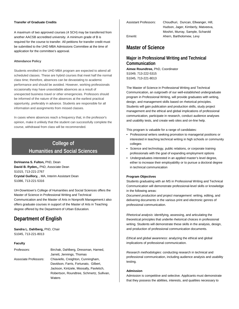#### **Transfer of Graduate Credits**

A maximum of two approved courses (4 SCH) may be transferred from another AACSB accredited university. A minimum grade of B is required for the course to transfer. All petitions for transfer credit must be submitted to the UHD MBA Admissions Committee at the time of application for the committee's approval.

#### **Attendance Policy**

Students enrolled in the UHD MBA program are expected to attend all scheduled classes. These are hybrid courses that meet half the normal class time; therefore, absences can be devastating to academic performance and should be avoided. However, working professionals occasionally may have unavoidable absences as a result of unexpected business travel or other emergencies. Professors should be informed of the nature of the absences at the earliest practical opportunity, preferably in advance. Students are responsible for all information and assignments from missed classes.

In cases where absences reach a frequency that, in the professor's opinion, make it unlikely that the student can successfully complete the course, withdrawal from class will be recommended.

### **College of Humanities and Social Sciences**

**DoVeanna S. Fulton,** PhD, Dean **David B. Ryden,,** PhD, Associate Dean S1015, 713-221-2767 **Crystal Guillory,** , MA, Interim Assistant Dean S1086, 713-221-5316

UH-Downtown's College of Humanities and Social Sciences offers the Master of Science in Professional Writing and Technical Communication and the Master of Arts in Nonprofit Management.t also offers graduate courses in support of the Master of Arts in Teaching degree offered by the Department of Urban Education.

### **Department of English**

**Sandra L. Dahlberg,** PhD, Chair S1045, 713-221-8013

#### **Faculty**

| Professors:           | Birchak, Dahlberg, Dressman, Harned,      |
|-----------------------|-------------------------------------------|
|                       | Jarrett, Jennings, Thomas                 |
| Associate Professors: | Chiaviello, Creighton, Cunningham,        |
|                       | Davidson, Farris, Fortunato, Gilbert,     |
|                       | Jackson, Kintzele, Moosally, Pavletich,   |
|                       | Robertson, Roundtree, Schmertz, Sullivan, |
|                       | Waters                                    |

Assistant Professors: Choudhuri, Duncan, Ellwanger, Hill, Hudson, Jager, Kimberly, Matveeva, Moshiri, Murray, Sample, Scharold Emeriti: Ahern, Bartholomew, Levy

### **Master of Science**

### **Major in Professional Writing and Technical Communication**

**Aimee Roundtree,** PhD, Coordinator S1049, 713-222-5315 S1045, 713-221-8013

The Master of Science in Professional Writing and Technical Communication, an outgrowth of our well-established undergraduate program in Professional Writing, will provide graduates with writing, design, and management skills based on rhetorical principles. Students will gain publication and production skills, study project management and the ethical and global implications of professional communication, participate in research, conduct audience analyses and usability tests, and create web sites and on-line help.

This program is valuable for a range of candidates:

- Professional writers seeking promotion to managerial positions or interested in teaching technical writing in high schools or community colleges
- Science and technology, public relations, or corporate training professionals with the goal of expanding employment options
- Undergraduates interested in an applied master's level degree, either to increase their employability or to pursue a doctoral degree in technical communication

#### **Program Objectives**

Students graduating with an MS in Professional Writing and Technical Communication will demonstrate professional-level skills or knowledge in the following areas:

*Document production and project management*: writing, editing, and delivering documents in the various print and electronic genres of professional communication.

*Rhetorical analysis*: identifying, assessing, and articulating the theoretical principles that underlie rhetorical choices in professional writing. Students will demonstrate these skills in the analysis, design, and production of professional communication documents.

*Ethical and global awareness*: analyzing the ethical and global implications of professional communication.

*Research methodologies*: conducting research in technical and professional communication, including audience analysis and usability testing.

#### **Admission**

Admission is competitive and selective. Applicants must demonstrate that they possess the abilities, interests, and qualities necessary to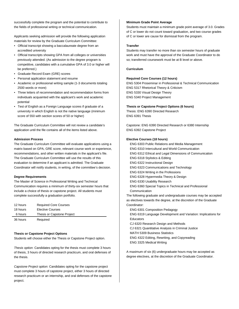successfully complete the program and the potential to contribute to the fields of professional writing or technical communication.

Applicants seeking admission will provide the following application materials for review by the Graduate Curriculum Committee:

- Official transcript showing a baccalaureate degree from an accredited university
- Official transcripts showing GPA from all colleges or universities previously attended. (As admission to the degree program is competitive, candidates with a cumulative GPA of 3.0 or higher will be preferred.)
- Graduate Record Exam (GRE) scores
- Personal application statement and resume
- Academic or professional writing sample (1-3 documents totaling 2500 words or more)
- Three letters of recommendation and recommendation forms from individuals acquainted with the applicant's work and academic potential
- Test of English as a Foreign Language scores if graduate of a university in which English is not the native language (minimum score of 550 with section scores of 50 or higher)

The Graduate Curriculum Committee will not review a candidate's application until the file contains all of the items listed above.

#### **Admission Process**

The Graduate Curriculum Committee will evaluate applications using a matrix based on GPA, GRE score, relevant course work or experience, recommendations, and other written materials in the applicant's file. The Graduate Curriculum Committee will use the results of this evaluation to determine if an applicant is admitted. The Graduate Coordinator will notify students, in writing, of the committee's decision.

#### **Degree Requirements**

The Master of Science in Professional Writing and Technical Communication requires a minimum of thirty-six semester hours that include a choice of thesis or capstone project. All students must complete successfully a graduation portfolio.

| 12 hours | <b>Required Core Courses</b> |
|----------|------------------------------|
| 18 hours | <b>Elective Courses</b>      |
| 6 hours  | Thesis or Capstone Project   |
| 36 hours | Required                     |

#### **Thesis or Capstone Project Options**

Students will choose either the Thesis or Capstone Project option.

*Thesis option*: Candidates opting for the thesis must complete 3 hours of thesis, 3 hours of directed research practicum, and oral defenses of the thesis.

*Capstone Project option*: Candidates opting for the capstone project must complete 3 hours of capstone project, either 3 hours of directed research practicum or an internship, and oral defenses of the capstone project.

#### **Minimum Grade Point Average**

Students must maintain a minimum grade point average of 3.0. Grades of C or lower do not count toward graduation, and two course grades of C or lower are cause for dismissal from the program.

#### **Transfer**

Students may transfer no more than six semester hours of graduate work and must have the approval of the Graduate Coordinator to do so; transferred coursework must be at B level or above.

#### **Curriculum**

#### **Required Core Courses (12 hours)**

ENG 5304 Proseminar in Professional & Technical Communication ENG 5317 Rhetorical Theory & Criticism ENG 5330 Visual Design Theory ENG 5340 Project Management

#### **Thesis or Capstone Project Options (6 hours)**

Thesis: ENG 6390 Directed Research ENG 6391 Thesis

Capstone: ENG 6390 Directed Research or 6380 Internship ENG 6392 Capstone Project

#### **Elective Courses (18 hours)**

ENG 6303 Public Relations and Media Management ENG 6310 Intercultural and World Communication ENG 6312 Ethical and Legal Dimensions of Communication ENG 6318 Stylistics & Editing ENG 6322 Instructional Design ENG 6323 Communications and Technology ENG 6324 Writing in the Professions ENG 6328 Hypermedia Theory & Design ENG 6330 Usability Research ENG 6360 Special Topics in Technical and Professional Communication The following graduate and undergraduate courses may be accepted as electives towards the degree, at the discretion of the Graduate Coordinator: ENG 6301 Composition Pedagogy ENG 6319 Language Development and Variation: Implications for **Educators** CJ 6320 Research Design and Methods CJ 6321 Quantitative Analysis in Criminal Justice MATH 5309 Business Statistics ENG 4322 Editing, Rewriting, and Copyreading ENG 3325 Medical Writing

A maximum of six (6) undergraduate hours may be accepted as degree electives, at the discretion of the Graduate Coordinator.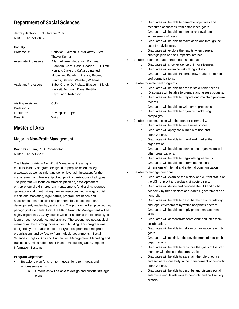### **Department of Social Sciences**

**Jeffrey Jackson**, PhD, Interim Chair N1009, 713-221-8014

#### **Faculty**

| Professors:                              | Christian, Fairbanks, McCaffrey, Getz,<br>Thaker-Kumar                                                                                                                                                                   |
|------------------------------------------|--------------------------------------------------------------------------------------------------------------------------------------------------------------------------------------------------------------------------|
| Associate Professors:                    | Allen, Alvarez, Anderson, Bachman,<br>Branham, Caro, Case, Chadha, Li, Gillette,                                                                                                                                         |
| Assistant Professors:                    | Henney, Jackson, Kaftan, Linantud,<br>Mobasher, Pavelich, Preuss, Ryden,<br>Santos, Stewart, Westfall, Williams<br>Babb, Crone, DeFreitas, Eliassen, Elkholy,<br>Hackett, Johnson, Kane, Portillo,<br>Raymundo, Rubinson |
| <b>Visiting Assistant</b><br>Professors: | Colón                                                                                                                                                                                                                    |
| Lecturers:<br>Emeriti:                   | Hovsepian, Lopez<br>Wright                                                                                                                                                                                               |

### **Master of Arts**

### **Major in Non-Profit Management**

**David Branham,** PhD, Coordinator N1066, 713-221-8208

The Master of Arts in Non-Profit Management is a highly multidisciplinary program, designed to prepare recent college graduates as well as mid- and senior-level administrators for the management and leadership of nonprofit organizations of all types. The program will focus on strategic planning, development of entrepreneurial skills, program management, fundraising, revenue generation and grant writing, human resources, technology, social media and marketing, legal issues, program evaluation and assessment, teambuilding and partnerships, budgeting, board development, leadership, and ethics. The program will employ two key pedagogical elements. First, the MA in Nonprofit Management will be highly experiential. Every course will offer students the opportunity to learn through experience and practice. The second key pedagogical element will be a strong focus on team building. This program was designed by the leadership of the city's most prominent nonprofit organizations and by faculty from multiple departments: Social Sciences; English; Arts and Humanities; Management, Marketing and Business Administration; and Finance, Accounting and Computer Information Systems.

#### **Program Objectives**

- Be able to plan for short term goals, long term goals and unforeseen events.
	- o Graduates will be able to design and critique strategic plans.
- o Graduates will be able to generate objectives and measures of success from established goals.
- o Graduates will be able to monitor and evaluate achievement of goals.
- o Graduates will be able to make decisions through the use of analytic tools.
- o Graduates will explore the results when people, strategic plan and assumptions interact.
- Be able to demonstrate entrepreneurial orientation
	- o Graduates will show evidence of innovativeness.
	- o Graduates will examine risk-taking values.
	- o Graduates will be able integrate new markets into nonprofit organizations.
- Be able to implement programs.
	- o Graduates will be able to assess stakeholder needs.
	- o Graduates will be able to prepare and assess budgets.
	- o Graduates will be able to prepare and maintain program records.
	- o Graduates will be able to write grant proposals.
	- o Graduates will be able to organize fundraising campaigns.
- Be able to communicate with the broader community.
	- o Graduates will be able to write news stories.
	- o Graduates will apply social media to non-profit organizations.
	- o Graduates will be able to brand and market the organization.
	- o Graduates will be able to connect the organization with other organizations.
	- o Graduates will be able to negotiate agreements.
	- o Graduates will be able to determine the legal
	- dimensions of internal and external communication.
- Be able to manage personnel.
	- o Graduates will examine the history and current status of the US nonprofit and global civil society sector.
	- o Graduates will define and describe the US and global economy by three sectors of business, government and nonprofit.
	- o Graduates will be able to describe the basic regulatory and legal environment by which nonprofits operate.
	- o Graduates will be able to apply project management skills.
	- o Graduates will demonstrate team work and inter-team collaboration.
	- o Graduates will be able to help an organization reach its goals.
	- o Graduates will maximize the development of non-profit organizations.
	- o Graduates will be able to reconcile the goals of the staff member with those of the organization.
	- o Graduates will be able to ascertain the role of ethics and social responsibility in the management of nonprofit organizations.
	- o Graduates will be able to describe and discuss social enterprise and its relations to nonprofit and civil society sectors.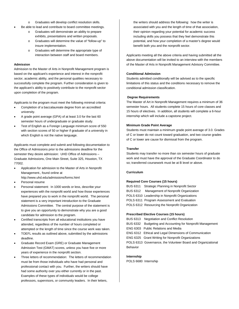- o Graduates will develop conflict resolution skills.
- Be able to lead and contribute to board committee meetings.
	- Graduates will demonstrate an ability to prepare exhibits, presentations and written proposals.
	- o Graduates will determine the value of "follow-up" to insure implementation.
	- o Graduates will determine the appropriate type of interaction between staff and board members.

#### **Admission**

Admission to the Master of Arts in Nonprofit Management program is based on the applicant's experience and interest in the nonprofit sector, academic ability, and the personal qualities necessary to successfully complete the program. Further consideration is given to the applicant's ability to positively contribute to the nonprofit sector upon completion of the program.

Applicants to the program must meet the following minimal criteria:

- Completion of a baccalaureate degree from an accredited university.
- A grade point average (GPA) of at least 3.0 for the last 60 semester hours of undergraduate or graduate study.
- Test of English as a Foreign Language minimum score of 550 with section scores of 50 or higher if graduate of a university in which English is not the native language.

Applicants must complete and submit and following documentation to the Office of Admissions prior to the admissions deadline for the semester they desire admission: UHD Office of Admissions – Graduate Admissions, One Main Street, Suite 325, Houston, TX 77002.

- Application for admission to the Master of Arts in Nonprofit Management., found online at http://www.uhd.edu/admissions/forms.html
- Personal resume
- Personal statement: In 1000 words or less, describe your experiences with the nonprofit world and how those experiences have prepared you to work in the nonprofit world. The personal statement is a very important introduction to the Graduate Admissions Committee. The central purpose of the statement is to give you an opportunity to demonstrate why you are a good candidate for admission to the program.
- Certified transcripts from all educational institutions you have attended, regardless of the number of hours completed or attempted or the length of time since the course work was taken.
- TOEFL results as outlined above, submitted by the admissions deadline.
- Graduate Record Exam (GRE) or Graduate Management Admission Test (GMAT) scores, unless you have five or more years of experience in the nonprofit section.
- Three letters of recommendation: The letters of recommendation must be from those individuals who have had personal and professional contact with you. Further, the writers should have had some authority over you either currently or in the past. Examples of these types of individuals would be college professors, supervisors, or community leaders. In their letters,

the writers should address the following: how the writer is associated with you and the length of time of that association, their opinion regarding your potential for academic success including skills you possess that they feel demonstrate this potential, and how your completion of a master's degree would benefit both you and the nonprofit sector.

Applicants meeting all the above criteria and having submitted all the above documentation will be invited to an interview with the members of the Master of Arts in Nonprofit Management Advisory Committee.

#### **Conditional Admission**

Students admitted conditionally will be advised as to the specific limitations of this status and the conditions necessary to remove the conditional admission classification.

#### **Degree Requirements**

The Master of Art in Nonprofit Management requires a minimum of 36 semester hours. All students complete 15 hours of core classes and 15 hours of electives. In addition, all students will complete a 6-hour internship which will include a capstone project.

#### **Minimum Grade Point Average**

Students must maintain a minimum grade point average of 3.0. Grades of C or lower do not count toward graduation, and two course grades of C or lower are cause for dismissal from the program.

#### **Transfer**

Students may transfer no more than six semester hours of graduate work and must have the approval of the Graduate Coordinator to do so; transferred coursework must be at B level or above.

#### **Curriculum**

#### **Required Core Courses (15 hours)**

BUS 6311 Strategic Planning in Nonprofit Sector BUS 6312 Management of Nonprofit Organization POLS 6310 Leadership in Nonprofit Organizations POLS 6311 Program Assessment and Evaluation POLS 6312 Resourcing the Nonprofit Organization

#### **Prescribed Elective Courses (15 hours)**

| BUS 6313 Negotiation and Conflict Resolution                  |
|---------------------------------------------------------------|
| BUS 6332 Budgeting and Accounting for Nonprofit Management    |
| <b>ENG 6303</b> Public Relations and Media                    |
| <b>ENG 6312</b> Ethical and Legal Dimensions of Communication |
| <b>ENG 6325 Grant Writing for Nonprofit Organizations</b>     |
| POLS 6313 Governance, the Volunteer Board and Organizational  |
|                                                               |
|                                                               |

#### **Internship**

POLS 6680 Internship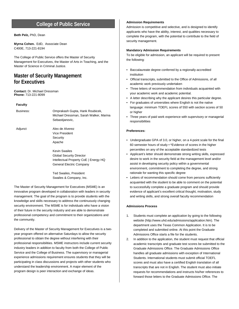### **College of Public Service**

#### **Beth Pelz,** PhD, Dean

**Myrna Cohen.** EdD, Associate Dean C400E, 713-221-8194

The College of Public Service offers the Master of Security Management for Executives, the Master of Arts in Teaching, and the Master of Science in Criminal Justice.

### **Master of Security Management for Executives**

**Contact:** Dr. Michael Dressman **Phone:** 713-221-8099

#### **Faculty**

| Business: | Omprakash Gupta, Hank Roubicek,<br>Michael Dressman, Sarah Walker, Marina<br>Sebastijanovic,                                 |
|-----------|------------------------------------------------------------------------------------------------------------------------------|
| Adjunct   | Alex de Alverez<br>Vice President<br>Security<br>Apache                                                                      |
|           | <b>Kevin Swailes</b><br><b>Global Security Director</b><br>Intellectual Property CoE   Energy HQ<br>General Electric Company |

Ted Swailes, President Swailes & Company, Inc.

The Master of Security Management for Executives (MSME) is an innovative program developed in collaboration with leaders in security management. The goal of the program is to provide students with the knowledge and skills necessary to address the continuously changing security environment. The MSME is for individuals who have a vision of their future in the security industry and are able to demonstrate professional competency and commitment to their organizations and the community.

Delivery of the Master of Security Management for Executives is a twoyear program offered on alternative Saturdays to allow the security professional to obtain the degree without interfering with their professional responsibilities. MSME instructors include current security industry leaders in addition to faculty from both the College of Public Service and the College of Business. The supervisory or managerial experience admissions requirement ensures students that they will be participating in class discussions and projects with other students who understand the leadership environment. A major element of the program design is peer interaction and exchange of ideas.

#### **Admission Requirements**

Admission is competitive and selective, and is designed to identify applicants who have the ability, interest, and qualities necessary to complete the program, with the potential to contribute to the field of security management.

#### **Mandatory Admission Requirements**

To be eligible for admission, an applicant will be required to present the following:

- Baccalaureate degree conferred by a regionally-accredited institution
- Official transcripts, submitted to the Office of Admissions, of all academic work previously undertaken
- Three letters of recommendation from individuals acquainted with your academic work and academic potential.
- A letter describing why the applicant desires this particular degree.
- For graduates of universities where English is not the native language: minimum TOEFL scores of 550 with section scores of 50 or higher
- Three years of paid work experience with supervisory or managerial responsibilities

#### **Preferences:**

- Undergraduate GPA of 3.0, or higher, on a 4-point scale for the final 60 semester hours of study • \*Evidence of scores in the higher percentiles on any of the acceptable standardized tests
- Applicant's letter should demonstrate strong writing skills, expressed desire to work in the security field at the management level and/or assist in developing security policy within a governmental environment, commitment to completing the degree, and strong rationale for wanting this specific degree
- Letters of recommendation should come from persons sufficiently acquainted with the student to be able to comment on the potential to successfully complete a graduate program and should provide evidence of applicant's excellent critical thought, motivation, study and writing skills, and strong overall faculty recommendation

#### **Admissions Process**

- 1. Students must complete an application by going to the following website (http://www.uhd.edu/admissions/application.htm). The department uses the Texas Common Application. It is to be completed and submitted online. At this point the Graduate Admissions Office starts a file for the students.
- 2. In addition to the application, the student must request that official academic transcripts and graduate test scores be submitted to the Graduate Admissions Office. The Graduate Admissions Office handles all graduate admissions with exception of International Students. International students must submit official TOEFL scores and must also have a certified English translation of all transcripts that are not in English. The student must also initiate requests for recommendations and instructs his/her references to forward those letters to the Graduate Admissions Office. The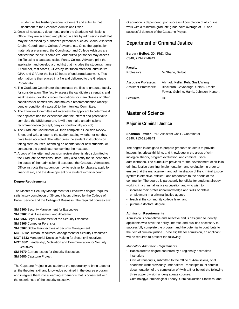student writes his/her personal statement and submits that document to the Graduate Admissions Office.

- 3. Once all necessary documents are in the Graduate Admissions Office, they are scanned and placed in a file by admissions staff that may be accessed by authorized personnel such as Chairs, Assistant Chairs, Coordinators, College Advisors, etc. Once the application materials are scanned, the Coordinator and College Advisors are notified that the file is complete. Authorized personnel may access the file using a database called Fortis. College Advisors print the application and develop a checklist that includes the student's name, ID number, test scores, GPA's by institution attended, cumulative GPA, and GPA for the last 60 hours of undergraduate work. This information is then placed in a file and delivered to the Graduate Coordinator.
- 4. The Graduate Coordinator disseminates the files to graduate faculty for consideration. The faculty assess the candidate's strengths and weaknesses, develops recommendations for stem classes or other conditions for admissions, and makes a recommendation (accept, deny or conditionally accept) to the Interview Committee.
- 5. The Interview Committee will interview the applicant to determine if the applicant has the experience and the interest and potential to complete the MSM program. It will then make an admissions recommendation (accept, deny or conditionally accept).
- 6. The Graduate Coordinator will then complete a Decision Review Sheet and write a letter to the student stating whether or not they have been accepted. The letter gives the student instructions on taking stem courses, attending an orientation for new students, or contacting the coordinator concerning the next step.
- 7. A copy of the letter and decision review sheet is also submitted to the Graduate Admissions Office. They also notify the student about the status of their admission. If accepted, the Graduate Admissions Office instructs the student on how to register for classes, apply for financial aid, and the development of a student e-mail account.

#### **Degree Requirements**

The Master of Security Management for Executives degree requires satisfactory completion of 36 credit hours offered by the College of Public Service and the College of Business. The required courses are:

- **SM 6360** Security Management for Executives
- **SM 6362** Risk Assessment and Abatement
- **SM 6364** Legal Environment of the Security Executive
- **SM 6365** Computer Forensics
- **SM 6367** Global Perspectives of Security Management
- **MGT 6302** Human Resources Management for Security Executives
- **MGT 6332** Managerial Decision Making for Security Executives
- **MGT 6301** Leadership, Motivation and Communication for Security Executives
- **SM 6670** Current Issues for Security Executives
- **SM 6680** Capstone Project

The Capstone Project gives students the opportunity to bring together all the theories, skill and knowledge obtained in the degree program and integrate them into a learning experience that is consistent with the experiences of the security executive.

Graduation is dependent upon successful completion of all course work with a minimum graduate grade point average of 3.0 and successful defense of the Capstone Project.

## **Department of Criminal Justice**

**Barbara Belbot, JD,**, PhD, Chair C340, 713-221-8943

| <b>Faculty</b>               |                                           |
|------------------------------|-------------------------------------------|
| Professors:                  | McShane, Belbot                           |
|                              |                                           |
| Associate Professors:        | Ahmad, Kellar, Pelz, Snell, Wang          |
| <b>Assistant Professors:</b> | Blackburn, Cavanaugh, Chiotti, Emeka,     |
|                              | Fowler, Gehring, Harris, Johnson, Karson. |
| Lecturers:                   | Hill                                      |

## **Master of Science**

## **Major in Criminal Justice**

**Shannon Fowler**, PhD, Assistant Chair , Coordinator C340, 713-221-8943

The degree is designed to prepare graduate students to provide leadership, critical thinking, and knowledge in the areas of criminological theory, program evaluation, and criminal justice administration. The curriculum provides for the development of skills in criminal justice planning, implementation, and evaluation in order to ensure that the management and administration of the criminal justice system is effective, efficient, and responsive to the needs of the community. The degree is particularly beneficial for students already working in a criminal justice occupation and who wish to:

- increase their professional knowledge and skills or obtain employment in a criminal justice agency
- teach at the community college level, and
- pursue a doctoral degree.

#### **Admission Requirements**

Admission is competitive and selective and is designed to identify applicants who have the ability, interest, and qualities necessary to successfully complete the program and the potential to contribute to the field of criminal justice. To be eligible for admission, an applicant will be required to present the following:

#### *Mandatory Admission Requirements*

- Baccalaureate degree conferred by a regionally-accredited institution;
- Official transcripts, submitted to the Office of Admissions, of all academic work previously undertaken; Transcripts must contain documentation of the completion of (with a B or better) the following three upper division undergraduate courses: Criminology/Criminological Theory, Criminal Justice Statistics, and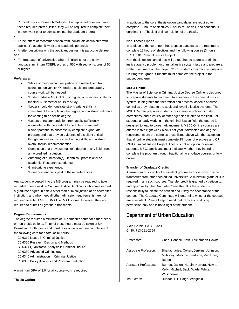Criminal Justice Research Methods. If an applicant does not have these required prerequisites, they will be required to complete them in stem work prior to admission into the graduate program.

• • Three letters of recommendation from individuals acquainted with applicant's academic work and academic potential;

• A letter describing why the applicant desires this particular degree, and

• For graduates of universities where English is not the native language: minimum TOEFL scores of 550 with section scores of 50 or higher.

## *Preferences:*

- \*Major or minor in criminal justice or a related field from accredited university. Otherwise, additional preparatory course work will be needed.
- \*Undergraduate GPA of 3.0, or higher, on a 4-point scale for the final 60 semester hours of study.
- \*Letter should demonstrate strong writing skills, a commitment to completing the degree, and a strong rationale for wanting this specific degree.
- \*Letters of recommendation from faculty sufficiently acquainted with the student to be able to comment on his/her potential to successfully complete a graduate program and that provide evidence of excellent critical thought, motivation, study and writing skills, and a strong overall faculty recommendation.
- Completion of a previous master's degree in any field, from an accredited institution.
- Authoring of publication(s) technical, professional or academic. Research experience.
- Grant-writing experience. \*Primary attention is paid to these preferences.

Any student accepted into the MS program may be required to take remedial course work in Criminal Justice. Applicants who have earned a graduate degree in a field other than criminal justice at an accredited institution, and who meet all other admission requirements, are not required to submit GRE, GMAT, or MAT scores. However, they are required to submit all graduate transcripts.

## **Degree Requirements**

The degree requires a minimum of 36 semester hours for either thesis or non-thesis options. Thirty of these hours must be taken at UH-Downtown. Both thesis and non-thesis options require completion of the following core for a total of 18 hours:

- CJ 6310 Issues in Criminal Justice
- CJ 6320 Research Design and Methods
- CJ 6321 Quantitative Analysis in Criminal Justice
- CJ 6330 Advanced Criminology
- CJ 6340 Administration in Criminal Justice
- CJ 6350 Policy Analysis and Program Evaluation

A minimum GPA of 3.0 for all course work is required.

**Thesis Option** 

In addition to the core, thesis option candidates are required to complete 12 hours of electives, 3 hours of Thesis I, and continuous enrollment in Thesis II until completion of the thesis.

## **Non-Thesis Option**

In addition to the core, non-thesis option candidates are required to complete 15 hours of electives and the following course (3 hours):

CJ 6301 Criminal Justice Project Non-thesis option candidates will be required to address a criminal justice agency problem or criminal justice system issue and prepare a written document on their topic. MSCJ students may receive only one "In Progress" grade. Students must complete the project in the subsequent term.

## **MSCJ Online**

The Master of Science in Criminal Justice Degree Online is designed to prepare students to become future leaders in the criminal justice system. It integrates the theoretical and practical aspects of crime control as they relate to the adult and juvenile justice systems. The MSCJ Degree prepares students for careers in policing, courts, corrections, and a variety of other agencies related to the field. For students already working in the criminal justice field, the degree is designed to lead to career advancement. MSCJ Online courses are offered in five eight-week blocks per year. Admission and degree requirements are the same as those listed above with the exception that all online students must complete 15 hours of electives and CJ 6301 Criminal Justice Project. Thesis is not an option for online students. MSCJ applicants must indicate whether they intend to complete the program through traditional face-to-face courses or fully online.

## **Transfer of Graduate Credits**

A maximum of six units of equivalent graduate course work may be transferred from other accredited universities. A minimum grade of B is required in any such courses. Transfer credit is granted by petition to, and approval by, the Graduate Committee. It is the student's responsibility to initiate the petition and justify the acceptance of the courses. The Graduate Committee will determine whether the courses are equivalent. Please keep in mind that transfer credit is by permission only and is not a right of the student.

## **Department of Urban Education**

Viola Garcia, Ed.D., Chair C440, 713-221-2759

| Professors:                  | Chen, Connell, Nath, Thielemann-Downs                                                          |
|------------------------------|------------------------------------------------------------------------------------------------|
| Associate Professors:        | Bhattacharjee, Cohen, Jenkins, Johnson,<br>Mahoney, Mullinnix, Pedrana, Van Horn,<br>Beebe     |
| <b>Assistant Professors:</b> | Burnett, Dalton, Hardin, Herrera, Hewitt,<br>Kelly, Mitchell, Sack, Wade, White,<br>Witschonke |
| Instructors:                 | Bundoc, Hill, Paige, Wingfield                                                                 |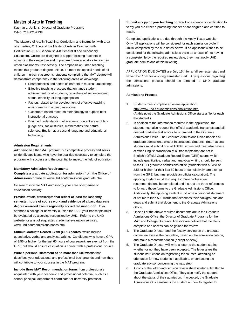## **Master of Arts in Teaching**

Kathryn L. Jenkins, Director of Graduate Programs C440, 713-221-2738

The Masters of Arts in Teaching, Curriculum and Instruction with area of expertise, Online and the Master of Arts in Teaching with Certification (EC-6 Generalist, 4-8 Generalist and Secondary Education), Online are designed to support existing teachers in advancing their expertise and to prepare future educators to teach in urban classrooms, respectively. The emphasis on urban teaching makes this graduate degree unique. To meet the special needs of all children in urban classrooms, students completing the MAT degree will demonstrate competency in the following areas of knowledge:

- Characteristics and needs of learners in multicultural settings
- Effective teaching practices that enhance student achievement for all students, regardless of socioeconomic status, ethnicity, or language spoken
- Factors related to the development of effective teaching environments in urban classrooms
- Classroom-based research methodology to support best instructional practices
- Enriched understanding of academic content areas of language arts, social studies, mathematics, the natural sciences, English as a second language and educational technology.

## **Admission Requirements**

Admission to either MAT program is a competitive process and seeks to identify applicants who have the qualities necessary to complete the program with success and the potential to impact the field of education.

## **Mandatory Admission Requirements:**

**Complete a graduate application for admission from the Office of Admissions online** at: www.uhd.edu/admissions/graduate.html

*Be sure to indicate MAT and specify your area of expertise or certification seeking*

**Provide official transcripts that reflect at least the last sixty semester hours of course work and evidence of a baccalaureate degree awarded from a regionally accredited institution.** If you attended a college or university outside the U.S., your transcripts must be evaluated by a service recognized by UHD. Refer to the UHD website for a list of suggested credential evaluation services. www.uhd.edu/admissions/naces.html

**Submit Graduate Record Exam (GRE) scores,** which include quantitative, verbal and analytical writing. Candidates who have a GPA of 3.56 or higher for the last 60 hours of coursework are exempt from the GRE, but should ensure calculation is correct with a professional source.

**Write a personal statement of no more than 500 words** that describes your educational and professional backgrounds and how they will contribute to your success in the MAT program.

**Include three MAT Recommendation forms** from professionals acquainted with your academic and professional potential, such as a school principal, department coordinator or university professor.

Submit a copy of your teaching contract or evidence of certification to verify you are either a practicing teacher or are degreed and certified to teach.

Completed applications are due through the Apply Texas website. Only full applications will be considered for each admission cycle if 100% completed by the due dates below. If an applicant wishes to be considered for the following admissions cycle as a result of not having a complete file by the required review date, they must notify UHD graduate admissions of this in writing.

APPLICATION DUE DATES are July 15th for a fall semester start and November 15th for a spring semester start. Any questions regarding the admissions process should be directed to UHD graduate admissions.

## **Admissions Process**

- 1. Students must complete an online application: <http://www.uhd.edu/admissions/application.htm> (At this point the Graduate Admissions Office starts a file for each the student.)
- 2. In addition to the information required in the application, the student must also request that official academic transcripts and all needed graduate test scores be submitted to the Graduate Admissions Office. The Graduate Admissions Office handles all graduate admissions, except International Students. (International students must submit official TOEFL scores and must also have a certified English translation of all transcripts that are not in English.) Official Graduate Record Exam (GRE) scores which include quantitative, verbal and analytical writing should be sent to the UHD graduate admissions office (students with a GPA of 3.56 or higher for their last 60 hours or cumulatively, are exempt from the GRE, but must provide an official calculation). The applying student must also request three professional recommendations be completed and instruct the three references to forward those forms to the Graduate Admissions Office. Additionally, the applying student must write a personal statement of not more than 500 words that describes their backgrounds and goals and submit that document to the Graduate Admissions Office.
- 3. Once all of the above required documents are in the Graduate Admissions Office, the Director of Graduate Programs for the MAT and College Graduate Advisors are notified that the file is complete and access can be gained for review.
- 4. The Graduate Director and the faculty serving on the graduate committee assess the candidate, based on the admission criteria, and make a recommendation (accept or deny).
- 5. The Graduate Director will write a letter to the student stating whether or not they have been accepted. The letter gives the student instructions on registering for courses, attending an orientation for new students if applicable, or contacting the graduate advisor concerning the next step.
- 6. A copy of the letter and decision review sheet is also submitted to the Graduate Admissions Office. They also notify the student about the status of their admission. If accepted, the Graduate Admissions Office instructs the student on how to register for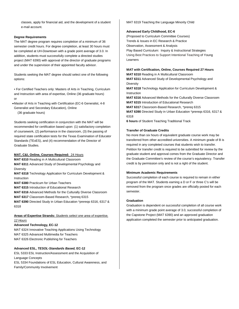classes, apply for financial aid, and the development of a student e-mail account.

## **Degree Requirements**

The MAT degree program requires completion of a minimum of 36 semester credit hours. For degree completion, at least 30 hours must be completed at UH-Downtown with a grade point average of 3.0. In addition, students must successfully complete a directed studies project (MAT 6390) with approval of the director of graduate programs and under the supervision of their appointed faculty advisor.

Students seeking the MAT degree should select one of the following options:

• For Certified Teachers only: Masters of Arts in Teaching, Curriculum and Instruction with area of expertise, Online (36 graduate hours) or

•Master of Arts in Teaching with Certification (EC-6 Generalist, 4-8 Generalist and Secondary Education), Online (36 graduate hours)

Students seeking certification in conjunction with the MAT will be recommended for certification based upon: (1) satisfactory completion of coursework, (2) performance in the classroom, (3) the passing of required state certification tests for the Texas Examination of Educator Standards (TExES), and (4) recommendation of the Director of Graduate Studies.

## **MAT, C&I, Online, Courses Required:** 24 Hours

**MAT 6310** Reading in A Multicultural Classroom

**MAT 6311** Advanced Study of Developmental Psychology and **Diversity** 

**MAT 6318** Technology Application for Curriculum Development & Instruction

**MAT 6380** Practicum for Urban Teachers

**MAT 6315** Introduction of Educational Research

**MAT 6316** Advanced Methods for the Culturally Diverse Classroom

**MAT 6317** Classroom-Based Research, \*prereq 6315

**MAT 6390** Directed Study in Urban Education \*prereqs 6316, 6317 & 6318

## **Areas of Expertise Strands:** *Students select one area of expertise, 12 Hours*

## **Advanced Technology, EC-12**

MAT 6324 Innovative Teaching Applications Using Technology MAT 6325 Advanced Multimedia for Teachers MAT 6326 Electronic Publishing for Teachers

## **Advanced ESL,** *TESOL-Standards Based,* **EC-12**

ESL 5333 ESL Instruction/Assessment and the Acquisition of Language Concepts ESL 5334 Foundations of ESL Education, Cultural Awareness, and Family/Community Involvement

MAT 6319 Teaching the Language Minority Child

## **Advanced Early Childhood, EC-6**

(Proposed to Curriculum Committee Courses) Trends & Issues in EC Research & Practice Observation, Assessment & Analysis Play Based Curriculum: Inquiry & Instructional Strategies Using Best Practices to Support Intentional Teaching of Young Learners

## **MAT with Certification, Online, Courses Required 27 Hours**

**MAT 6310** Reading in A Multicultural Classroom **MAT 6311** Advanced Study of Developmental Psychology and

**Diversity MAT 6318** Technology Application for Curriculum Development & Instruction

**MAT 6316** Advanced Methods for the Culturally Diverse Classroom **MAT 6315** Introduction of Educational Research

**MAT 6317** Classroom-Based Research, \*prereq 6315

**MAT 6390** Directed Study in Urban Education \*prereqs 6316, 6317 & 6318

**6 hours** of Student Teaching Traditional Track

## **Transfer of Graduate Credits**

No more than six hours of equivalent graduate course work may be transferred from other accredited universities. A minimum grade of B is required in any completed courses that students wish to transfer. Petition for transfer credit is required to be submitted for review by the graduate student and approval comes from the Graduate Director and the Graduate Committee's review of the course's equivalency. Transfer credit is by permission only and is not a right of the student.

## **Minimum Academic Requirements**

Successful completion of each course is required to remain in either program of the MAT. Students earning a D or F or three C's will be removed from the program once grades are officially posted for each semester.

## **Graduation**

Graduation is dependent on successful completion of all course work with a minimum grade point average of 3.0, successful completion of the Capstone Project (MAT 6390) and an approved graduation application completed the semester prior to anticipated graduation.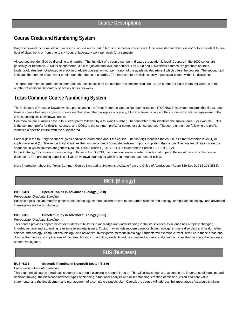## **Course Credit and Numbering System**

Progress toward the completion of academic work is measured in terms of semester credit hours. One semester credit hour is normally equivalent to one hour of class work, or from one to six hours of laboratory work per week for a semester.

All courses are identified by discipline and number. The first digit of a course number indicates the academic level. Courses in the 1000 series are generally for freshmen, 2000 for sophomores, 3000 for juniors and 4000 for seniors. The 5000 and 6000 series courses are graduate courses. Undergraduates are not allowed to enroll in graduate courses without permission of the academic department which offers the courses. The second digit indicates the number of semester credit hours that the course carries. The third and fourth digits specify a particular course within its discipline.

The three numbers in parentheses after each course title indicate the number of semester credit hours, the number of class hours per week, and the number of additional laboratory or activity hours per week.

## **Texas Common Course Numbering System**

The University of Houston-Downtown is a participant in the Texas Common Course Numbering System (TCCNS). This system ensures that if a student takes a course bearing a common course number at another college or university, UH-Downtown will accept the course in transfer as equivalent to the corresponding UH-Downtown course.

Common course numbers have a four-letter prefix followed by a four-digit number. The four-letter prefix identifies the subject area. For example, ENGL is the common prefix for English courses, and COSC is the common prefix for computer science courses. The four-digit number following the prefix identifies a specific course with the subject area.

Each digit in the four-digit sequence gives additional information about the course. The first digit identifies the course as either freshman level (1) or sophomore level (2). The second digit identifies the number of credit hours students earn upon completing the course. The final two digits indicate the sequence in which courses are generally taken. Thus, French I (FREN 1311) is taken before French II (FREN 1312).

In this Catalog, for courses corresponding to those in the TCCNS, the common course number is indicated in parentheses at the end of the course description. The preceding page lists all UH-Downtown courses for which a common course number exists.

More information about the Texas Common Course Numbering System is available from the Office of Admissions (Room 326-South; 713-221-8533).

## **BIOL (Biology)**

## **BIOL 6301 Special Topics in Advanced Biology (3-3-0)**

*Prerequisite: Graduate Standing* 

Possible topics include modern genetics, biotechnology, immune disorders and health, urban science and ecology, computational biology, and advanced investigative methods in biology.

## **BIOL 6399 Directed Study in Advanced Biology (3-2-1)**

## *Prerequisite: Graduate Standing*

This course provides opportunities for students to build their knowledge and understanding in the life sciences as science has a rapidly changing knowledge base and expanding relevance to societal issues. Topics may include modern genetics, biotechnology, immune disorders and health, urban science and ecology, computational biology, and advanced investigative methods in biology. Students will examine current literature in these areas and discuss the merits and implications of the latest findings. In addition, students will be immersed in various labs and activities that reinforce the concepts under investigation.

**BUS (Business)**

## **BUS 6331 Strategic Planning in Nonprofit Sector (3-3-0)**

## *Prerequisite: Graduate Standing*

This experiential course introduces students to strategic planning in nonprofit sector. This will allow students to ascertain the importance of planning and decision making, the difference between types of planning; situational analysis and asset mapping; creation of mission, vision and core value statements; and the development and management of a complete strategic plan. Overall, the course will address the importance of strategic thinking,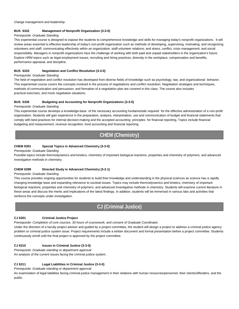change management and leadership.

## **BUS 6332 Management of Nonprofit Organization (3-3-0)**

## *Prerequisite: Graduate Standing*

This experiential course is designed to expose the students to comprehensive knowledge and skills for managing today's nonprofit organizations. It will review areas essential to effective leadership of today's non-profit organization such as methods of developing, supervising, motivating, and recognizing volunteers and staff; communicating effectively within an organization; staff-volunteer relations; and stress, conflict, crisis management, and social responsibility. Managers in nonprofit organizations face the challenge of working with both paid and unpaid stakeholders in the organization's future. Explore HRM topics such as legal employment issues, recruiting and hiring practices, diversity in the workplace, compensation and benefits, performance appraisal, and discipline.

## **BUS 6333 Negotiation and Conflict Resolution (3-3-0)**

## *Prerequisite: Graduate Standing*

The field of negotiation and conflict resolution has developed from diverse fields of knowledge such as psychology, law, and organizational behavior. This experiential course covers the concepts involved in the process of negotiations and conflict resolution. Negotiation strategies and techniques, methods of communication and persuasion, and formation of a negotiation plan are covered in this class. The course also includes practical exercises, and mock negotiation situations.

## **BUS 6336 Budgeting and Accounting for Nonprofit Organizations (3-3-0)**

## *Prerequisite: Graduate Standing*

This experiential course develops a knowledge-base of the necessary accounting fundamentals required for the effective administration of a non-profit organization. Students will gain experience in the preparation, analysis, interpretation, use and communication of budget and financial statements that comply with best-practices for internal decision-making and the accepted accounting principles for financial reporting. Topics include financial budgeting and measurement, revenue recognition, fund accounting and financial reporting.

# **CHEM (Chemistry)**

## **CHEM 6301 Special Topics in Advanced Chemistry (3-3-0)**

## *Prerequisite: Graduate Standing*

Possible topics include thermodynamics and kinetics, chemistry of important biological reactions, properties and chemistry of polymers, and advanced investigative methods in chemistry.

## **CHEM 6399 Directed Study in Advanced Chemistry (3-2-1)**

## *Prerequisite: Graduate Standing*

This course provides ongoing opportunities for students to build their knowledge and understanding in the physical sciences as science has a rapidly changing knowledge base and expanding relevance to societal issues. Topics may include thermodynamics and kinetics, chemistry of important biological reactions, properties and chemistry of polymers, and advanced investigative methods in chemistry. Students will examine current literature in these areas and discuss the merits and implications of the latest findings. In addition, students will be immersed in various labs and activities that reinforce the concepts under investigation.

## **CJ (Criminal Justice)**

## **CJ 6301 Criminal Justice Project**

*Prerequisite: Completion of core courses, 30 hours of coursework, and consent of Graduate Coordinator.* 

Under the direction of a faculty project advisor and guided by a project committee, the student will design a project to address a criminal justice agency problem or criminal justice system issue. Project requirements include a written document and formal presentation before a project committee. Students continuously enroll until the final project is approved by the project committee.

## **CJ 6310 Issues in Criminal Justice (3-3-0)**

*Prerequisite: Graduate standing or department approval* 

An analysis of the current issues facing the criminal justice system.

## **CJ 6311 Legal Liabilities in Criminal Justice (3-3-0)**

*Prerequisite: Graduate standing or department approval* 

An examination of legal liabilities facing criminal justice management in their relations with human resources/personnel, their clients/offenders, and the public.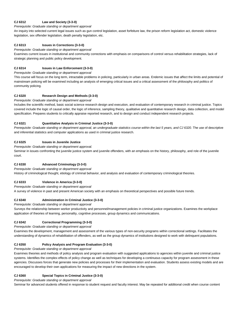## **CJ 6312 Law and Society (3-3-0)**

## *Prerequisite: Graduate standing or department approval*

An inquiry into selected current legal issues such as gun control legislation, asset forfeiture law, the prison reform legislation act, domestic violence legislation, sex offender legislation, death penalty legislation, etc.

## **CJ 6313 Issues in Corrections (3-3-0)**

#### *Prerequisite: Graduate standing or department approval*

Examines current issues in institutional and community corrections with emphasis on comparisons of control versus rehabilitation strategies, lack of strategic planning and public policy development.

## **CJ 6314 Issues in Law Enforcement (3-3-0)**

#### *Prerequisite: Graduate standing or department approval*

This course will focus on the long term, intractable problems in policing, particularly in urban areas. Endemic issues that affect the limits and potential of mainstream policing will be examined including an analysis of emerging critical issues and a critical assessment of the philosophy and politics of community policing.

## **CJ 6320 Research Design and Methods (3-3-0)**

#### *Prerequisite: Graduate standing or department approval*

Includes the scientific method, basic social science research design and execution, and evaluation of contemporary research in criminal justice. Topics covered include the logic of causal order, the logic of inference, sampling theory, qualitative and quantitative research design, data collection, and model specification. Prepares students to critically appraise reported research, and to design and conduct independent research projects.

## **CJ 6321 Quantitative Analysis in Criminal Justice (3-3-0)**

Prerequisite: Graduate standing or department approval, an undergraduate statistics course within the last 5 years, and CJ 6320. The use of descriptive and inferential statistics and computer applications as used in criminal justice research.

## **CJ 6325 Issues in Juvenile Justice**

#### *Prerequisite: Graduate standing or department approval.*

Seminar in issues confronting the juvenile justice system and juvenile offenders, with an emphasis on the history, philosophy, and role of the juvenile court.

## **CJ 6330 Advanced Criminology (3-3-0)**

*Prerequisite: Graduate standing or department approval* 

History of criminological thought, etiology of criminal behavior, and analysis and evaluation of contemporary criminological theories.

## **CJ 6333 Violence in America (3-3-0)**

#### *Prerequisite: Graduate standing or department approval*

A survey of violence in past and present American society with an emphasis on theoretical perspectives and possible future trends.

## **CJ 6340 Administration in Criminal Justice (3-3-0)**

*Prerequisite: Graduate standing or department approval* 

Surveys the relationship between worker productivity and personnel/management policies in criminal justice organizations. Examines the workplace application of theories of learning, personality, cognitive processes, group dynamics and communications.

## **CJ 6342 Correctional Programming (3-3-0)**

## *Prerequisite: Graduate standing or department approval*

Examines the development, management and assessment of the various types of non-security programs within correctional settings. Facilitates the understanding of dynamics of rehabilitation of offenders, as well as the group dynamics of institutions designed to work with delinquent populations.

## **CJ 6350 Policy Analysis and Program Evaluation (3-3-0)**

## *Prerequisite: Graduate standing or department approval*

Examines theories and methods of policy analysis and program evaluation with suggested applications to agencies within juvenile and criminal justice systems. Identifies the complex effects of policy change as well as techniques for developing a continuous capacity for program assessment in these agencies. Discusses forces that generate new policies and processes for their implementation and evaluation. Students assess existing models and are encouraged to develop their own applications for measuring the impact of new directions in the system.

## **CJ 6360 Special Topics in Criminal Justice (3-3-0)**

*Prerequisite: Graduate standing or department approval* 

Seminar for advanced students offered in response to student request and faculty interest. May be repeated for additional credit when course content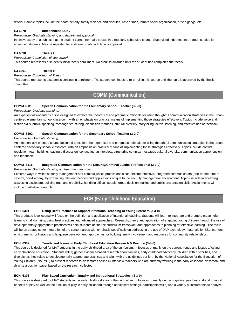differs. Sample topics include the death penalty, family violence and disputes, hate crimes, inmate social organization, prison gangs, etc.

#### **CJ 6370 Independent Study**

#### *Prerequisite: Graduate standing and department approval*

Intensive study of a subject that the student cannot normally pursue in a regularly scheduled course. Supervised independent or group studies for advanced students. May be repeated for additional credit with faculty approval.

## **CJ 6390 Thesis I**

*Prerequisite: Completion of coursework.* 

This course represents a student's initial thesis enrollment. No credit is awarded until the student has completed the thesis.

#### **CJ 6391 Thesis II**

*Prerequisite: Completion of Thesis I.* 

This course represents a student's continuing enrollment. The student continues to re-enroll in this course until the topic is approved by the thesis committee.

## **COMM (Communication)**

#### **COMM 6301 Speech Communication for the Elementary School Teacher (3-3-0)**

#### *Prerequisite: Graduate standing.*

An experientially-oriented course designed to explore the theoretical and pragmatic rationale for using thoughtful communication strategies in the urbancentered elementary school classroom, with an emphasis on practical means of implementing those strategies effectively. Topics include voice and diction skills, public speaking, message structuring, discussion methods, cultural diversity, storytelling, active listening, and effective use of feedback.

#### **COMM 6302 Speech Communication for the Secondary School Teacher (3-3-0)**

*Prerequisite: Graduate standing.* 

An experientially-oriented course designed to explore the theoretical and pragmatic rationale for using thoughtful communication strategies in the urbancentered secondary school classroom, with an emphasis on practical means of implementing those strategies effectively. Topics include conflict resolution, team building, leading a discussion, conducting an interview, structuring complex messages cultural diversity, communication apprehension, and feedback.

#### **COMM 6315 Integrated Communication for the Security/Criminal Justice Professional (3-3-0)**

#### *Prerequisite: Graduate standing or department approval.*

Explores ways in which security management and criminal justice professionals can become effective, integrated communicators (one-to-one, one-toseveral, one-to-many) by examining relevant theories and applications unique to the security management environment. Topics include interviewing, assessing disclosure, building trust and credibility, handling difficult people, group decision making and public presentation skills. Assignments will include qualitative research

## **ECH (Early Childhood Education)**

#### **ECH 6301 Using Best Practices to Support Intentional Teaching of Young Learners (3-3-0)**

This graduate level course will focus on the definition and application of intentional teaching. Students will learn to integrate and promote meaningful learning in all domains, using best practices and advanced approaches. Research, theory and application of engaging young children through the use of developmentally appropriate practices will help students define the curriculum framework and approaches to planning for effective learning. The focus will be on strategies for integration of the content areas with emphasis specifically on addressing the use of DAP technology, materials for ESL learners, environments for literacy and language development, approaches for building family involvement and resources for community relationships.

#### **ECH 6302 Trends and Issues in Early Childhood Education Research & Practice (3-3-0)**

This course is designed for MAT students in the early childhood area of the curriculum. It focuses primarily on the current trends and issues affecting early childhood education. Students will a) gather evidence-based research about families, early childhood advocacy, children with disabilities, and diversity as they relate to developmentally appropriate practices and align with the guidelines set forth by the National Association for the Education of Young Children (NAEYC.) b) present research to classmates online c) interview teachers who are currently working in the early childhood classroom and d) write a position paper based on the research collected.

## **ECH 6303 Play-Based Curriculum, Inquiry and Instructional Strategies (3-3-0)**

This course is designed for MAT students in the early childhood area of the curriculum. It focuses primarily on the cognitive, psychosocial and physical benefits of play as well as the function of play in early childhood through adolescent settings, participants will a) use a variety of instruments to analyze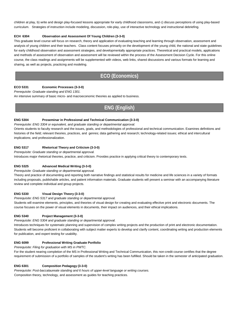children at play, b) write and design play-focused lessons appropriate for early childhood classrooms, and c) discuss perceptions of using play-based curriculum. Strategies of instruction include modeling, discussion, role-play, use of interactive technology and instructional debriefing.

## **ECH 6304 Observation and Assessment Of Young Children (3-3-0)**

This graduate level course will focus on research, theory and application of evaluating teaching and learning through observation, assessment and analysis of young children and their teachers. Class content focuses primarily on the development of the young child, the national and state guidelines for early childhood observation and assessment strategies, and developmentally appropriate practices. Theoretical and practical models, applications and methods of assessment of observation and assessment will be reviewed within the process of the Assessment Decision Cycle. For this online course, the class readings and assignments will be supplemented with videos, web links, shared discussions and various formats for learning and sharing, as well as projects, practicing and modeling.

## **ECO (Economics)**

## **ECO 5331 Economic Processes (3-3-0)**

*Prerequisite: Graduate standing and ENG 1301.* 

An intensive summary of basic micro- and macroeconomic theories as applied to business.

# **ENG (English)**

## **ENG 5304 Proseminar in Professional and Technical Communication (3-3-0)**

*Prerequisite: ENG 3304 or equivalent, and graduate standing or departmental approval.* 

Orients students to faculty research and the issues, goals, and methodologies of professional and technical communication. Examines definitions and histories of the field; relevant theories, practices, and genres; data gathering and research; technology-related issues; ethical and intercultural implications; and professionalization.

## **ENG 5317 Rhetorical Theory and Criticism (3-3-0)**

*Prerequisite: Graduate standing or departmental approval.* 

Introduces major rhetorical theories, practice, and criticism. Provides practice in applying critical theory to contemporary texts.

## **ENG 5325 Advanced Medical Writing (3-3-0)**

*Prerequisite: Graduate standing or departmental approval.* 

Theory and practice of documenting and reporting both narrative findings and statistical results for medicine and life sciences in a variety of formats including proposals, publishable articles, and patient information materials. Graduate students will present a seminar with an accompanying literature review and complete individual and group projects.

## **ENG 5330 Visual Design Theory (3-3-0)**

*Prerequisite: ENG 5317 and graduate standing or departmental approval.* 

Students will examine elements, principles, and theories of visual design for creating and evaluating effective print and electronic documents. The course focuses on the power of visual elements in documents, their impact on audiences, and their ethical implications.

## **ENG 5340 Project Management (3-3-0)**

#### *Prerequisite: ENG 5304 and graduate standing or departmental approval.*

Introduces techniques for systematic planning and supervision of complex writing projects and the production of print and electronic documentation. Students will become proficient in collaborating with subject matter experts to develop and clarify content, coordinating writing and production elements for publication, and expert testing for usability.

## **ENG 6099 Professional Writing Graduate Portfolio**

*Prerequisite: Filing for graduation with MS in PWTC.* 

For the student nearing completion of the MS in Professional Writing and Technical Communication, this non-credit course certifies that the degree requirement of submission of a portfolio of samples of the student's writing has been fulfilled. Should be taken in the semester of anticipated graduation.

## **ENG 6301 Composition Pedagogy (3-3-0)**

*Prerequisite: Post-baccalaureate standing and 6 hours of upper-level language or writing courses.*  Composition theory, technology, and assessment as guides for teaching practices.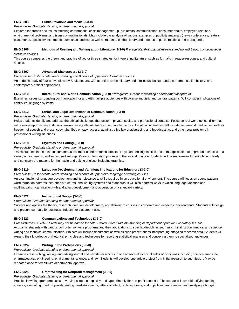## **ENG 6303 Public Relations and Media (3-3-0)**

#### *Prerequisite: Graduate standing or departmental approval.*

Explores the trends and issues affecting corporations, crisis management, public affairs, communication, consumer affairs, employee relations, environmental problems, and issues of multinationals. May include the analysis of various examples of publicity materials (news conferences, feature placements, special events, media tours, case studies) as well as readings on the history and theories of public relations and propaganda.

## **ENG 6306 Methods of Reading and Writing about Literature (3-3-0)** *Prerequisite: Post-baccalaureate standing and 6 hours of upper-level literature courses.*

This course compares the theory and practice of two or three strategies for interpreting literature, such as formalism, reader-response, and cultural studies.

## **ENG 6307 Advanced Shakespeare (3-3-0)**

*Prerequisite: Post-baccalaureate standing and 6 hours of upper-level literature courses.* 

An in-depth study of four or five plays by Shakespeare, with attention to their literary and intellectual backgrounds, performance/film history, and contemporary critical approaches.

## **ENG 6310 Intercultural and World Communication (3-3-0)** *Prerequisite: Graduate standing or departmental approval.*

Examines issues surrounding communication for and with multiple audiences with diverse linguistic and cultural patterns. Will consider implications of controlled language systems.

## **ENG 6312 Ethical and Legal Dimensions of Communication (3-3-0)**

*Prerequisite: Graduate standing or departmental approval.* 

Helps students identify and address the ethical challenges that occur in private, social, and professional contexts. Focus on real world ethical dilemmas with diverse approaches to decision making using ethical reasoning and applied ethics. Legal considerations will include first amendment issues such as freedom of speech and press, copyright, libel, privacy, access, administrative law of advertising and broadcasting, and other legal problems in professional writing situations.

## **ENG 6318 Stylistics and Editing (3-3-0)**

*Prerequisite: Graduate standing or departmental approval.* 

Trains students in the examination and assessment of the rhetorical effects of style and editing choices and in the application of appropriate choices to a variety of documents, audiences, and settings. Covers information processing theory and practice. Students will be responsible for articulating clearly and concisely the reasons for their style and editing choices, including graphics.

## **ENG 6319 Language Development and Variation: Implications for Educators (3-3-0)**

*Prerequisite: Post-baccalaureate standing and 6 hours of upper-level language or writing courses.*  An examination of language development and its relevance to skills required in an educational environment. The course will focus on sound patterns, word formation patterns, sentence structures, and writing systems and standards. It will also address ways in which language variation and

multilingualism can interact with and affect development and acquisition of a standard variety.

## **ENG 6322 Instructional Design (3-3-0)**

## *Prerequisite: Graduate standing or departmental approval.*

Surveys and applies the theory, research, creation, development, and delivery of courses in corporate and academic environments. Students will design and present curricula for business, industry, or classroom use.

## **ENG 6323 Communications and Technology (3-3-0)**

*Cross-listed as CJ 6323. Credit may not be earned for both. Prerequisite: Graduate standing or department approval. Laboratory fee: \$25.* Acquaints students with various computer software programs and their applications to specific disciplines such as criminal justice, medical and science writing and technical communication. Projects will include documents as well as slide presentations incorporating analyzed research data. Students will expand their knowledge of rhetorical principles and techniques for reporting statistical analyses and conveying them to specialized audiences.

## **ENG 6324 Writing in the Professions (3-3-0)**

*Prerequisite: Graduate standing or departmental approval.* 

Examines researching, writing, and editing journal and newsletter articles in one or several technical fields or disciplines including science, medicine, pharmaceutical, engineering, environmental science, and law. Students will develop one article project from initial research to submission. May be repeated once for credit with departmental approval.

## **ENG 6325 Grant Writing for Nonprofit Management (3-3-0)**

*Prerequisite: Graduate standing or departmental approval.* 

Practice in writing grant proposals of varying scope, complexity and type primarily for non-profit contexts. The course will cover identifying funding sources; evaluating grant proposals; writing need statements, letters of intent, outlines, goals, and objectives; and creating and justifying a budget.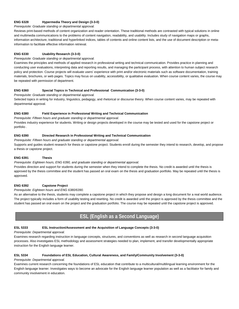## **ENG 6328 Hypermedia Theory and Design (3-3-0)**

### *Prerequisite: Graduate standing or departmental approval.*

Reviews print-based methods of content organization and reader orientation. These traditional methods are contrasted with typical solutions in online and multimedia communications to the problems of content navigation, readability, and usability. Includes study of navigation maps or graphs, information architecture, traditional and hyperlinked indices, tables of contents and online content lists, and the use of document description or metainformation to facilitate effective information retrieval.

## **ENG 6330 Usability Research (3-3-0)**

## *Prerequisite: Graduate standing or departmental approval.*

Examines the principles and methods of applied research in professional writing and technical communication. Provides practice in planning and conducting user evaluations, interpreting data and reporting results, and managing the participant process, with attention to human subject research policy and protection. Course projects will evaluate users' experience with print and/or electronic materials such as software documentation, training materials, brochures, or web pages. Topics may focus on usability, accessibility, or qualitative evaluation. When course content varies, the course may be repeated with permission of department.

#### **ENG 6360 Special Topics in Technical and Professional Communication (3-3-0)**

*Prerequisite: Graduate standing or departmental approval.* 

Selected topics in writing for industry, linguistics, pedagogy, and rhetorical or discourse theory. When course content varies, may be repeated with departmental approval.

## **ENG 6380 Field Experience in Professional Writing and Technical Communication**

*Prerequisite: Fifteen hours and graduate standing or departmental approval.* 

Provides industry experience for students. Writing or design projects developed in the course may be tested and used for the capstone project or portfolio .

## **ENG 6390 Directed Research in Professional Writing and Technical Communication**

*Prerequisite: Fifteen hours and graduate standing or departmental approval.*  Supports and guides student research for thesis or capstone project. Students enroll during the semester they intend to research, develop, and propose a thesis or capstone project.

## **ENG 6391 Thesis**

*Prerequisite: Eighteen hours, ENG 6390, and graduate standing or departmental approval.* 

Provides direction and support for students during the semester when they intend to complete the thesis. No credit is awarded until the thesis is approved by the thesis committee and the student has passed an oral exam on the thesis and graduation portfolio. May be repeated until the thesis is approved.

## **ENG 6392 Capstone Project**

## *Prerequisite: Eighteen hours and ENG 6380/6390.*

As an alternative to the thesis, students may complete a capstone project in which they propose and design a long document for a real world audience. The project typically includes a form of usability testing and rewriting. No credit is awarded until the project is approved by the thesis committee and the student has passed an oral exam on the project and the graduation portfolio. The course may be repeated until the capstone project is approved.

## **ESL (English as a Second Language)**

## **ESL 5333 ESL Instruction/Assessment and the Acquisition of Language Concepts (3-3-0)**

## *Prerequisite: Departmental approval.*

Examines research regarding instruction in language concepts, structures, and conventions as well as research in second language acquisition processes. Also investigates ESL methodology and assessment strategies needed to plan, implement, and transfer developmentally appropriate instruction for the English language learner.

## **ESL 5334 Foundations of ESL Education, Cultural Awareness, and Family/Community Involvement (3-3-0)**

## *Prerequisite: Departmental approval.*

Examines current research concerning the foundations of ESL education that contribute to a multicultural/multilingual learning environment for the English language learner. Investigates ways to become an advocate for the English language learner population as well as a facilitator for family and community involvement in education.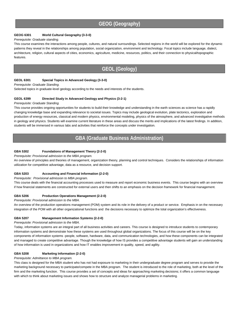## **GEOG (Geography)**

## **GEOG 6301 World Cultural Geography (3-3-0)**

#### *Prerequisite: Graduate standing.*

This course examines the interactions among people, cultures, and natural surroundings. Selected regions in the world will be explored for the dynamic patterns they reveal in the relationships among population, social organization, environment and technology. Focal topics include language, dialect, architecture, religion, cultural aspects of cities, economics, agriculture, medicine, resources, politics, and their connection to physical/topographic features.

## **GEOL (Geology)**

## **GEOL 6301 Special Topics in Advanced Geology (3-3-0)**

*Prerequisite: Graduate Standing.*

Selected topics in graduate-level geology according to the needs and interests of the students.

## **GEOL 6399 Directed Study in Advanced Geology and Physics (3-2-1)**

## *Prerequisite: Graduate Standing.*

This course provides ongoing opportunities for students to build their knowledge and understanding in the earth sciences as science has a rapidly changing knowledge base and expanding relevance to societal issues. Topics may include geological evolution, plate tectonics, exploration and production of energy resources, classical and modern physics, environmental modeling, physics of the atmosphere, and advanced investigative methods in geology and physics. Students will examine current literature in these areas and discuss the merits and implications of the latest findings. In addition, students will be immersed in various labs and activities that reinforce the concepts under investigation.

## **GBA (Graduate Business Administration)**

## **GBA 5302 Foundations of Management Theory (2-2-0)**

#### *Prerequisite: Provisional admission to the MBA program.*

An overview of principles and theories of management, organization theory, planning and control techniques. Considers the relationships of information utilization for competitive advantage, data as a resource, and decision support.

## **GBA 5203 Accounting and Financial Information (2-2-0)**

*Prerequisite: Provisional admission to MBA program.*

This course deals with the financial accounting processes used to measure and report economic business events. This course begins with an overview if how financial statements are constructed for external users and then shifts to an emphasis on the decision framework for financial management.

## **GBA 5206 Production Operations Management (2-2-0)**

#### *Prerequisite: Provisional admission to the MBA.*

An overview of the production operations management (POM) system and its role in the delivery of a product or service. Emphasis in on the necessary integration of the POM with all other organizational functions and the decisions necessary to optimize the total organization's effectiveness.

## **GBA 5207 Management Information Systems (2-2-0)**

#### *Prerequisite: Provisional admission to the MBA.*

Today, information systems are an integral part of all business activities and careers. This course is designed to introduce students to contemporary information systems and demonstrate how these systems are used throughout global organizations. The focus of this course will be on the key components of information systems -people, software, hardware, data, and communication technologies, and how these components can be integrated and managed to create competitive advantage. Though the knowledge of how IS provides a competitive advantage students will gain an understanding of how information is used in organizations and how IT enables improvement in quality, speed, and agility.

## **GBA 5208 Marketing Information (2-2-0)**

## *Prerequisite: Admittance to MBA program.*

This class is designed for the MBA student who has not had exposure to marketing in their undergraduate degree program and serves to provide the marketing background necessary to participate/compete in the MBA program. The student is introduced to the role of marketing, both at the level of the firm and the marketing function. This course provides a set of concepts and ideas for approaching marketing decisions; it offers a common language with which to think about marketing issues and shows how to structure and analyze managerial problems in marketing.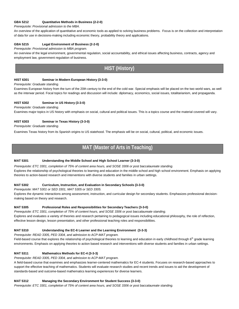## **GBA 5212 Quantitative Methods in Business (2-2-0)**

## *Prerequisite: Provisional admission to the MBA.*

An overview of the application of quantitative and economic tools as applied to solving business problems. Focus is on the collection and interpretation of data for use in decisions-making including economic theory, probability theory and applications.

## **GBA 5215 Legal Environment of Business (2-2-0)**

*Prerequisite: Provisional admission to MBA program.*

An overview of the legal environment, governmental regulation, social accountability, and ethical issues affecting business, contracts, agency and employment law, government regulation of business.

## **HIST (History)**

## **HIST 6301 Seminar in Modern European History (3-3-0)**

## *Prerequisite: Graduate standing.*

Examines European history from the turn of the 20th century to the end of the cold war. Special emphasis will be placed on the two world wars, as well as the interwar period. Focal topics for readings and discussion will include: diplomacy, economics, social issues, totalitarianism, and propaganda.

## **HIST 6302 Seminar in US History (3-3-0)**

*Prerequisite: Graduate standing.* 

Examines major topics in US history with emphasis on social, cultural and political issues. This is a topics course and the material covered will vary.

## **HIST 6303 Seminar in Texas History (3-3-0)**

*Prerequisite: Graduate standing.* 

Examines Texas history from its Spanish origins to US statehood. The emphasis will be on social, cultural, political, and economic issues. **)**

## **MAT (Master of Arts in Teaching)**

## **MAT 5301 Understanding the Middle School and High School Learner (3-3-0)**

*Prerequisite: ETC 3301, completion of 75% of content area hours, and SOSE 3306 or post baccalaureate standing.*  Explores the relationship of psychological theories to learning and education in the middle school and high school environment. Emphasis on applying theories to action-based research and interventions with diverse students and families in urban settings.

## **MAT 5302 Curriculum, Instruction, and Evaluation in Secondary Schools (3-3-0)**

*Prerequisite: MAT 5301 or SED 3301, MAT 5305 or SED 3305.* 

Explores the dynamic interactions among assessment, instruction, and curricular design for secondary students. Emphasizes professional decisionmaking based on theory and research.

## **MAT 5305 Professional Roles and Responsibilities for Secondary Teachers (3-3-0)**

*Prerequisite: ETC 3301, completion of 75% of content hours, and SOSE 3306 or post baccalaureate standing.*  Explores and evaluates a variety of theories and research pertaining to pedagogical issues including educational philosophy, the role of reflection, effective lesson design, lesson presentation, and other professional teaching roles and responsibilities.

## **MAT 5310 Understanding the EC-6 Learner and the Learning Environment (3-3-3)**

*Prerequisite: READ 3305, PED 3304, and admission to ACP-MAT program.* 

Field-based course that explores the relationship of psychological theories to learning and education in early childhood through 6<sup>th</sup> grade learning environments. Emphasis on applying theories to action based research and interventions with diverse students and families in urban settings.

## **MAT 5311 Mathematics Methods for EC-4 (3-3-3)**

*Prerequisite: READ 3305, PED 3304, and admission to ACP-MAT program.* 

A field-based course that examines and emphasizes learner-centered mathematics for EC-4 students. Focuses on research-based approaches to support the effective teaching of mathematics. Students will evaluate research studies and recent trends and issues to aid the development of standards-based and outcome-based mathematics learning experiences for diverse learners.

## **MAT 5312 Managing the Secondary Environment for Student Success (3-3-0)**

*Prerequisite: ETC 3301, completion of 75% of content area hours, and SOSE 3306 or post baccalaureate standing.*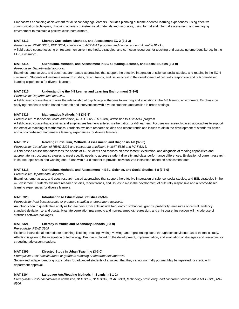Emphasizes enhancing achievement for all secondary age learners. Includes planning outcome-oriented learning experiences, using effective communication techniques, choosing a variety of instructional materials and resources, using formal and informal assessment, and managing environment to maintain a positive classroom climate.

## **MAT 5313 Literacy Curriculum, Methods, and Assessment EC-2 (3-3-3)**

*Prerequisite: READ 3305, PED 3304, admission to ACP-MAT program, and concurrent enrollment in Block I.*  A field-based course focusing on research on current methods, strategies, and curricular resources for teaching and assessing emergent literacy in the EC-2 classroom.

## **MAT 5314 Curriculum, Methods, and Assessment in EC-4 Reading, Science, and Social Studies (3-3-0)**

*Prerequisite: Departmental approval.* 

Examines, emphasizes, and uses research-based approaches that support the effective integration of science, social studies, and reading in the EC-4 classroom. Students will evaluate research studies, recent trends, and issues to aid in the development of culturally responsive and outcome-based learning experiences for diverse learners.

## **MAT 5315 Understanding the 4-8 Learner and Learning Environment (3-3-0)**

*Prerequisite: Departmental approval.* 

A field-based course that explores the relationship of psychological theories to learning and education in the 4-8 learning environment. Emphasis on applying theories to action-based research and interventions with diverse students and families in urban settings.

## **MAT 5316 Mathematics Methods 4-8 (3-3-3)**

*Prerequisite: Post-baccalaureate admission, READ 3305, ETC 3301, admission to ACP-MAT program.* 

A field-based course that examines and emphasizes learner-centered mathematics for 4-8 learners. Focuses on research-based approaches to support the effective teaching of mathematics. Students evaluate research studies and recent trends and issues to aid in the development of standards-based and outcome-based mathematics learning experiences for diverse learners.

## **MAT 5317 Reading Curriculum, Methods, Assessment, and Diagnosis 4-8 (3-3-0)**

*Prerequisite: Completion of READ 3305 and concurrent enrollment in MAT 5315 and MAT 5316.* 

A field-based course that addresses the needs of 4-8 students and focuses on assessment, evaluation, and diagnosis of reading capabilities and appropriate instructional strategies to meet specific needs to address student diversity and class performance differences. Evaluation of current research in course topic areas and working one-to-one with a 4-8 student to provide individualized instruction based on assessment data.

## **MAT 5318 Curriculum, Methods, and Assessment in ESL, Science, and Social Studies 4-8 (3-3-0)**

*Prerequisite: Departmental approval.*

Examines, emphasizes, and uses research-based approaches that support the effective integration of science, social studies, and ESL strategies in the 4-8 classroom. Students evaluate research studies, recent trends, and issues to aid in the development of culturally responsive and outcome-based learning experiences for diverse learners.

## **MAT 5320 Introduction to Educational Statistics (3-3-0)**

*Prerequisite: Post-baccalaureate or graduate standing or department approval.*

An introduction to quantitative analysis for teachers. Concepts include frequency distributions, graphs, probability, measures of central tendency, standard deviation, z- and t-tests, bivariate correlation (parametric and non-parametric), regression, and chi-square. Instruction will include use of statistics software packages.

## **MAT 5321 Literacy in Middle and Secondary Schools (3-3-0)**

*Prerequisite: READ 3309.* 

Explores instructional methods for speaking, listening, reading, writing, viewing, and representing ideas through concept/issue-based thematic study. Attention is given to the integration of technology. Emphasis placed on the development, implementation, and evaluation of strategies and resources for struggling adolescent readers.

## **MAT 5399 Directed Study in Urban Teaching (3-3-0)**

*Prerequisite: Post-baccalaureate or graduate standing or departmental approval.* 

Supervised independent or group studies for advanced students of a subject that they cannot normally pursue. May be repeated for credit with department approval.

## **MAT 6304 Language Arts/Reading Methods in Spanish (3-1-2)**

*Prerequisite: Post- baccalaureate admission, BED 3303, BED 3313, READ 3301, technology proficiency, and concurrent enrollment in MAT 6305, MAT 6306.*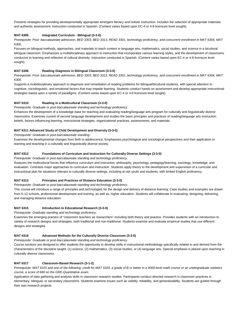Presents strategies for providing developmentally appropriate emergent literacy and holistic instruction. Includes the selection of appropriate materials and authentic assessment. Instruction conducted in Spanish. (Content varies based upon EC-4 or 4-8 licensure level sought).

## **MAT 6305 Integrated Curriculum - Bilingual (3-3-0)**

*Prerequisite: Post- baccalaureate admission, BED 3303, BED 3313, READ 3301, technology proficiency, and concurrent enrollment in MAT 6304, MAT 6306.* 

Focuses on bilingual methods, approaches, and materials to teach content in language arts, mathematics, social studies, and science in a bicultural bilingual classroom. Emphasizes a multidisciplinary approach to instruction that incorporates various learning styles, and the development of classrooms conducive to learning and reflective of cultural diversity. Instruction conducted in Spanish. (Content varies based upon EC-4 or 4-8 licensure level sought).

## **MAT 6306 Reading Diagnosis in Bilingual Classroom (3-3-0)**

*Prerequisite: Post- baccalaureate admission, BED 3303, BED 3313, READ 3301, technology proficiency, and concurrent enrollment in MAT 6304, MAT 6305.* 

Supports a multidisciplinary approach to diagnosis and remediation of reading problems for bilingual/bicultural students, with special attention to cognitive, sociolinguistic, and emotional factors that may impede learning. Students conduct hands-on assessment and develop appropriate instructional strategies based upon a variety of paradigms. (Content varies based upon EC-4 or 4-8 licensure level sought).

## **MAT 6310 Reading in a Multicultural Classroom (3-3-0)**

*Prerequisite: Graduate or post-baccalaureate standing and technology proficiency.* 

Enhances the development of a knowledge base for teaching and evaluating reading/language arts program for culturally and linguistically diverse classrooms. Examines current of second language development and studies the basic principles and practices of reading/language arts instruction: beliefs, factors influencing learning, instructional strategies, organizational practices, assessments, and materials.

## **MAT 6311 Advanced Study of Child Development and Diversity (3-3-0)**

*Prerequisite: Graduate or post-baccalaureate standing.* 

Examines the developmental changes from birth to adolescence. Emphasizes psychological and sociological perspectives and their application to learning and teaching in a culturally and linguistically diverse society.

## **MAT 6312 Foundations of Curriculum and Instruction for Culturally Diverse Settings (3-3-0)**

*Prerequisite: Graduate or post-baccalaureate standing and technology proficiency.* 

Analyzes the multicultural forces that influence curriculum and instruction: philosophy, psychology, pedagogy/learning, sociology, knowledge, and evaluation. Contrasts major approaches to curriculum and instruction. Students apply theory to the development and supervision of a curricular and instructional plan for situations relevant to culturally diverse settings, including at risk youth and students, with limited English proficiency.

## **MAT 6313 Principles and Practices of Distance Education (3-3-0)**

*Prerequisite: Graduate or post-baccalaureate standing and technology proficiency.* 

This course will introduce a range of principles and technologies for the design and delivery of distance learning. Case studies and examples are drawn from K-12 schools, professional development and training, as well as, higher education. Students will collaborate in evaluating, designing, delivering, and managing distance education.

## **MAT 6315 Introduction to Educational Research (3-3-0)**

*Prerequisite: Graduate standing and technology proficiency.* 

Examines the emerging practice of "classroom teachers as researchers" including both theory and practice. Provides students with an introduction to variety of research designs and strategies, both traditional and non-traditional. Students examine and evaluate empirical studies that use different designs and strategies.

## **MAT 6316 Advanced Methods for the Culturally Diverse Classroom (3-3-0)**

*Prerequisite: Graduate or post-baccalaureate standing and technology proficiency.* 

Course sections are designed to offer students the opportunity to develop skills in instructional methodology specifically related to and derived from the characteristics of the discipline taught: (1) science, (2) mathematics, (3) social studies, or (4) language arts. Special emphasis is placed upon teaching in culturally diverse classrooms.

## **MAT 6317 Classroom-Based Research (3-1-2)**

*Prerequisite: MAT 6315 and one of the following: credit for MAT 5320, a grade of B or better in a 4000-level math course or an undergraduate statistics course, a score of 680 on the GRE-Quantitative exam.*

Application of data gathering and analysis skills in classroom research studies. Participants conduct directed research in classroom practices in elementary, bilingual, or secondary classrooms. Students examine issues such as validity, reliability, and generalizability. Students are guided through their own research projects.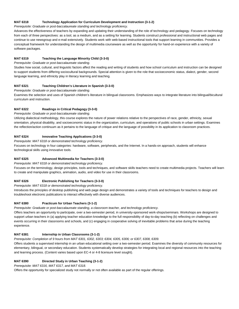## **MAT 6318 Technology Application for Curriculum Development and Instruction (3-1-2)**

*Prerequisite: Graduate or post-baccalaureate standing and technology proficiency.* 

Advances the effectiveness of teachers by expanding and updating their understanding of the role of technology and pedagogy. Focuses on technology from each of three perspectives: as a tool, as a medium, and as a setting for learning. Students construct professional and instructional web pages and continue to use newsgroup and e-mail extensively. Students work with web-based instructional tools that support learning in communities. Provides a conceptual framework for understanding the design of multimedia courseware as well as the opportunity for hand-on experience with a variety of software packages.

## **MAT 6319 Teaching the Language Minority Child (3-3-0)**

*Prerequisite: Graduate or post-baccalaureate standing.* 

Studies how social, cultural, and linguistic factors affect the reading and writing of students and how school curriculum and instruction can be designed to support students from differing sociocultural backgrounds. Special attention is given to the role that socioeconomic status, dialect, gender, second language learning, and ethnicity play in literacy learning and teaching.

## **MAT 6321 Teaching Children's Literature in Spanish (3-3-0)**

*Prerequisite: Graduate or post-baccalaureate standing.* 

Examines the selection and uses of Spanish children's literature in bilingual classrooms. Emphasizes ways to integrate literature into bilingual/bicultural curriculum and instruction.

## **MAT 6322 Readings in Critical Pedagogy (3-3-0)**

*Prerequisite: Graduate or post-baccalaureate standing.* 

Utilizing dialectical methodology, this course explores the nature of power relations relative to the perspectives of race, gender, ethnicity, sexual orientation, physical disability, and socioeconomic status in the organization, curriculum, and operations of public schools in urban settings. Examines the reflection/action continuum as it pertains to the language of critique and the language of possibility in its application to classroom practices.

## **MAT 6324 Innovative Teaching Applications (3-3-0)**

*Prerequisite: MAT 6318 or demonstrated technology proficiency.* 

Focuses on technology in four categories: hardware, software, peripherals, and the Internet. In a hands-on approach, students will enhance technological skills using innovative tools.

## **MAT 6325 Advanced Multimedia for Teachers (3-3-0)**

*Prerequisite: MAT 6318 or demonstrated technology proficiency.* 

Focuses on the terminology, design principles, tools and techniques, and software skills teachers need to create multimedia projects. Teachers will learn to create and manipulate graphics, animation, audio, and video for use in their classrooms.

## **MAT 6326 Electronic Publishing for Teachers (3-3-0)**

*Prerequisite: MAT 6318 or demonstrated technology proficiency.* 

Introduces the principles of desktop publishing and web page design and demonstrates a variety of tools and techniques for teachers to design and troubleshoot electronic publications to interact effectively with diverse audiences.

## **MAT 6380 Practicum for Urban Teachers (3-1-2)**

*Prerequisite: Graduate or post-baccalaureate standing, a classroom teacher, and technology proficiency.* 

Offers teachers an opportunity to participate, over a two-semester period, in university-sponsored work-shops/seminars. Workshops are designed to support urban teachers in (a) applying teacher education knowledge to the full responsibility of day-to-day teaching (b) reflecting on challenges and events occurring in their classrooms and schools, and (c) engaging in cooperative solving of inevitable problems that arise during the teaching experience.

## **MAT 6381 Internship in Urban Classrooms (3-1-2)**

*Prerequisite: Completion of 9 hours from MAT 6301, 6302, 6303; 6304, 6305, 6306; or 6307, 6308, 6309.* 

Offers students a supervised internship in an urban educational setting over a two-semester period. Examines the diversity of community resources for elementary, bilingual, or secondary education. Students systematically develop strategies for integrating local and regional resources into the teaching and learning process. (Content varies based upon EC-4 or 4-8 licensure level sought).

## **MAT 6390 Directed Study in Urban Teaching (3-1-2)**

*Prerequisite: MAT 6316, MAT 6317, and MAT 6318.* 

Offers the opportunity for specialized study not normally or not often available as part of the regular offerings.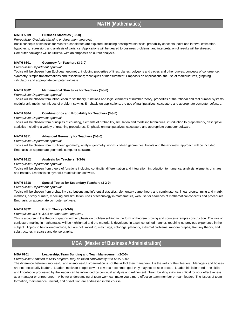## **MATH 5309 Business Statistics (3-3-0)**

## *Prerequisite: Graduate standing or department approval.*

Basic concepts of statistics for Master's candidates are explored, including descriptive statistics, probability concepts, point and interval estimation, hypothesis, regression, and analysis of variance. Applications will be geared to business problems, and interpretation of results will be stressed. Computer packages will be utilized, with an emphasis on output analysis.

## **MATH 6301 Geometry for Teachers (3-3-0)**

## *Prerequisite: Department approval.*

Topics will be chosen from Euclidean geometry, including properties of lines, planes, polygons and circles and other curves; concepts of congruence, symmetry, simple transformations and tesselations; techniques of measurement. Emphasis on applications, the use of manipulatives, graphing calculators and appropriate computer software.

## **MATH 6302 Mathematical Structures for Teachers (3-3-0)**

## *Prerequisite: Department approval.*

Topics will be chosen from introduction to set theory, functions and logic, elements of number theory, properties of the rational and real number systems, modular arithmetic, techniques of problem-solving. Emphasis on applications, the use of manipulatives, calculators and appropriate computer software.

## **MATH 6304 Combinatorics and Probability for Teachers (3-3-0)**

## *Prerequisite: Department approval.*

Topics will be chosen from principles of counting, elements of probability, simulation and modeling techniques, introduction to graph theory, descriptive statistics including a variety of graphing procedures. Emphasis on manipulatives, calculators and appropriate computer software.

## **MATH 6311 Advanced Geometry for Teachers (3-3-0)**

*Prerequisite: Department approval.* 

Topics will be chosen from Euclidean geometry, analytic geometry, non-Euclidean geometries. Proofs and the axiomatic approach will be included. Emphasis on appropriate geometric computer software.

## **MATH 6312 Analysis for Teachers (3-3-0)**

*Prerequisite: Department approval.* 

Topics will be chosen from theory of functions including continuity, differentiation and integration, introduction to numerical analysis, elements of chaos and fractals. Emphasis on symbolic manipulation software.

## **MATH 6318 Special Topics for Secondary Teachers (3-3-0)**

*Prerequisite: Department approval.* 

Topics will be chosen from probability distributions and inferential statistics, elementary game theory and combinatorics, linear programming and matrix methods, history of math, modeling and simulation, uses of technology in mathematics, web use for searches of mathematical concepts and procedures. Emphasis on appropriate computer software.

## **MATH 6322 Graph Theory (3-3-0)**

## *Prerequisite: MATH 3306 or department approval.*

This is a course in the theory of graphs with emphasis on problem solving in the form of theorem proving and counter-example construction. The role of conjecture-making in mathematics will be highlighted and the material is developed in a self-contained manner, requiring no previous experience in the subject. Topics to be covered include, but are not limited to; matchings, colorings, planarity, extremal problems, random graphs, Ramsey theory, and substructures in sparse and dense graphs.

## **MBA (Master of Business Administration)**

## **MBA 6201 Leadership, Team Building and Team Management (2-2-0)**

*Prerequisite: Admitted to MBA program, may be taken concurrently with MBA 6202.*

The difference between successful and unsuccessful organization is not the skill of their managers; it is the skills of their leaders. Managers and bosses are not necessarily leaders. Leaders motivate people to work towards a common goal they may not be able to see. Leadership is learned - the skills and knowledge processed by the leader can be influenced by continual analysis and refinement. Team building skills are critical for your effectiveness as a manager or entrepreneur. A better understanding of team work can make you a more effective team member or team leader. The issues of team formation, maintenance, reward, and dissolution are addressed in this course.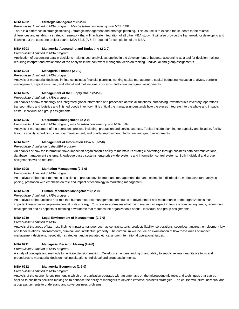## **MBA 6202 Strategic Management (2-2-0)**

*Prerequisite: Admitted to MBA program. May be taken concurrently with MBA 6201.*

There is a difference in strategic thinking , strategic management and strategic planning. This course is to expose the students to the relative differences and establish a strategic framework that will facilitate integration of all other MBA study. It will also provide the framework for developing and fleshing out the capstone project course MBA 6215 (A & B) required for completion of the MBA.

## **MBA 6203 Managerial Accounting and Budgeting (2-2-0)**

## *Prerequisite: Admitted to MBA program.*

Application of accounting data in decisions making; cost analysis as applied in the development of budgets; accounting as a tool for decision-making requiring interpret and explanation of the analysis in the context of managerial decision-making. Individual and group assignments.

## **MBA 6204 Managerial Finance (2-2-0)**

#### *Prerequisite: Admitted to MBA program.*

Analysis of managerial decisions in finance includes financial planning, working capital management, capital budgeting, valuation analysis, portfolio management, capital structure , and ethical and multinational concerns. Individual and group assignments.

## **MBA 6205 Management of the Supply Chain (2-2-0)**

## *Prerequisite: Admitted to MBA program.*

An analysis of how technology has integrated global information and processes across all functions, purchasing, raw materials inventory, operations, transportation, and logistics and finished goods inventory. It is critical the manager understands how the pieces integrate into the whole and impacts costs. Individual and group assignments.

## **MBA 6206 Operations Management (2-2-0)**

## *Prerequisite: Admitted to MBA program; may be taken concurrently with MBA 6204.*

Analysis of management of the operations process including production and service aspects. Topics include planning for capacity and location, facility layout, capacity scheduling, inventory management, and quality improvement. Individual and group assignments.

## **MBA 6207 Management of Information Flow s (2-2-0)**

## *Prerequisite: Admission to the MBA program.*

An analysis of how the information flows impact an organization's ability to maintain its strategic advantage through business data communications, database management systems, knowledge based systems, enterprise-wide systems and information control systems. Both individual and group assignments will be required.

## **MBA 6208 Marketing Management (2-2-0)**

*Prerequisite: Admitted to MBA program.*

An analysis of the major marketing decisions of product development and management, demand, estimation, distribution, market structure analysis, pricing, promotion with emphasis on role and impact of technology in marketing management.

## **MBA 6209 Human Resources Management (2-2-0)**

## *Prerequisite: Admitted to MBA program.*

An analysis of the functions and role that human resource management contributes to development and maintenance of the organization's most important resources—people—in pursuit of its strategy. This course addresses what the manager can expect in terms of forecasting needs, recruitment, development and all aspects of retaining a workforce that matches the organization's needs. Individual and group assignments.

## **MBA 6210 Legal Environment of Management (2-2-0)**

*Prerequisite: Admitted to MBA.*

Analysis of the areas of law most likely to impact a manager such as contracts, torts, products liability, corporations, securities, antitrust, employment law and labor relations, environmental, criminal, and intellectual property. The curriculum will include an examination of how these areas of impact management decisions, negotiation strategies, and associated ethical and/or international operational issues.

## **MBA 6211 Managerial Decision Making (2-2-0)**

*Prerequisite: Admitted to MBA program.*

A study of concepts and methods to facilitate decision making. Develops an understanding of and ability to supply several quantitative tools and procedures to managerial decision making situations. Individual and group assignments.

## **MBA 6212 Managerial Economics (2-2-0)**

## *Prerequisite: Admitted to MBA program.*

Analysis of the economic environment in which an organization operates with an emphasis on the microeconomic tools and techniques that can be applied to business decision-making so to enhance the ability of managers to develop effective business strategies. The course will utilize individual and group assignments to understand and solve business problems.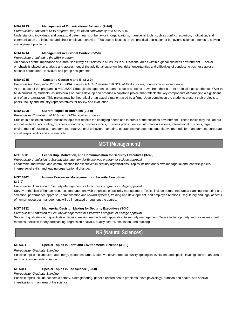## **MBA 6213 Management of Organizational Behavior (2-2-0)**

*Prerequisite: Admitted to MBA program; may be taken concurrently with MBA 6201.*

Understanding individuals and contextual determinants of behavior in organizations, managerial tools, such as conflict resolution, motivation, and communication , to influence and direct employee behavior. This course focuses on the practical application of behavioral science theories to solving management problems.

## **MBA 6214 Management in a Global Context (2-2-0)**

*Prerequisite: Admitted to the MBA program.*

An analysis of the importance of cultural sensitivity as it relates to all issues in all functional areas within a global business environment. Special emphasis is placed on analysis and assessment of the additional opportunities, risks, uncertainties and difficulties of conducting business across national boundaries. Individual and group assignments.

## **MBA 6215 Capstone Course A and B (2-2-0)**

*Prerequisites: Completed 28 SCH of MBA courses A & B, Completed 28 SCH of MBA courses; courses taken in sequence.*

At the outset of the program, in MBA 6202 Strategic Management, students choose a project drawn from their current professional experience. Over the MBA curriculum, students, as individuals or teams develop and produce a capstone project that reflects the key components of managing a significant unit of an organization. This project may be theoretical or an actual situation faced by a firm. Upon completion the students present their projects to peers, faculty and industry representatives for review and evaluation.

## **MBA 6290 Current Topics in Business (2-2-0)**

*Prerequisite: Completion of 16 hours of MBA required courses.*

Studies in a selected current business topic that reflects the changing needs and interests of the business environment. These topics may include but are not limited to accounting, business economics, business ethics, business policy, finance, information systems, international business, legal environment of business, management, organizational behavior, marketing, operations management, quantitative methods for management, corporate social responsibility and sustainability.

## **MGT (Management)**

## **MGT 6301 Leadership, Motivation, and Communication for Security Executives (3-3-0)**

*Prerequisite: Admission to Security Management for Executives program or college approval.* 

Leadership, motivation, and communication for executives in security organizations. Topics include one's own managerial and leadership skills, interpersonal skills, and leading organizational change.

## **MGT 6302 Human Resources Management for Security Executives**

## **(3-3-0)**

*Prerequisite: Admission to Security Management for Executives program or college approval.* 

Survey of the field of human resources management with emphasis on security management. Topics include human resources planning, recruiting and selection, performance appraisal, compensation and reward systems, training and development, and employee relations. Regulatory and legal aspects of human resources management will be integrated throughout the course.

## **MGT 6332 Managerial Decision Making for Security Executives (3-3-0)**

*Prerequisite: Admission to Security Management for Executives program or college approval.* 

Survey of qualitative and quantitative decision making methods with application to security management. Topics include priority and risk assessment matrices, decision theory, forecasting, regression analysis, quality control, simulation, and queuing.

## **NS (Natural Sciences)**

## **NS 6301 Special Topics in Earth and Environmental Science (3-3-0)**

*Prerequisite: Graduate Standing* 

Possible topics include alternate energy resources, urbanization vs. environmental quality, geological evolution, and special investigations in an area of earth or environmental science.

## **NS 6311 Special Topics in Life Science (3-3-0)**

*Prerequisite: Graduate Standing* 

Possible topics include economic botany, bioengineering, genetic-related health problems, plant physiology, nutrition and health, and special investigations in an area of life science.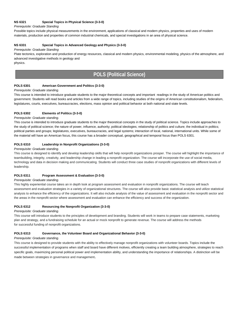## **NS 6321 Special Topics in Physical Science (3-3-0)**

*Prerequisite: Graduate Standing* 

Possible topics include physical measurements in the environment, applications of classical and modern physics, properties and uses of modern materials, production and properties of common industrial chemicals, and special investigations in an area of physical science.

## **NS 6331 Special Topics in Advanced Geology and Physics (3-3-0)**

#### *Prerequisite: Graduate Standing*

Plate tectonics, exploration and production of energy resources, classical and modern physics, environmental modeling, physics of the atmosphere, and advanced investigative methods in geology and

physics.

## **POLS (Political Science)**

## **POLS 6301 American Government and Politics (3-3-0)**

## *Prerequisite: Graduate standing.*

This course is intended to introduce graduate students to the major theoretical concepts and important readings in the study of American politics and government. Students will read books and articles from a wide range of topics, including studies of the origins of American constitutionalism, federalism, legislatures, courts, executives, bureaucracies, elections, mass opinion and political behavior at both national and state levels.

## **POLS 6302 Elements of Politics (3-3-0)**

## *Prerequisite: Graduate standing.*

This course is intended to introduce graduate students to the major theoretical concepts in the study of political science. Topics include approaches to the study of political science; the nature of power, influence, authority; political ideologies; relationship of politics and culture; the individual in politics; political parties and groups; legislatures, executives, bureaucracies, and legal systems; interaction of local, national, international units. While some of the material will have an American focus, this course has a broader conceptual, geographical and temporal focus than POLS 6301.

## **POLS 6310 Leadership in Nonprofit Organizations (3-3-0)**

#### *Prerequisite: Graduate standing.*

This course is designed to identify and develop leadership skills that will help nonprofit organizations prosper. The course will highlight the importance of teambuilding, integrity, creativity, and leadership change in leading a nonprofit organization. The course will incorporate the use of social media, technology and data in decision making and communicating. Students will conduct three case studies of nonprofit organizations with different levels of leadership.

## **POLS 6311 Program Assessment & Evaluation (3-3-0)**

## *Prerequisite: Graduate standing.*

This highly experiential course takes an in depth look at program assessment and evaluation in nonprofit organizations. The course will teach assessment and evaluation strategies in a variety of organizational structures. The course will also provide basic statistical analysis and utilize statistical analysis to enhance the efficiency of the organizations. It will also include analysis of the value of assessment and evaluation in the nonprofit sector and the areas in the nonprofit sector where assessment and evaluation can enhance the efficiency and success of the organization.

## **POLS 6312 Resourcing the Nonprofit Organization (3-3-0)**

## *Prerequisite: Graduate standing.*

This course will introduce students to the principles of development and branding. Students will work in teams to prepare case statements, marketing plan and strategy, and a fundraising schedule for an actual or mock nonprofit to generate revenue. The course will address the methods for successful funding of nonprofit organizations.

## **POLS 6313 Governance, the Volunteer Board and Organizational Behavior (3-3-0)**

## *Prerequisite: Graduate standing.*

This course is designed to provide students with the ability to effectively manage nonprofit organizations with volunteer boards. Topics include the successful implementation of programs when staff and board have different motives, efficiently creating a team building atmosphere, strategies to reach specific goals, maximizing personal political power and implementation ability, and understanding the importance of relationships. A distinction will be made between strategies in governance and management.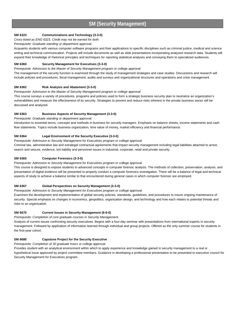## **SM (Security Management)**

## **SM 6323 Communications and Technology (3-3-0)**

## *Cross-listed as ENG 6323, Credit may not be earned for both.*

## *Prerequisite: Graduate standing or department approval.*

Acquaints students with various computer software programs and their applications to specific disciplines such as criminal justice, medical and science writing and technical communication. Projects will include documents as well as slide presentations incorporating analyzed research data. Students will expand their knowledge of rhetorical principles and techniques for reporting statistical analyses and conveying them to specialized audiences.

## **SM 6360 Security Management for Executives (3-3-0)**

#### *Prerequisite: Admission to the Master of Security Management program or college approval.*

The management of the security function is examined through the study of management strategies and case studies. Discussions and research will include policies and procedures, fiscal management, audits and surveys and organizational structures and operations and crisis management.

## **SM 6362 Risk Analysis and Abatement (3-3-0)**

*Prerequisite: Admission to the Master of Security Management program or college approval.* 

This course surveys a variety of procedures, programs and policies used to form a strategic business security plan to neutralize an organization's vulnerabilities and measure the effectiveness of its security. Strategies to prevent and reduce risks inherent in the private business sector will be discussed and analyzed.

## **SM 6363 Business Aspects of Security Management (3-3-0)**

*Prerequisite: Graduate standing or department approval.* 

Introduction to essential terms, concepts and methods in business for security managers. Emphasis on balance sheets, income statements and cash flow statements. Topics include business organization, time value of money, market efficiency and financial performance.

## **SM 6364 Legal Environment of the Security Executive (3-3-0)**

*Prerequisite: Admission to Security Management for Executives program or college approval.*

Criminal law, administrative law and extralegal contractual agreements that impact security management including legal liabilities attached to arrest, search and seizure, evidence, tort liability and personnel issues in industrial, corporate, retail and private security.

## **SM 6365 Computer Forensics (3-3-0)**

*Prerequisite: Admission to Security Management for Executives program or college approval.*

This course is designed to expose students to advanced concepts in computer forensic analysis. The methods of collection, preservation, analysis, and presentation of digital evidence will be presented to properly conduct a computer forensics investigation. There will be a balance of legal and technical aspects of study to achieve a balance similar to that encountered during general cases in which computer forensic are employed.

## **SM 6367 Global Perspectives on Security Management (3-3-0)**

*Prerequisite: Admission to Security Management for Executives program or college approval.*

Examines the development and implementation of global security policies, standards, guidelines, and procedures to insure ongoing maintenance of security. Special emphasis on changes in economics, geopolitics, organization design, and technology and how each relates to potential threats and risks to an organization.

## **SM 6670 Current Issues in Security Management (6-6-0)**

*Prerequisite: Completion of core graduate courses in Security Management.* 

Analysis of current issues confronting security executives. Begins with a four-day seminar with presentations from international experts in security management. Followed by application of information learned through individual and group projects. Offered as the only summer course for students in the first-year cohort.

## **SM 6680 Capstone Project for the Security Executive**

*Prerequisite: Completion of 30 graduate hours or college approval.*

Provides student with an analytical environment within which to apply experience and knowledge gained in security management to a real or hypothetical issue approved by project committee members. Guidance in developing a professional presentation to be presented to executive council for Security Management for Executives program.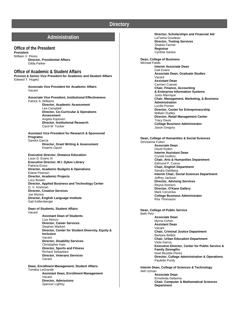## **Directory**

## **Administration**

## **Office of the President**

## **President**

William V. Flores **Director, Presidential Affairs** Gilda Parker

## **Office of Academic & Student Affairs**

**Provost & Senior Vice President for Academic and Student Affairs** Edward T. Hugetz

> **Associate Vice President for Academic Affairs** Vacant

**Associate Vice President, Institutional Effectiveness** Patrick S. Williams **Director, Academic Assessment** Lea Campbell **Director, Co-Curricular & Operations Assessment** Angela Koponen **Director, Institutional Research** Carol M. Tucker

#### **Assistant Vice President for Research & Sponsored Programs** Sandra Garcia **Director, Grant Writing & Assessment** Kwame Opuni

**Executive Director, Distance Education**  Louis D. Evans III **Executive Director, W.I. Dykes Library**  Patricia Ensor **Director, Academic Budgets & Operations** Elaine Pearson **Director, Academic Projects** Lucy Bowen **Director, Applied Business and Technology Center**  G. V. Krishnan **Director, Creative Services**  Joe Wynne **Director, English Language Institute**  Gail Kellersberger

**Dean of Students, Student Affairs** Vacant

> **Assistant Dean of Students** Liza Alonzo **Director, Career Services** Stephen Markert **Director, Center for Student Diversity, Equity & Inclusion** Vacant **Director, Disability Services** Christopher Kaio **Director, Sports and Fitness** Richard Sebastiani **Director, Veterans Services** Vacant

**Dean, Enrollment Management, Student Affairs** Tomikia LeGrande **Assistant Dean, Enrollment Management** Vacant **Director, Admissions** Spencer Lightsy

**Director, Scholarships and Financial Aid** LaTasha Goudeau **Director, Testing Services** Shakila Farmer **Registrar** Cynthia Santos

**Dean, College of Business**  Michael Fields **Interim Associate Dean** Gail Evans **Associate Dean, Graduate Studies** Vacant **Assistant Dean** Carmen Cuevas **Chair, Finance, Accounting & Enterprise Information Systems** Justo Manrique **Chair, Management, Marketing, & Business Administration**  Lucille Pointer **Director, Center for Entrepreneurship** William Dudley **Director, Retail Management Center** Tracy Davis **College Business Administrator** Jason Gregory

**Dean, College of Humanities & Social Sciences**  DoVeanna Fulton **Associate Dean** David Ryden **Interim Assistant Dean** Crystal Guillory **Chair, Arts & Humanities Department**  Edmund P. Cueva **Chair, English Department**  Sandra Dahlberg **Interim Chair, Social Sciences Department**  Jeffrey Jackson **Director, Advising Services** Reyna Romero **Director, O'Kane Gallery** Mark Cervenka **College Business Administrator** Rita Thomason

**Dean, College of Public Service**  Beth Pelz **Associate Dean**  Myrna Cohen **Assistant Dean** Vacant **Chair, Criminal Justice Department**  Barbara Belbot **Chair, Urban Education Department**  Viola Garcia **Executive Director, Center for Public Service & Family Strengths** Noel Bezette-Flores **Director, College Administration & Operations** Paulette Purdy

**Interim Dean, College of Sciences & Technology**  Akif Uzman **Associate Dean** Ermelinda Delavina **Chair, Computer & Mathematical Sciences Department**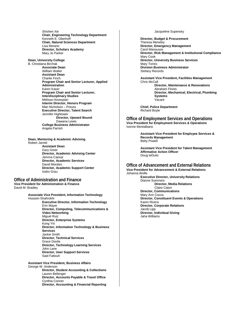Shishen Xie **Chair, Engineering Technology Department**  Kenneth E. Oberhoff **Chair, Natural Sciences Department**  Lisa Morano **Director, Scholars Academy** Mary Jo Parker

**Dean, University College** 

B. Christiana Birchak

**Associate Dean** William Waller **Assistant Dean** Charlie Finch **Program Chair and Senior Lecturer, Applied Administration** Karen Kaser **Program Chair and Senior Lecturer, Interdisciplinary Studies**  Melissa Hovespian **Interim Director, Honors Program** Mari Nicholson – Preuss **Executive Director, Talent Search** Jennifer Hightower **Director, Upward Bound** Dawana Lewis **College Business Administrator**

Angela Parrish

**Dean, Mentoring & Academic Advising**  Robert Jarrett **Assistant Dean**

Gary Greer **Director, Academic Advising Center**  Jemma Caesar **Director, Academic Services** David Morales **Director, Academic Support Center**  Isidro Grau

**Office of Administration and Finance Vice President for Administration & Finance** David M. Bradley

> **Associate Vice President, Information Technology** Hossein Shahrokhi **Executive Director, Information Technology** Erin Mayer **Director, Computing, Telecommunications & Video Networking** Miguel Ruiz **Director, Enterprise Systems** Kong Yin **Director, Information Technology & Business Services** Jackie Smith **Director, Technical Services** Grace Davila **Director, Technology Learning Services** John Lane **Director, User Support Services** Said Fattouh

**Assistant Vice President, Business Affairs**  George W. Anderson **Director, Student Accounting & Collections** Lauren Bellenger **Director, Accounts Payable & Travel Office** Cynthia Conner **Director, Accounting & Financial Reporting**

#### Jacqueline Supensky

**Director, Budget & Procurement** Theresa Meneley **Director, Emergency Management** Carol Manousos **Director, Risk Management & Institutional Compliance** Mary Cook **Director, University Business Services** Mary Torres **Division Business Administrator** Stefany Records

**Assistant Vice President, Facilities Management**  Chris McCall **Director, Maintenance & Renovations** Abraham Flores **Director, Mechanical, Electrical, Plumbing Systems** Vacant

**Chief, Police Department** Richard Boyle

**Office of Employment Services and Operations Vice President for Employment Services & Operations**  Ivonne Montalbano

> **Assistant Vice President for Employee Services & Records Management** Betty Powell

**Assistant Vice President for Talent Management Affirmative Action Officer** Doug teDuits

## **Office of Advancement and External Relations**

**Vice President for Advancement & External Relations** Johanna Wolfe **Executive Director, University Relations** Dianne Summers  **Director, Media Relations** Claire Caton **Director, Communications** Mary Ann Cozza **Director, Constituent Events & Operations** Karen Rivera **Director, Corporate Relations** Jacob Lipp **Director, Individual Giving** Jaha Williams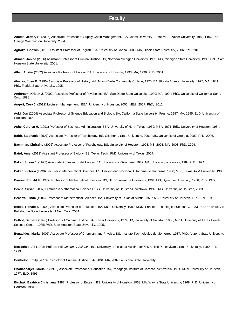## **Faculty**

**Adams, Jeffery H.** (2005) Associate Professor of Supply Chain Management. BA, Miami University, 1979; MBA, Xavier University, 1989; PhD, The George Washington University, 2004.

**Agboka, Godwin** (2010) Assistant Professor of English. BA, University of Ghana, 2003; MA, Illinois State University, 2006; PhD, 2010.

**Ahmad, Janice** (2006) Assistant Professor of Criminal Justice. BS, Northern Michigan University, 1978; MS, Michigan State University, 1993; PhD, Sam Houston State University, 2001.

**Allen, Austin** (2002) Associate Professor of History. BA, University of Houston, 1993; MA, 1996; PhD, 2001.

**Alvarez, José E.** (1996) Associate Professor of History. AA, Miami-Dade Community College, 1975; BA, Florida Atlantic University, 1977; MA, 1981; PhD, Florida State University, 1995.

**Anderson, Kristin J.** (2002) Associate Professor of Psychology. BA, San Diego State University, 1990; MA, 1994; PhD, University of California-Santa Cruz, 1998.

**Angert, Cory J.** (2012) Lecturer, Management. BBA**,** University of Houston, 2006; MEd, 2007; PhD, 2012.

**Aoki, Jon** (2004) Associate Professor of Science Education and Biology. BA, California State University, Fresno, 1987; MA, 1995; EdD, University of Houston, 2003.

Ashe, Carolyn H. (1991) Professor of Business Administration. BBA, University of North Texas, 1969; MBA, 1971; EdD, University of Houston, 1984.

**Babb, Stephanie** (2007) Associate Professor of Psychology. BS, Oklahoma State University, 2001; MS, University of Georgia, 2003; PhD, 2006.

**Bachman, Christine** (2006) Associate Professor of Psychology. BS, University of Houston, 1998; MS, 2001; MA, 2003; PhD, 2004.

**Baird, Amy** (2011) Assistant Professor of Biology. BS ,Texas Tech; PhD, University of Texas, 2007.

**Baker, Susan J.** (1995) Associate Professor of Art History. BA, University of Oklahoma, 1982; MA, University of Kansas, 1984;PhD, 1994.

**Baker, Victoria** (1990) Lecturer in Mathematical Sciences. BS, Universidad Nacional Autonoma de Honduras, 1980; MEd, Texas A&M University, 1988.

**Barnes, Ronald F.** (1977) Professor of Mathematical Sciences. BS, St. Bonaventure University, 1964; MS, Syracuse University, 1966; PhD, 1972.

**Beane, Susan** (2007) Lecturer in Mathematical Sciences. BS, University of Houston-Downtown, 1999; MS, University of Houston, 2003.

**Becerra, Linda** (1986) Professor of Mathematical Sciences. BA, University of Texas at Austin, 1972; MS, University of Houston, 1977; PhD, 1982.

**Beebe, Ronald S**. (2008) Associate Professor of Education. BA, Duke University, 1980; MDiv, Princeton Theological Seminary, 1983; PhD, University of Buffalo, the State University of New York, 2004.

**Belbot, Barbara** (1996) Professor of Criminal Justice. BA, Xavier University, 1974; JD, University of Houston, 1980; MPH, University of Texas Health Science Center, 1985; PhD, Sam Houston State University, 1995.

**Benavides, Maria** (2005) Associate Professor of Chemistry and Physics. BS, Instituto Technologico de Monterrey, 1987; PhD, Arizona State University, 1993.

**Berrached, Ali** (1993) Professor of *Computer Science*. BS, University of Texas at Austin, 1986; MS, The Pennsylvania State University, 1990; PhD, 1993.

**Berthelot, Emily** (2010) Instructor of Criminal Justice. BA, 2004; MA, 2007 Louisiana State University

**Bhattacharjee, Maria P.** (1996) Associate Professor of Education. BA, Pedagogic Institute of Caracas, Venezuela, 1974; MEd, University of Houston, 1977; EdD, 1995.

**Birchak, Beatrice Christiana** (1987) Professor of English. BS, University of Houston, 1963; MA, Wayne State University, 1968; PhD, University of Houston, 1984.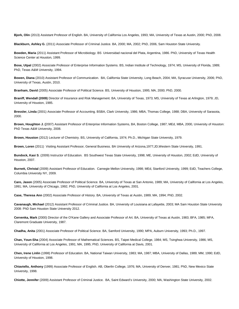**Bjork, Olin** (2013) Assistant Professor of English. BA, University of California Los Angeles, 1993; MA, University of Texas at Austin, 2000; PhD, 2008.

**Blackburn, Ashley G.** (2011) Associate Professor of Criminal Justice. BA, 2000; MA, 2002; PhD, 2006, Sam Houston State University.

**Bowden, Maria** (2011) Assistant Professor of Microbiology. BS Universidad nacional del Plata, Argentina, 1986. PhD, University of Texas Health Science Center at Houston, 1999.

**Bose, Utpal** (2002) Associate Professor of Enterprise Information Systems. BS, Indian Institute of Technology, 1974; MS, University of Florida, 1989; PhD, Texas A&M University, 1994.

**Bowen, Diana** (2010) Assistant Professor of Communication. BA, California State University, Long Beach, 2004; MA, Syracuse University, 2006; PhD, University of Texas, Austin, 2010.

**Branham, David** (2005) Associate Professor of Political Science. BS, University of Houston, 1995; MA, 2000; PhD, 2000.

**Braniff, Wendall (2009)** Director of Insurance and Risk Management. BA, University of Texas, 1973; MS, University of Texas at Arlington, 1979; JD, University of Houston, 1985.

**Bressler, Linda** (2001) Associate Professor of Accounting. BSBA, Clark University, 1986; MBA, Thomas College, 1988; DBA, University of Sarasota, 2000.

**Brown, Houghton J. (**2007) Assistant Professor of Enterprise Information Systems, BA, Boston College, 1987; MEd, MBA, 2000, University of Houston: PhD Texas A&M University, 2008.

**Brown, Houston** (2012) Lecturer of Chemistry. BS, University of California, 1974; Ph.D., Michigan State University, 1979.

**Brown, Loren** (2011) Visiting Assistant Professor, General Business. BA University of Arizona,1977;JD,Western State University, 1991.

**Bundock, Kasi S**. (2009) Instructor of Education. BS Southwest Texas State University, 1998; ME, University of Houston, 2002; EdD, University of Houston, 2007.

**Burnett, Christal** (2009) Assistant Professor of Education. Carnegie Mellon University, 1998; MEd, Stanford University, 1999; EdD, Teachers College, Columbia University NY, 2009.

**Caro, Jason** (2005) Associate Professor of Political Science. BA, University of Texas at San Antonio, 1989; MA, University of California at Los Angeles, 1991; MA, University of Chicago, 1992; PhD, University of California at Los Angeles, 2001.

**Case, Theresa Ann** (2002) Associate Professor of History. BA, University of Texas at Austin, 1989; MA, 1994; PhD, 2002.

**Cavanaugh, Michael** (2012) Assistant Professor of Criminal Justice. BA, University of Louisiana at Lafayette, 2003; MA Sam Houston State University 2008: PhD Sam Houston State University 2012.

**Cervenka, Mark** (2000) Director of the O'Kane Gallery and Associate Professor of Art. BA, University of Texas at Austin, 1983; BFA, 1985; MFA, Claremont Graduate University, 1987.

**Chadha, Anita** (2001) Associate Professor of Political Science. BA, Samford University, 1990; MPA, Auburn University, 1993; Ph.D., 1997.

**Chan, Youn-Sha** (2004) Associate Professor of Mathematical Sciences. BS, Taipei Medical College, 1984; MS, Tsinghwa University, 1986; MS, University of California at Los Angeles, 1991; MA, 1995; PhD, University of California at Davis, 2001.

**Chen, Irene Linlin** (1998) Professor of Education. BA, National Taiwan University, 1983; MA, 1987; MBA, University of Dallas, 1989; MM, 1990; EdD, University of Houston, 1998.

**Chiaviello, Anthony** (1999) Associate Professor of English. AB, Oberlin College, 1976; MA, University of Denver, 1981; PhD, New Mexico State University, 1998.

**Chiotte, Jennifer** (2009) Assistant Professor of Criminal Justice. BA, Saint Edward's University, 2000; MA, Washington State University, 2002.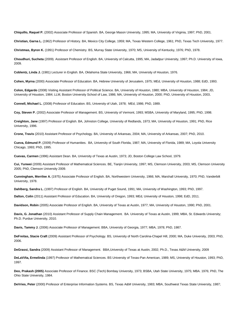**Chiquillo, Raquel P.** (2002) Associate Professor of Spanish. BA, George Mason University, 1995; MA, University of Virginia, 1997; PhD, 2001.

**Christian, Garna L.** (1962) Professor of History. BA, Mexico City College, 1959; MA, Texas Western College, 1961; PhD, Texas Tech University, 1977.

**Christmas, Byron K.** (1991) Professor of Chemistry. BS, Murray State University, 1970; MS, University of Kentucky, 1976; PhD, 1978.

**Choudhuri, Sucheta** (2009). Assistant Professor of English. BA, University of Calcutta, 1995; MA, Jadadpur University, 1997; Ph.D. University of Iowa, 2009.

**Coblentz, Linda J.** (1981) Lecturer in English. BA, Oklahoma State University, 1966; MA, University of Houston, 1976.

**Cohen, Myrna** (2000) Associate Professor of Education. BA, Hebrew University of Jerusalem, 1975; MEd, University of Houston, 1988; EdD, 1993.

**Colon, Edgardo** (2008) Visiting Assistant Professor of Political Science. BA, University of Houston, 1980; MBA, University of Houston, 1984; JD, University of Houston, 1984; LLM, Boston University School of Law, 1986; MA, University of Houston, 2000; PhD, University of Houston, 2003.

**Connell, Michael L.** (2008) Professor of Education. BS, University of Utah, 1978; MEd, 1986; PhD, 1989.

**Coy, Steven P.** (2002) Associate Professor of Management. BS, University of Vermont, 1993; MSBA, University of Maryland, 1995; PhD, 1998.

**Creighton, Jane** (1997) Professor of English. BA, Johnston College, University of Redlands, 1973; MA, University of Houston, 1991; PhD, Rice University, 1996.

**Crone, Travis** (2010) Assistant Professor of Psychology. BA, University of Arkansas, 2004; MA, University of Arkansas, 2007; PhD, 2010.

**Cueva, Edmund P.** (2009) Professor of Humanities. BA, University of South Florida, 1987; MA, University of Florida, 1989; MA, Loyola University Chicago, 1993; PhD, 1995.

**Cuevas, Carmen** (1996) Assistant Dean. BA, University of Texas at Austin, 1973; JD, Boston College Law School, 1979.

**Cui, Yunwei** (2009) Assistant Professor of Mathematical Sciences. BE, Tianjin University, 1997; MS, Clemson University, 2003; MS, Clemson University 2005; PhD, Clemson University 2009.

**Cunningham, Merrilee A.** (1975) Associate Professor of English. BA, Northwestern University, 1966; MA, Marshall University, 1970; PhD, Vanderbilt University, 1978.

**Dahlberg, Sandra L.** (1997) Professor of English. BA, University of Puget Sound, 1991; MA, University of Washington, 1993; PhD, 1997.

**Dalton, Colin** (2011) Assistant Professor of Education. BA, University of Oregon, 1993; MEd, University of Houston, 1998; EdD, 2011.

**Davidson, Robin** (2005) Associate Professor of English. BA, University of Texas at Austin, 1977; MA, University of Houston, 1990; PhD, 2001.

**Davis, G. Jonathan** (2010) Assistant Professor of Supply Chain Management. BA. University of Texas at Austin, 1999; MBA, St. Edwards University; Ph.D. Purdue University, 2010.

**Davis, Tammy J.** (2006) Associate Professor of Management. BBA, University of Georgia, 1977; MBA, 1978; PhD, 1987.

**DeFreitas, Stacie Craft** (2009) Assistant Professor of Psychology. BS, University of North Carolina-Chapel Hill, 2000; MA, Duke University, 2003; PhD, 2006.

**DeGrassi, Sandra** (2009) Assistant Professor of Management. BBA,University of Texas at Austin, 2002; Ph.D., Texas A&M University, 2009

**DeLaViña, Ermelinda** (1997) Professor of Mathematical Sciences. BS University of Texas-Pan American, 1989; MS, University of Houston, 1993; PhD, 1997.

**Deo, Prakash (2005)** Associate Professor of Finance. BSC (Tech) Bombay University, 1973; BSBA, Utah State University, 1975; MBA. 1976; PhD, The Ohio State University, 1984.

**DeVries, Peter** (2000) Professor of Enterprise Information Systems. BS, Texas A&M University, 1983; MBA, Southwest Texas State University, 1987;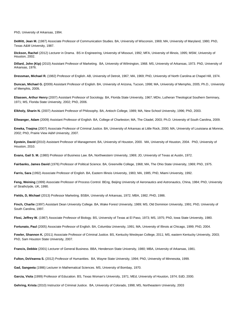PhD, University of Arkansas, 1994.

**DeWitt, Jean M.** (1987) Associate Professor of Communication Studies. BA, University of Wisconsin, 1969; MA, University of Maryland, 1980; PhD, Texas A&M University, 1987.

**Dickson, Rachel** (2012) Lecturer in Drama. BS in Engineering, University of Missouri, 1992; MFA, University of Illinois, 1995; MSW, University of Houston, 2002.

**Dillard, John (Kip)** (2010) Assistant Professor of Marketing. BA, University of Wilmington, 1968. MS, University of Arkansas, 1973. PhD, University of Arkansas, 1976.

**Dressman, Michael R.** (1982) Professor of English. AB, University of Detroit, 1967; MA, 1969; PhD, University of North Carolina at Chapel Hill, 1974.

**Duncan, Michael G. (**2009) Assistant Professor of English. BA, University of Arizona, Tucson, 1998; MA, University of Memphis, 2005; Ph.D., University of Memphis, 2009**.** 

**Eliassen, Arthur Henry** (2007) Assistant Professor of Sociology. BA, Florida State University, 1967; MDiv, Lutheran Theological Southern Seminary, 1971; MS, Florida State University, 2002; PhD, 2006.

**Elkholy, Sharin N.** (2007) Assistant Professor of Philosophy. BA, Antioch College, 1989; MA, New School University, 1996; PhD, 2003.

**Ellwanger, Adam** (2009) Assistant Professor of English. BA, College of Charleston; MA, The Citadel, 2003; Ph.D. University of South Carolina, 2009.

**Emeka, Traqina** (2007) Associate Professor of Criminal Justice. BA, University of Arkansas at Little Rock, 2000; MA, University of Louisiana at Monroe, 2002; PhD, Prairie View A&M University, 2007.

**Epstein, David (**2010) Assistant Professor of Management. BA, University of Houston, 2000. MA, University of Houston, 2004. PhD, University of Houston, 2010.

**Evans, Gail S. M.** (1980) Professor of Business Law. BA, Northwestern University, 1969; JD, University of Texas at Austin, 1972.

**Fairbanks, James David** (1976) Professor of Political Science. BA, Greenville College, 1968; MA, The Ohio State University, 1969; PhD, 1975.

**Farris, Sara** (1992) Associate Professor of English. BA, Eastern Illinois University, 1983; MA, 1985; PhD, Miami University, 1992.

Feng, Weining (1999) Associate Professor of Process Control. BEng, Beijing University of Aeronautics and Astronautics, China, 1984; PhD, University of Strathclyde, UK, 1990.

**Fields, D, Michael** (2013) Professor Marketing. BSBA, University of Arkansas, 1972; MBA, 1982; PHD, 1986.

**Finch, Charlie** (1997) Assistant Dean University College. BA, Wake Forest University, 1989; MS, Old Dominion University, 1991; PhD, University of South Carolina, 1997.

**Flosi, Jeffrey W.** (1987) Associate Professor of Biology. BS, University of Texas at El Paso, 1973; MS, 1975; PhD, Iowa State University, 1980.

**Fortunato, Paul** (2005) Associate Professor of English. BA, Columbia University, 1991; MA, University of Illinois at Chicago, 1999; PhD, 2004.

Fowler, Shannon K. (2011) Associate Professor of Criminal Justice. BS, Kentucky Wesleyan College, 2011; MS, eastern Kentucky University, 2003; PhD, Sam Houston State University, 2007.

**Francis, Debbie** (2001) Lecturer of General Business. BBA, Henderson State University, 1980; MBA, University of Arkansas, 1981.

**Fulton, DoVeanna S.** (2012) Professor of Humanities. BA, Wayne State University, 1994; PhD, University of Minnesota, 1999.

**Gad, Sangeeta** (1986) Lecturer in Mathematical Sciences. MS, University of Bombay, 1970.

**Garcia, Viola** (1999) Professor of Education. BS, Texas Woman's University, 1971; MEd, University of Houston, 1974; EdD, 2000.

**Gehring, Krista** (2010) Instructor of Criminal Justice. BA, University of Colorado, 1998; MS, Northeastern University, 2003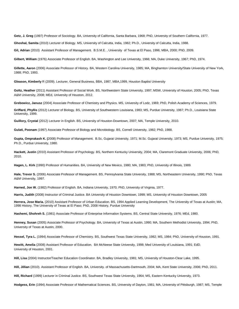**Getz, J. Greg** (1997) Professor of Sociology. BA, University of California, Santa Barbara, 1968; PhD, University of Southern California, 1977.

**Ghoshal, Samita** (2010) Lecturer of Biology. MS, University of Calcutta, India, 1982; Ph.D., University of Calcutta, India, 1988.

**Gil, Adrian** (2010) Assistant Professor of Management. B.S.M.E. , University of Texas at El Paso, 1996; MBA, 2000; PhD, 2009.

**Gilbert, William** (1976) Associate Professor of English. BA, Washington and Lee University, 1966; MA, Duke University, 1967; PhD, 1974.

**Gillette, Aaron** (2006) Associate Professor of History. BA, Western Carolina University, 1985; MA, Binghamton University/State University of New York, 1988; PhD, 1993.

**Gleason, Kimberly** R (2009). Lecturer, General Business, BBA, 1987, MBA,1999, Houston Baptist University

Goltz, Heather (2011) Assistant Professor of Social Work. BS, Northwestern State University, 1997; MSW, University of Houston, 2005; PhD, Texas A&M University, 2008; MEd, University of Houston, 2012.

**Grebowicz, Janusz** (2004) Associate Professor of Chemistry and Physics. MS, University of Lodz, 1969; PhD, Polish Academy of Sciences, 1979.

**Griffard, Phyllis** (2012) Lecturer of Biology. BS, University of Southwestern Louisiana, 1983; MS, Purdue University, 1987; Ph.D., Louisiana State University, 1999.

**Guillory, Crystal** (2012) Lecturer in English. BS, University of Houston-Downtown, 2007; MA, Temple University, 2010.

**Gulati, Poonam** (1997) Associate Professor of Biology and Microbiology. BS, Cornell University, 1982; PhD, 1988.

**Gupta, Omprakash K. (**2008) Professor of Management. B.Sc, Gujarat University, 1971; M.Sc. Gujarat University, 1973; MS, Purdue University, 1975; Ph.D., Purdue University, 1980.

**Hackett, Justin** (2010) Assistant Professor of Psychology. BS, Northern Kentucky University, 2004; MA, Claremont Graduate University, 2006; PhD, 2010.

**Hagen, L. Kirk** (1990) Professor of Humanities. BA, University of New Mexico, 1980; MA, 1983; PhD, University of Illinois, 1989.

**Hale, Trevor S.** (2006) Associate Professor of Management. BS, Pennsylvania State University, 1988; MS, Northeastern University, 1990; PhD, Texas A&M University, 1997.

**Harned, Jon W.** (1982) Professor of English. BA, Indiana University, 1970; PhD, University of Virginia, 1977.

**Harris, Judith** (2008) Instructor of Criminal Justice. BA University of Houston Downtown, 1999; MS, University of Houston Downtown, 2005

**Herrera, Jose Maria.** (2010) Assistant Professor of Urban Education. BS, 1994 Applied Learning Development, The University of Texas at Austin; MA, 1998 History, The University of Texas at El Paso; PhD, 2008 History, Purdue University

**Hashemi, Shohreh S.** (1981) Associate Professor of Enterprise Information Systems. BS, Central State University, 1976; MEd, 1980.

**Henney, Susan** (2005) Associate Professor of Psychology. BA, University of Texas at Austin, 1990; MA, Southern Methodist University, 1994; PhD, University of Texas at Austin, 2000.

**Hessel, Tyra L.** (1994) Associate Professor of Chemistry. BS, Southwest Texas State University, 1982; MS, 1984; PhD, University of Houston, 1991.

**Hewitt, Amelia** (2008) Assistant Professor of Education. BA McNeese State University, 1998; Med University of Louisiana, 1991; EdD. University of Houston, 2001.

**Hill, Lisa** (2004) Instructor/Teacher Education Coordinator. BA, Bradley University, 1981; MS, University of Houston-Clear Lake, 1995.

**Hill, Jillian** (2010). Assistant Professor of English. BA, University. of Massachusetts-Dartmouth, 2004; MA, Kent State University, 2006; PhD, 2011.

**Hill, Richard** (1999) Lecturer in Criminal Justice. BS, Southwest Texas State University, 1964; MS, Eastern Kentucky University, 1973.

**Hodgess, Erin** (1994) Associate Professor of Mathematical Sciences. BS, University of Dayton, 1981; MA, University of Pittsburgh, 1987; MS, Temple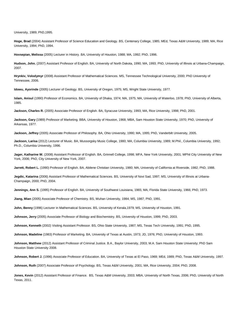University, 1989; PhD,1995.

**Hoge, Brad** (2004) Assistant Professor of Science Education and Geology. BS, Centenary College, 1985; MEd, Texas A&M University, 1989; MA, Rice University, 1994; PhD, 1994.

**Hovsepian, Melissa** (2005) Lecturer in History. BA, University of Houston, 1988; MA, 1992; PhD, 1996.

**Hudson, John.** (2007) Assistant Professor of English. BA, University of North Dakota, 1990; MA, 1993; PhD, University of Illinois at Urbana-Champaign, 2007.

**Hrynkiv, Volodymyr** (2008) Assistant Professor of Mathematical Sciences. MS, Tennessee Technological University, 2000; PhD University of Tennessee, 2006.

**Idowu, Ayorinde** (2005) Lecturer of Geology. BS, University of Oregon, 1975; MS, Wright State University, 1977.

**Islam, Anisul** (1990) Professor of Economics. BA, University of Dhaka, 1974; MA, 1975; MA, University of Waterloo, 1978; PhD, University of Alberta, 1985.

**Jackson, Charles R.** (2005) Associate Professor of English. BA, Syracuse University, 1993; MA, Rice University, 1998; PhD, 2001.

**Jackson, Gary** (1989) Professor of Marketing. BBA, University of Houston, 1968; MBA, Sam Houston State University, 1970; PhD, University of Arkansas, 1977.

**Jackson, Jeffrey** (2005) Associate Professor of Philosophy. BA, Ohio University, 1990; MA, 1995; PhD, Vanderbilt University, 2005.

**Jackson, Larisa** (2012) Lecturer of Music. BA, Mussorgsky Music College, 1980; MA, Columbia University, 1989; M.Phil., Columbia University, 1992; Ph.D., Columbia University, 1996.

**Jager, Katharine W.** (2008) Assistant Professor of English. BA, Grinnell College, 1998; MFA, New York University, 2001; MPhil City University of New York, 2006; PhD, City University of New York, 2007.

Jarrett, Robert L. (1990) Professor of English. BA, Abilene Christian University, 1980; MA, University of California at Riverside, 1982; PhD, 1988.

**Jegdic, Katarina** (2006) Assistant Professor of Mathematical Sciences. BS, University of Novi Sad, 1997; MS, University of Illinois at Urbana-Champaign, 2000; PhD, 2004.

**Jennings, Ann S.** (1995) Professor of English. BA, University of Southwest Louisiana, 1965; MA, Florida State University, 1966; PhD, 1973.

**Jiang, Mian** (2005) Associate Professor of Chemistry. BS, Wuhan University, 1984; MS, 1987; PhD, 1991.

**John, Benny** (1996) Lecturer in Mathematical Sciences. BS, University of Kerala,1979; MS, University of Houston, 1991.

**Johnson, Jerry** (2005) Associate Professor of Biology and Biochemistry. BS, University of Houston, 1999; PhD, 2003.

**Johnson, Kenneth** (2002) Visiting Assistant Professor. BS, Ohio State University, 1987; MS, Texas Tech University, 1991; PhD, 1995.

**Johnson, Madeline** (1983) Professor of Marketing. BA, University of Texas at Austin, 1973; JD, 1976; PhD, University of Houston, 1993.

**Johnson, Matthew** (2012) Assistant Professor of Criminal Justice. B.A., Baylor University, 2003; M.A. Sam Houston State University; PhD Sam Houston State University 2008.

Johnson, Robert J. (1996) Associate Professor of Education. BA, University of Texas at El Paso, 1969; MEd, 1989; PhD, Texas A&M University, 1997.

**Johnson, Ruth** (2007) Associate Professor of Psychology. BS, Texas A&M University, 2001; MA, Rice University, 2004; PhD, 2008.

**Jones, Kevin** (2012) Assistant Professor of Finance. BS, Texas A&M University, 2003; MBA, University of North Texas, 2006; PhD, University of North Texas, 2011.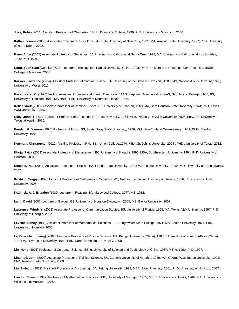**Jose, Robin** (2011) Assistant Professor of Chemistry. BS, St. Dominic's College, 1996; PhD, University of Wyoming, 2006.

**Kaftan, Joanna** (2005) Associate Professor of Sociology. BA, State University of New York, 1991; MA, Arizona State University, 1997; PhD, University of Notre Dame, 2002.

**Kane, Anne** (2005) Associate Professor of Sociology. BA, University of California at Santa Cruz, 1978; MA, University of California at Los Angeles, 1985; PhD, 1994.

**Kang, YuanYuan** (Connie) (2011) Lecturer of Biology. BS, Nankai University, China, 1998; Ph.D., University of Houston, 2004; Post-Doc, Baylor College of Medicine, 2007.

**Karson, Lawrence** (2004) Assistant Professor of Criminal Justice. BA, University of the State of New York, 1983; MS, National-Louis University1996; University of Wales 2012.

**Kaser, Karen C.** (1996) Visiting Assistant Professor and Interim Director of BAAS in Applied Administration. AAS, San Jacinto College, 1980; BS, University of Houston, 1989; MS, 1990; PhD, University of Nebraska-Lincoln, 1996.

**Kellar, Mark** (2000) Associate Professor of Criminal Justice. BS, University of Houston, 1968; MA, Sam Houston State University, 1974; PhD, Texas A&M University, 1979.

**Kelly, John R**. (2010) Assistant Professor of Education. BC, Rice University, 1974; MEd, Prairie View A&M University, 2005; PhD, The University of Texas at Austin, 2010.

**Kendall, G. Yvonne** (1994) Professor of Music. BS, Austin Peay State University, 1976; MM, New England Conservatory, 1981; DMA, Stanford University, 1985.

**Ketcham, Christopher** (2012), Visiting Professor, IRM. BS, Union College,1974; MBA ,St. John's University, 2004 ; PHD , University of Texas, 2012.

**Khoja, Faiza** (2003) Associate Professor of Management. BC, University of Karachi, 1990; MBA, Southeastern University, 1994; PhD, University of Houston, 2004.

**Kintzele, Paul** (2005) Associate Professor of English. BA, Florida State University, 1991; MA, Tulane University, 1995; PhD, University of Pennsylvania, 2002.

**Koshkin, Sergiy** (2009) Assistant Professor of Mathematical Sciences. MS, National Technical University of Ukraine, 1996; PhD, Kansas State University, 2006.

**Kuzmick, A. J. Branden** (1989) Lecturer in Reading. BA, Marywood College, 1977; MS, 1982.

**Lang, David** (2007) Lecturer of Biology. BS, University of Houston-Downtown, 2005; MS, Baylor University, 2007.

Lawrence, Windy Y. (2002) Associate Professor of Communication Studies. BS, University of Florida, 1995; MA, Texas A&M University, 1997; PhD, University of Georgia, 2002.

**Leveille, Nancy** (1983) Assistant Professor of Mathematical Sciences. BA, Bridgewater State College, 1971; MA, Boston University, 1974; EdD, University of Houston, 2005.

**Li, Peter (Jianquiang)** (2002) Associate Professor of Political Science. BA, Kiangsi University (China), 1983; BA, Institute of Foreign Affairs (China), 1987; MA, Syracuse University, 1988; PhD, Northern Arizona University, 2000.

**Lin, Hong** (2001) Professor of Computer Science. BEng, University of Science and Technology of China, 1987; MEng, 1990; PhD, 1997.

**Linantud, John** (2002) Associate Professor of Political Science. BA, Catholic University of America, 1989; MA, George Washington University, 1992; PhD, Arizona State University, 2000.

**Liu, Zishang** (2012) Assistant Professor of Accounting.. BA, Peking University, 1993; MBA, Rice University, 2001; PhD, University of Houston, 2007.

**London, Steven** (1982) Professor of Mathematical Sciences. BSE, University of Michigan, 1965; MSSE, University of Illinois, 1969; PhD, University of Wisconsin at Madison, 1976.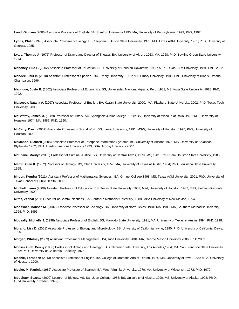**Lund, Giuliana** (2006) Associate Professor of English. BA, Stanford University 1990; MA, University of Pennsylvania, 1993; PhD, 1997.

**Lyons, Philip** (1995) Associate Professor of Biology. BS, Stephen F. Austin State University, 1978; MS, Texas A&M University, 1981; PhD, University of Georgia, 1985.

**Lyttle, Thomas J.** (1976) Professor of Drama and Director of Theater. BA, University of Akron, 1963; MA, 1968; PhD, Bowling Green State University, 1974.

**Mahoney, Sue E.** (2002) Associate Professor of Education. BS, University of Houston-Downtown, 1993; MEd, Texas A&M University, 1994; PhD, 2002.

**Mandell, Paul B.** (2010) Assistant Professor of Spanish. BA, Emory University, 1981; MA, Emory University, 1988; PhD, University of Illinois, Urbana-Champaign, 1996.

**Manrique, Justo R.** (2002) Associate Professor of Economics. BS, Universidad Nacional Agraria, Peru, 1981; MS, Iowa State University, 1988; PhD, 1992.

**Matveeva, Natalia A. (2007)** Associate Professor of English. BA, Kazan State University, 2000; MA, Pittsburg State University, 2002; PhD, Texas Tech University, 2006.

**McCaffrey, James M.** (1989) Professor of History. AA, Springfield Junior College, 1968; BS, University of Missouri at Rolla, 1970; ME, University of Houston, 1974; MA, 1987; PhD, 1990.

**McCarty, Dawn** (2007) Associate Professor of Social Work. BS, Lamar University, 1991; MSW, University of Houston, 1995; PhD, University of Houston, 2002.

**McMahon, Richard** (2005) Associate Professor of Enterprise Information Systems, BS, University of Arizona 1975, MS. University of Arkansas Blytheville 1982, MBA. Hardin-Simmons University 1993, DBA. Argosy University 2007.

**McShane, Marilyn** (2002) Professor of Criminal Justice. BS, University of Central Texas, 1979; MS, 1981; PhD, Sam Houston State University, 1985.

**Merrill, Glen K.** (1982) Professor of Geology. BS, Ohio University, 1957; MA, University of Texas at Austin, 1964; PhD, Louisiana State University, 1968.

**Mhoon, Kendra (2011)** Assistant Professor of Mathematical Sciences. BA, Grinnel College,1998; MS, Texas A&M University, 2001; PhD, University of Texas School of Public Health, 2008.

**Mitchell, Laura** (2009) Assistant Professor of Education. BS, Texas State University, 1983; Med, University of Houston, 1987; EdD, Fielding Graduate University, 2009.

**Mitha, Zeenat** (2011) Lecturer of Communications. BA, Southern Methodist University, 1988; MBA University of New Mexico, 1994.

**Mobasher, Mohsen M.** (2002) Associate Professor of Sociology. BA, University of North Texas, 1984; MA, 1988; MA, Southern Methodist University, 1994; PhD, 1996.

**Moosally, Michelle J.** (1998) Associate Professor of English. BS, Mankato State University, 1991; MA, University of Texas at Austin, 1994; PhD, 1998.

**Morano, Lisa D.** (2001) Associate Professor of Biology and Microbiology. BS, University of California, Irvine, 1990; PhD, University of California, Davis, 1995.

**Morgan, Whitney** (2009) Assistant Professor of Management. BA, Rice University, 2004; MA, George Mason University,2006; Ph.D,2009

**Morris-Smith, Penny** (1988) Professor of Biology and Geology. BA, California State University, Los Angeles,1964; MA, San Francisco State University, 1972; PhD, University of California, Berkeley, 1975.

**Moshiri, Farnoosh** (2013) Associate Professor of English. BA, College of Dramatic Arts of Tehran, 1974; MA, University of Iowa, 1979; MFA, University of Houston, 2000.

**Mosier, M. Patricia** (1982) Associate Professor of Spanish. BA, West Virginia University, 1970; MA, University of Wisconsin, 1972; PhD, 1979.

**Mouchaty, Suzette** (2009) Lecturer of Biology. AS, San Juan College, 1986; BS, University of Alaska, 1990; MS, University of Alaska, 1993; Ph.D., Lund University, Sweden, 1999;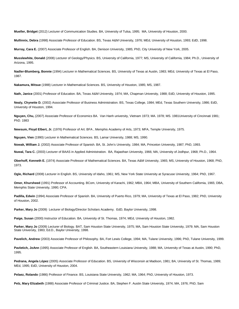**Mueller, Bridget** (2012) Lecturer of Communication Studies. BA, University of Tulsa, 1995; MA, University of Houston, 2000.

**Mullinnix, Debra** (1998) Associate Professor of Education. BS, Texas A&M University, 1976; MEd, University of Houston, 1993; EdD, 1998.

**Murray, Cara E.** (2007) Associate Professor of English. BA, Denison University, 1985; PhD, City University of New York, 2005.

**Musslewhite, Donald** (2008) Lecturer of Geology/Physics. BS, University of California, 1977; MS, University of California, 1984; Ph.D., University of Arizona, 1995.

**Nadler-Blumberg, Bonnie** (1994) Lecturer in Mathematical Sciences. BS, University of Texas at Austin, 1983; MEd, University of Texas at El Paso, 1987.

**Nakamura, Mitsue** (1988) Lecturer in Mathematical Sciences. BS, University of Houston, 1985; MS, 1987.

**Nath, Janice** (2001) Professor of Education. BA, Texas A&M University, 1974; MA, Chapman University, 1988; EdD, University of Houston, 1995.

**Nealy, Chynette D.** (2002) Associate Professor of Business Administration. BS, Texas College, 1984; MEd, Texas Southern University, 1986; EdD, University of Houston, 1994.

**Nguyen, Chu,** (2007) Associate Professor of Economics BA. Van Hanh university, Vietnam 1973; MA. 1978; MS. 1981University of Cincinnati 1981; PhD. 1983

**Newsum, Floyd Elbert, Jr.** (1976) Professor of Art. BFA , Memphis Academy of Arts, 1973; MFA, Temple University, 1975.

**Nguyen, Vien** (1990) Lecturer in Mathematical Sciences. BS, Lamar University, 1988; MS, 1990.

**Nowak, William J.** (2002) Associate Professor of Spanish. BA, St. John's University, 1984; MA, Princeton University, 1987; PhD, 1993.

**Nuwal, Tara C.** (2003) Lecturer of BAAS in Applied Administration. BA, Rajasthan University, 1966; MA, University of Jodhpur, 1968; Ph.D., 1964.

**Oberhoff, Kenneth E.** (1974) Associate Professor of Mathematical Sciences. BA, Texas A&M University, 1965; MS, University of Houston, 1968; PhD, 1973.

**Ogle, Richard** (2008) Lecturer in English. BS, University of Idaho, 1961; MS, New York State University at Syracuse University, 1964; PhD, 1967.

**Omer, Khursheed** (1991) Professor of Accounting. BCom, University of Karachi, 1962; MBA, 1964; MBA, University of Southern California, 1965; DBA, Memphis State University, 1990; CPA.

Padilla, Edwin (1994) Associate Professor of Spanish. BA, University of Puerto Rico, 1979; MA, University of Texas at El Paso, 1982; PhD, University of Houston, 2002.

**Parker, Mary Jo** (2009) Lecturer of Biology/Director Scholars Academy. EdD, Baylor University, 1998.

**Paige, Susan** (2000) Instructor of Education. BA, University of St. Thomas, 1974; MEd, University of Houston, 1982.

**Parker, Mary Jo** (2009) Lecturer of Biology. BAT, Sam Houston State University, 1975; MA, Sam Houston State University, 1979; MA, Sam Houston State University, 1983; Ed.D., Baylor University, 1998.

**Pavelich, Andrew** (2003) Associate Professor of Philosophy. BA, Fort Lewis College, 1994; MA, Tulane University, 1996; PhD, Tulane University, 1999.

**Pavletich, JoAnn** (1995) Associate Professor of English. BA, Southeastern Louisiana University, 1988; MA, University of Texas at Austin, 1990; PhD, 1995.

**Pedrana, Angela López** (2005) Associate Professor of Education. BS, University of Wisconsin at Madison, 1981; BA, University of St. Thomas, 1989; MEd, 1995; EdD, University of Houston, 2004.

**Pelaez, Rolando** (1986) Professor of Finance. BS, Louisiana State University, 1962; MA, 1964; PhD, University of Houston, 1973.

**Pelz, Mary Elizabeth** (1988) Associate Professor of Criminal Justice. BA, Stephen F. Austin State University, 1974; MA, 1976; PhD, Sam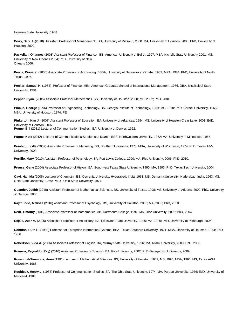Houston State University, 1988.

Perry, Sara J. (2010) Assistant Professor of Management. BS, University of Missouri, 2000. MA, University of Houston, 2006. PhD, University of Houston, 2009.

**Paskelian, Ohannes** (2008) Assistant Professor of Finance. BE. American University of Beirut, 1997; MBA. Nicholls State University 2001; MS. University of New Orleans 2004; PhD. University of New Orleans 2006.

**Pence, Diana K.** (2006) Associate Professor of Accounting. BSBA, University of Nebraska at Omaha, 1982; MPA, 1984; PhD, University of North Texas, 1996.

**Penkar, Samuel H.** (1984) Professor of Finance. MIM, American Graduate School of International Management, 1976. DBA, Mississippi State University, 1984.

**Pepper, Ryan.** (2005) Associate Professor Mathematics. BS, University of Houston, 2000; MS, 2002; PhD, 2004.

**Pincus, George** (1996) Professor of Engineering Technology. BS, Georgia Institute of Technology, 1959; MS, 1960; PhD, Cornell University, 1963; MBA, University of Houston, 1974; PE.

**Pinkerton, Kim J.** (2007) Assistant Professor of Education. BA, University of Arkansas, 1994; MS, University of Houston-Clear Lake, 2001; EdD, University of Houston, 2007. **Pogue, Bill** (2011) Lecturer of Communication Studies. BA, University of Denver, 1962.

**Pogue, Kate** (2012) Lecturer of Communications Studies and Drama. BSS, Northwestern University, 1962; MA, University of Minnesota, 1965.

**Pointer, Lucille** (2002) Associate Professor of Marketing. BS, Southern University, 1973; MBA, University of Wisconsin, 1974; PhD, Texas A&M University, 2000.

**Portillo, Mary** (2010) Assistant Professor of Psychology. BA, Fort Lewis College, 2000; MA, Rice University, 2006; PhD, 2010.

**Preuss, Gene** (2004) Associate Professor of History. BA, Southwest Texas State University, 1990; MA, 1993; PhD, Texas Tech University, 2004.

**Qavi, Hamida** (2005) Lecturer of Chemistry. BS, Osmania University, Hyderabad, India, 1961; MS, Osmania University, Hyderabad, India, 1963; MS, Ohio State University, 1969; Ph.D., Ohio State University, 1977.

**Quander, Judith** (2010) Assistant Professor of Mathematical Sciences. BS, University of Texas, 1998; MS, University of Arizona, 2000; PhD, University of Georgia, 2006.

**Raymundo, Melissa** (2010) Assistant Professor of Psychology. BS, University of Houston, 2003; MA, 2006; PhD, 2010.

**Redl, Timothy** (2005) Associate Professor of Mathematics. AB, Dartmouth College, 1997; MA, Rice University, 2003; PhD, 2004.

**Rejaie, Azar M.** (2006) Associate Professor of Art History. BA, Louisiana State University, 1996; MA, 1999; PhD, University of Pittsburgh, 2006.

**Robbins, Ruth R.** (1980) Professor of Enterprise Information Systems. BBA, Texas Southern University, 1971; MBA, University of Houston, 1974; EdD, 1986.

**Robertson, Vida A.** (2006) Associate Professor of English. BA, Murray State University, 1996; MA, Miami University, 2000; PhD, 2006.

**Romero, Reynaldo (Rey)** (2010) Assistant Professor of Spanish. BA, Rice University, 2002; PhD Georgetown University, 2009.

**Rosenthal-Simmons, Anna** (1991) Lecturer in Mathematical Sciences. BS, University of Houston, 1987; MS, 1995; MBA, 1990; MS, Texas A&M University, 1988.

**Roubicek, Henry L.** (1983) Professor of Communication Studies. BA, The Ohio State University, 1974; MA, Purdue University, 1976; EdD, University of Maryland, 1983.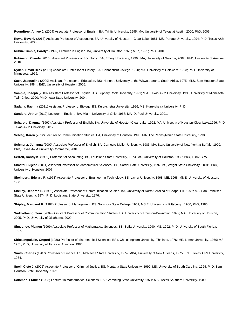**Roundtree, Aimee J.** (2004) Associate Professor of English. BA, Trinity University, 1995; MA, University of Texas at Austin, 2000; PhD, 2006.

**Rowe, Beverly** (2012) Assistant Professor of Accounting. BA, University of Houston – Clear Lake, 1981; MS, Purdue University, 1994; PhD, Texas A&M University, 2000.

**Rubin-Trimble, Carolyn** (1999) Lecturer in English. BA, University of Houston, 1970; MEd, 1991; PhD, 2001.

**Rubinson, Claude** (2010) Assistant Professor of Sociology. BA, Emory University, 1996. MA, University of Georgia, 2002. PhD, University of Arizona, 2010.

**Ryden, David Beck** (2001) Associate Professor of History. BA, Connecticut College, 1990; MA, University of Delaware, 1993; PhD, University of Minnesota, 1999.

**Sack, Jacqueline** (2009) Assistant Professor of Education. BSc Honors , University of the Witwatersrand, South Africa, 1975; MLS, Sam Houston State University, 1984,; EdD, University of Houston, 2005.

**Sample, Joseph** (2009) Assistant Professor of English. B.S. Slippery Rock University, 1991; M.A. Texas A&M University, 1993; University of Minnesota, Twin Cities, 2000; Ph.D. Iowa State University, 2004.

**Sadana, Rachna** (2011) Assistant Professor of Biology. BS, Kurukshetra University, 1996; MS, Kurukshetra University, PhD,

**Sanders, Arthur** (2012) Lecturer in English. BA, Miami University of Ohio, 1968; MA, DePaul University, 2001.

**Scharold, Dagmar** (1997) Assistant Professor of English. BA, University of Houston-Clear Lake, 1992; MA, University of Houston-Clear Lake,1996; PhD Texas A&M University, 2012.

**Schlag, Karen** (2012) Lecturer of Communication Studies. BA, University of Houston, 1993; MA, The Pennsylvania State University, 1998.

**Schmertz, Johanna** (2000) Associate Professor of English. BA, Carnegie-Mellon University, 1983; MA, State University of New York at Buffalo, 1990; PhD, Texas A&M University-Commerce, 2001.

**Serrett, Randy K.** (1999) Professor of Accounting. BS, Louisiana State University, 1973; MS, University of Houston, 1983; PhD, 1986; CPA.

**Shastri, Dvijesh** (2011) Assistant Professor of Mathematical Sciences. BS, Sardar Patel University, 1997;MS, Wright State University, 2001; PhD, University of Houston, 2007.

**Sheinberg, Edward R.** (1978) Associate Professor of Engineering Technology. BS, Lamar University, 1968; ME, 1968; MME, University of Houston, 1971.

**Shelley, Deborah B.** (1993) Associate Professor of Communication Studies. BA, University of North Carolina at Chapel Hill, 1972; MA, San Francisco State University, 1974; PhD, Louisiana State University, 1976.

**Shipley, Margaret F.** (1987) Professor of Management. BS, Salisbury State College, 1969; MSIE, University of Pittsburgh, 1980; PhD, 1986.

**Siriko-Hoang, Toni.** (2009) Assistant Professor of Communication Studies, BA, University of Houston-Downtown, 1999; MA, University of Houston, 2005, PhD, University of Oklahoma, 2009.

**Simeonov, Plamen** (1999) Associate Professor of Mathematical Sciences. BS, Sofia University, 1990; MS, 1992; PhD, University of South Florida, 1997.

**Sirisaengtaksin, Ongard** (1986) Professor of Mathematical Sciences. BSc, Chulalongkorn University, Thailand, 1976; ME, Lamar University, 1979; MS, 1981; PhD, University of Texas at Arlington, 1986.

**Smith, Charles** (1987) Professor of Finance. BS, McNeese State University, 1974; MBA, University of New Orleans, 1975; PhD, Texas A&M University, 1984.

**Snell, Clete J.** (2005) Associate Professor of Criminal Justice. BS, Montana State University, 1990; MS, University of South Carolina, 1994; PhD, Sam Houston State University, 1999.

**Solomon, Frankie** (1993) Lecturer in Mathematical Sciences. BA, Grambling State University, 1971; MS, Texas Southern University, 1989.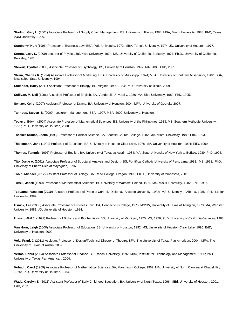**Stading, Gary L.** (2001) Associate Professor of Supply Chain Management. BS, University of Illinois, 1984; MBA, Miami University, 1988; PhD, Texas A&M University, 1999.

**Stanberry, Kurt** (1996) Professor of Business Law. BBA, Yale University, 1972; MBA, Temple University, 1974; JD, University of Houston, 1977.

**Sterna, Larry L.** (2009) Lecturer of Physics. BS, Yale University, 1974; MS, University of California, Berkeley, 1977; Ph.D., University of California, Berkeley, 1981.

**Stewart, Cynthia** (2005) Associate Professor of Psychology. BS, University of Houston, 1997; MA, 2000; PhD, 2001.

**Strain, Charles R.** (1994) Associate Professor of Marketing. BBA, University of Mississippi, 1974; MBA, University of Southern Mississippi, 1982; DBA, Mississippi State University, 1994.

**Sullender, Barry** (2011) Assistant Professor of Biology. BS, Virginia Tech, 1984; PhD, University of Illinois, 2009.

**Sullivan, M. Nell** (1996) Associate Professor of English. BA, Vanderbilt University, 1986; MA, Rice University, 1989; PhD, 1995.

**Switzer, Kelly** (2007) Assistant Professor of Drama. BA, University of Houston, 2004; MFA, University of Georgia, 2007.

**Tannous, Steven S**. (2009), Lecturer, Management. BBA , 1997, MBA, 2000, University of Houston.

**Tecarro, Edwin** (2004) Associate Professor of Mathematical Sciences. BS, University of the Philippines, 1983; MS, Southern Methodist University, 1991; PhD, University of Houston, 2000.

**Thacker-Kumar, Leena** (1993) Professor of Political Science. BA, Scottish Church College, 1982; MA, Miami University, 1988; PhD, 1993.

**Thielemann, Jane** (1991) Professor of Education. BS, University of Houston-Clear Lake, 1978; MA, University of Houston, 1991; EdD, 1999.

**Thomas, Tammis** (1995) Professor of English. BA, University of Texas at Austin, 1984; MA, State University of New York at Buffalo, 1989; PhD, 1995.

**Tito, Jorge A. (2001)** Associate Professor of Structural Analysis and Design. BS, Pontifical Catholic University of Peru, Lima, 1983; MS, 1993; PhD, University of Puerto Rico at Mayaguez, 1996.

**Tobin, Michael** (2012) Assistant Professor of Biology. BA, Reed College, Oregon, 1990; Ph.D., University of Minnesota, 2001.

**Turski, Jacek** (1990) Professor of Mathematical Sciences. BS University of Warsaw, Poland, 1976; MS, McGill University, 1982; PhD, 1986.

**Tzouanas, Vassilos (2010)** Assistant Professor of Process Control. Diploma, Aristotle University, 1982; MS, University of Alberta, 1985; PhD, Lehigh University, 1989.

**Usnick, Lee** (2003) Associate Professor of Business Law. BA, Connecticut College, 1975; MSSW, University of Texas at Arlington, 1978; MA, Webster University, 1981; JD, University of Houston, 1984.

**Uzman, Akif J.** (1997) Professor of Biology and Biochemistry. BS, University of Michigan, 1975; MS, 1976; PhD, University of California-Berkeley, 1983.

**Van Horn, Leigh** (2000) Associate Professor of Education. BS, University of Houston, 1992; MS, University of Houston-Clear Lake, 1995; EdD, University of Houston, 2000.

**Vela, Frank J.** (2011) Assistant Professor of Design/Technical Director of Theatre. BFA, The University of Texas-Pan American, 2004; MFA, The University of Texas at Austin, 2007.

**Verma, Rahul** (2004) Associate Professor of Finance. BE, Ranchi University, 1992; MBA, Institute for Technology and Management, 1995; PhD, University of Texas-Pan American, 2004.

**Vobach, Carol** (1969) Associate Professor of Mathematical Sciences. BA, Marymount College, 1962; MA, University of North Carolina at Chapel Hill, 1965; EdD, University of Houston, 1984.

**Wade, Carolyn E.** (2011) Assistant Professor of Early Childhood Education. BA, University of North Texas, 1996; MEd, University of Houston, 2001; EdD, 2011.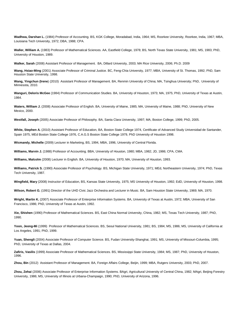**Wadhwa, Darshan L.** (1984) Professor of Accounting. BS, KGK College, Moradabad, India, 1964; MS, Roorkee University, Roorkee, India, 1967; MBA, Louisiana Tech University, 1972; DBA, 1988; CPA.

**Waller, William A.** (1983) Professor of Mathematical Sciences. AA, Eastfield College, 1978; BS, North Texas State University, 1981; MS, 1983; PhD, University of Houston, 1989.

**Walker, Sarah** (2008) Assistant Professor of Management. BA, Dillard University, 2003; MA Rice University, 2006; Ph.D. 2009

**Wang, Hsiao-Ming** (2001) Associate Professor of Criminal Justice. BC, Feng-Chia University, 1977; MBA, University of St. Thomas, 1992; PhD, Sam Houston State University, 1998.

**Wang, Yingchun (Irene**) (2010) Assistant Professor of Management. BA, Renmin University of China; MA, Tsinghua University; PhD, University of Minnesota, 2010.

**Wanguri, Deloris McGee** (1984) Professor of Communication Studies. BA, University of Houston, 1973; MA, 1975; PhD, University of Texas at Austin, 1984.

**Waters, William J.** (2008) Associate Professor of English. BA, University of Maine, 1985; MA, University of Maine, 1988; PhD, University of New Mexico, 2000.

**Westfall, Joseph** (2005) Associate Professor of Philosophy. BA, Santa Clara University, 1997; MA, Boston College, 1999; PhD, 2005.

**White, Stephen A.** (2010) Assistant Professor of Education, BA, Boston State College 1974, Certificate of Advanced Study Universidad de Santander, Spain 1975, MEd Boston State College 1976, C.A.G.S Boston State College 1979, PhD University of Houston 1998.

**Wicmandy, Michelle** (2009) Lecturer in Marketing, BS, 1994, MBA, 1996, University of Central Florida.

**Williams, Marvin J.** (1988) Professor of Accounting. BBA, University of Houston, 1980; MBA, 1982; JD, 1986; CPA, CMA.

**Williams, Malcolm** (2008) Lecturer in English. BA, University of Houston, 1970; MA, University of Houston, 1993.

**Williams, Patrick S.** (1990) Associate Professor of Psychology. BS, Michigan State University, 1971; MEd, Northeastern University, 1974; PhD, Texas Tech University, 1987.

**Wingfield, Mary** (2008) Instructor of Education, BS, Kansas State University, 1975; MS University of Houston, 1992; EdD, University of Houston, 1998.

**Wilson, Robert G.** (1991) Director of the UHD Civic Jazz Orchestra and Lecturer in Music. BA, Sam Houston State University, 1969; MA, 1970.

**Wright, Martin K.** (2007) Associate Professor of Enterprise Information Systems. BA, University of Texas at Austin, 1972; MBA, University of San Francisco, 1986; PhD, University of Texas at Austin, 1992.

**Xie, Shishen** (1990) Professor of Mathematical Sciences. BS, East China Normal University, China, 1982; MS, Texas Tech University, 1987; PhD, 1990.

**Yoon, Jeong-Mi** (1999) Professor of Mathematical Sciences. BS, Seoul National University, 1981; BS, 1984; MS, 1986; MS, University of California at Los Angeles, 1991; PhD, 1999.

**Yuan, Shengli** (2004) Associate Professor of Computer Science. BS, Fudan University-Shanghai, 1991; MS, University of Missouri-Columbia, 1995; PhD, University of Texas at Dallas, 2004.

**Zafiris, Vasilis** (1999) Associate Professor of Mathematical Sciences. BS, Mississippi State University, 1984; MS, 1987; PhD, University of Houston, 1996.

**Zhou, Bin** (2012) Assistant Professor of Management. BA, Foreign Affairs College, Beijin, 1999; MBA, Rutgers University, 2003; PhD, 2007.

**Zhou, Zehai** (2006) Associate Professor of Enterprise Information Systems. BAgri, Agricultural University of Central China, 1982; MAgri, Beijing Forestry University, 1986; MS, University of Illinois at Urbana-Champaign, 1990; PhD, University of Arizona, 1996.